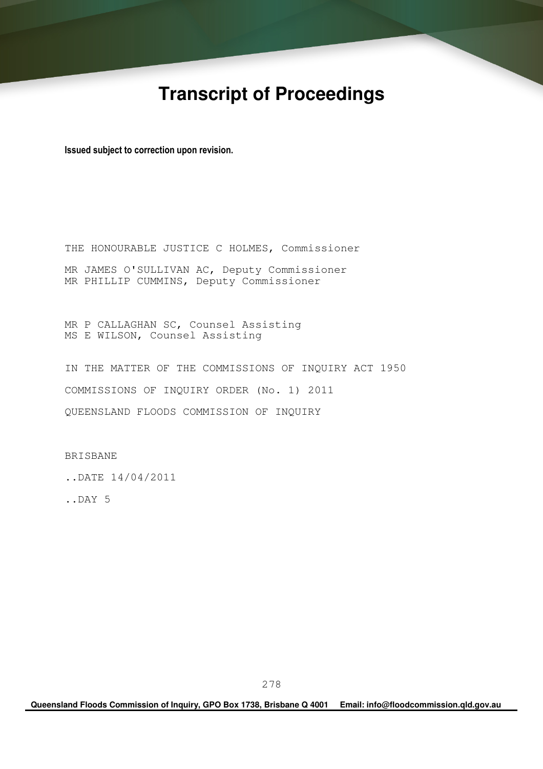# **Transcript of Proceedings**

Issued subject to correction upon revision.

THE HONOURABLE JUSTICE C HOLMES, Commissioner MR JAMES O'SULLIVAN AC, Deputy Commissioner MR PHILLIP CUMMINS, Deputy Commissioner

MR P CALLAGHAN SC, Counsel Assisting MS E WILSON, Counsel Assisting

IN THE MATTER OF THE COMMISSIONS OF INQUIRY ACT 1950 COMMISSIONS OF INQUIRY ORDER (No. 1) 2011 QUEENSLAND FLOODS COMMISSION OF INQUIRY

BRISBANE

..DATE 14/04/2011

..DAY 5

**Queensland Floods Commission of Inquiry, GPO Box 1738, Brisbane Q 4001 Email: info@floodcommission.qld.gov.au**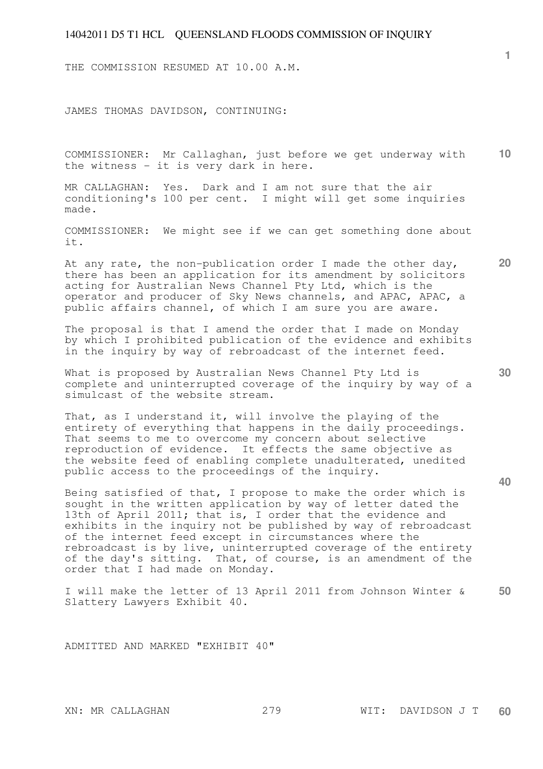THE COMMISSION RESUMED AT 10.00 A.M.

JAMES THOMAS DAVIDSON, CONTINUING:

**10**  COMMISSIONER: Mr Callaghan, just before we get underway with the witness - it is very dark in here.

MR CALLAGHAN: Yes. Dark and I am not sure that the air conditioning's 100 per cent. I might will get some inquiries made.

COMMISSIONER: We might see if we can get something done about it.

At any rate, the non-publication order I made the other day, there has been an application for its amendment by solicitors acting for Australian News Channel Pty Ltd, which is the operator and producer of Sky News channels, and APAC, APAC, a public affairs channel, of which I am sure you are aware.

The proposal is that I amend the order that I made on Monday by which I prohibited publication of the evidence and exhibits in the inquiry by way of rebroadcast of the internet feed.

What is proposed by Australian News Channel Pty Ltd is complete and uninterrupted coverage of the inquiry by way of a simulcast of the website stream.

That, as I understand it, will involve the playing of the entirety of everything that happens in the daily proceedings. That seems to me to overcome my concern about selective reproduction of evidence. It effects the same objective as the website feed of enabling complete unadulterated, unedited public access to the proceedings of the inquiry.

Being satisfied of that, I propose to make the order which is sought in the written application by way of letter dated the 13th of April 2011; that is, I order that the evidence and exhibits in the inquiry not be published by way of rebroadcast of the internet feed except in circumstances where the rebroadcast is by live, uninterrupted coverage of the entirety of the day's sitting. That, of course, is an amendment of the order that I had made on Monday.

**50**  I will make the letter of 13 April 2011 from Johnson Winter & Slattery Lawyers Exhibit 40.

ADMITTED AND MARKED "EXHIBIT 40"

**30** 

**40** 

**20**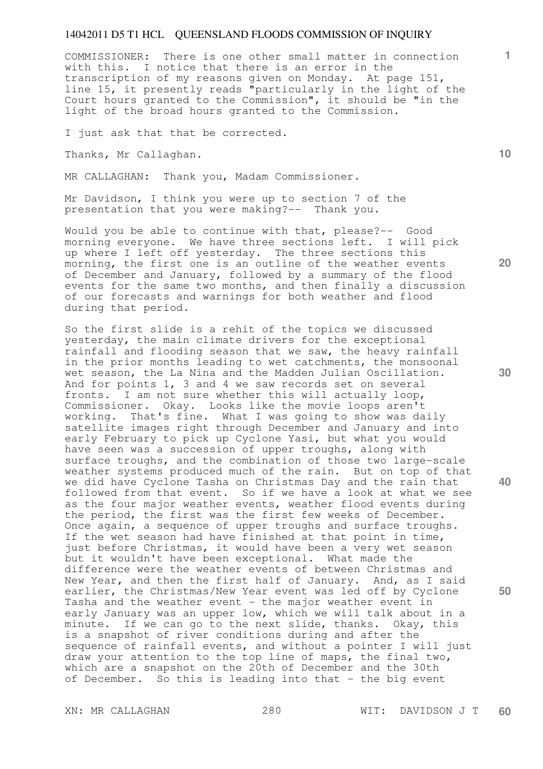COMMISSIONER: There is one other small matter in connection with this. I notice that there is an error in the transcription of my reasons given on Monday. At page 151, line 15, it presently reads "particularly in the light of the Court hours granted to the Commission", it should be "in the light of the broad hours granted to the Commission.

I just ask that that be corrected.

Thanks, Mr Callaghan.

MR CALLAGHAN: Thank you, Madam Commissioner.

Mr Davidson, I think you were up to section 7 of the presentation that you were making?-- Thank you.

Would you be able to continue with that, please?-- Good morning everyone. We have three sections left. I will pick up where I left off yesterday. The three sections this morning, the first one is an outline of the weather events of December and January, followed by a summary of the flood events for the same two months, and then finally a discussion of our forecasts and warnings for both weather and flood during that period.

So the first slide is a rehit of the topics we discussed yesterday, the main climate drivers for the exceptional rainfall and flooding season that we saw, the heavy rainfall in the prior months leading to wet catchments, the monsoonal wet season, the La Nina and the Madden Julian Oscillation. And for points 1, 3 and 4 we saw records set on several fronts. I am not sure whether this will actually loop, Commissioner. Okay. Looks like the movie loops aren't working. That's fine. What I was going to show was daily satellite images right through December and January and into early February to pick up Cyclone Yasi, but what you would have seen was a succession of upper troughs, along with surface troughs, and the combination of those two large-scale weather systems produced much of the rain. But on top of that we did have Cyclone Tasha on Christmas Day and the rain that followed from that event. So if we have a look at what we see as the four major weather events, weather flood events during the period, the first was the first few weeks of December. Once again, a sequence of upper troughs and surface troughs. If the wet season had have finished at that point in time, just before Christmas, it would have been a very wet season but it wouldn't have been exceptional. What made the difference were the weather events of between Christmas and New Year, and then the first half of January. And, as I said earlier, the Christmas/New Year event was led off by Cyclone Tasha and the weather event - the major weather event in early January was an upper low, which we will talk about in a minute. If we can go to the next slide, thanks. Okay, this is a snapshot of river conditions during and after the sequence of rainfall events, and without a pointer I will just draw your attention to the top line of maps, the final two, which are a snapshot on the 20th of December and the 30th of December. So this is leading into that - the big event

**10** 

**1**

**20** 

**30** 

**40**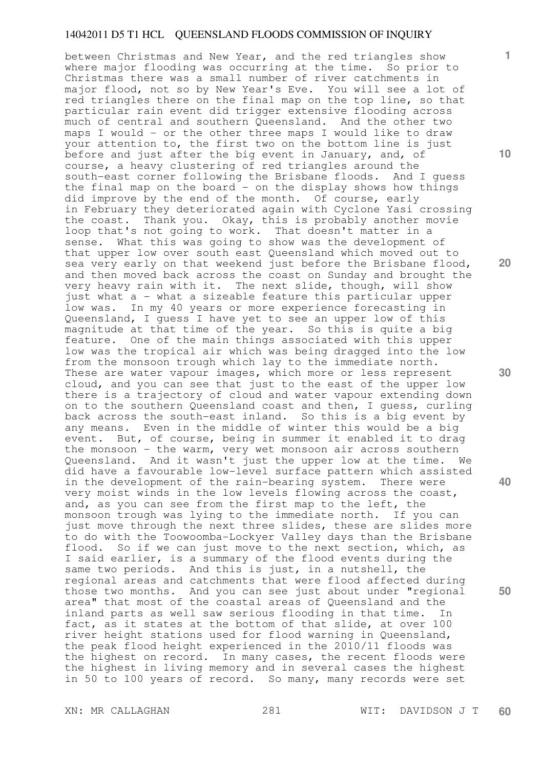between Christmas and New Year, and the red triangles show where major flooding was occurring at the time. So prior to Christmas there was a small number of river catchments in major flood, not so by New Year's Eve. You will see a lot of red triangles there on the final map on the top line, so that particular rain event did trigger extensive flooding across much of central and southern Queensland. And the other two maps I would - or the other three maps I would like to draw your attention to, the first two on the bottom line is just before and just after the big event in January, and, of course, a heavy clustering of red triangles around the south-east corner following the Brisbane floods. And I guess the final map on the board  $-$  on the display shows how things did improve by the end of the month. Of course, early in February they deteriorated again with Cyclone Yasi crossing the coast. Thank you. Okay, this is probably another movie loop that's not going to work. That doesn't matter in a sense. What this was going to show was the development of that upper low over south east Queensland which moved out to sea very early on that weekend just before the Brisbane flood, and then moved back across the coast on Sunday and brought the very heavy rain with it. The next slide, though, will show just what a - what a sizeable feature this particular upper low was. In my 40 years or more experience forecasting in Queensland, I guess I have yet to see an upper low of this magnitude at that time of the year. So this is quite a big feature. One of the main things associated with this upper low was the tropical air which was being dragged into the low from the monsoon trough which lay to the immediate north. These are water vapour images, which more or less represent cloud, and you can see that just to the east of the upper low there is a trajectory of cloud and water vapour extending down on to the southern Queensland coast and then, I guess, curling back across the south-east inland. So this is a big event by any means. Even in the middle of winter this would be a big event. But, of course, being in summer it enabled it to drag the monsoon - the warm, very wet monsoon air across southern Queensland. And it wasn't just the upper low at the time. We did have a favourable low-level surface pattern which assisted in the development of the rain-bearing system. There were very moist winds in the low levels flowing across the coast, and, as you can see from the first map to the left, the monsoon trough was lying to the immediate north. If you can just move through the next three slides, these are slides more to do with the Toowoomba-Lockyer Valley days than the Brisbane flood. So if we can just move to the next section, which, as I said earlier, is a summary of the flood events during the same two periods. And this is just, in a nutshell, the regional areas and catchments that were flood affected during those two months. And you can see just about under "regional area" that most of the coastal areas of Queensland and the inland parts as well saw serious flooding in that time. In fact, as it states at the bottom of that slide, at over 100 river height stations used for flood warning in Queensland, the peak flood height experienced in the 2010/11 floods was the highest on record. In many cases, the recent floods were the highest in living memory and in several cases the highest in 50 to 100 years of record. So many, many records were set

XN: MR CALLAGHAN 281 WIT: DAVIDSON J T **60** 

**1**

**10** 

**20** 

**30** 

**40**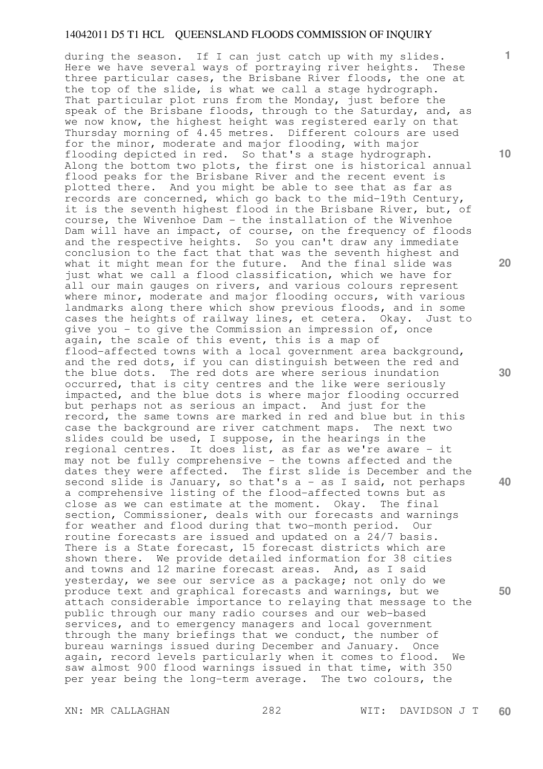during the season. If I can just catch up with my slides. Here we have several ways of portraying river heights. These three particular cases, the Brisbane River floods, the one at the top of the slide, is what we call a stage hydrograph. That particular plot runs from the Monday, just before the speak of the Brisbane floods, through to the Saturday, and, as we now know, the highest height was registered early on that Thursday morning of 4.45 metres. Different colours are used for the minor, moderate and major flooding, with major flooding depicted in red. So that's a stage hydrograph. Along the bottom two plots, the first one is historical annual flood peaks for the Brisbane River and the recent event is plotted there. And you might be able to see that as far as records are concerned, which go back to the mid-19th Century, it is the seventh highest flood in the Brisbane River, but, of course, the Wivenhoe Dam - the installation of the Wivenhoe Dam will have an impact, of course, on the frequency of floods and the respective heights. So you can't draw any immediate conclusion to the fact that that was the seventh highest and what it might mean for the future. And the final slide was just what we call a flood classification, which we have for all our main gauges on rivers, and various colours represent where minor, moderate and major flooding occurs, with various landmarks along there which show previous floods, and in some cases the heights of railway lines, et cetera. Okay. Just to give you - to give the Commission an impression of, once again, the scale of this event, this is a map of flood-affected towns with a local government area background, and the red dots, if you can distinguish between the red and the blue dots. The red dots are where serious inundation occurred, that is city centres and the like were seriously impacted, and the blue dots is where major flooding occurred but perhaps not as serious an impact. And just for the record, the same towns are marked in red and blue but in this case the background are river catchment maps. The next two slides could be used, I suppose, in the hearings in the regional centres. It does list, as far as we're aware - it may not be fully comprehensive - the towns affected and the dates they were affected. The first slide is December and the second slide is January, so that's a - as I said, not perhaps a comprehensive listing of the flood-affected towns but as close as we can estimate at the moment. Okay. The final section, Commissioner, deals with our forecasts and warnings for weather and flood during that two-month period. Our routine forecasts are issued and updated on a 24/7 basis. There is a State forecast, 15 forecast districts which are shown there. We provide detailed information for 38 cities and towns and 12 marine forecast areas. And, as I said yesterday, we see our service as a package; not only do we produce text and graphical forecasts and warnings, but we attach considerable importance to relaying that message to the public through our many radio courses and our web-based services, and to emergency managers and local government through the many briefings that we conduct, the number of bureau warnings issued during December and January. Once again, record levels particularly when it comes to flood. We saw almost 900 flood warnings issued in that time, with 350 per year being the long-term average. The two colours, the

XN: MR CALLAGHAN 282 WIT: DAVIDSON J T **60** 

**10** 

**1**

**20** 

**30** 

**40**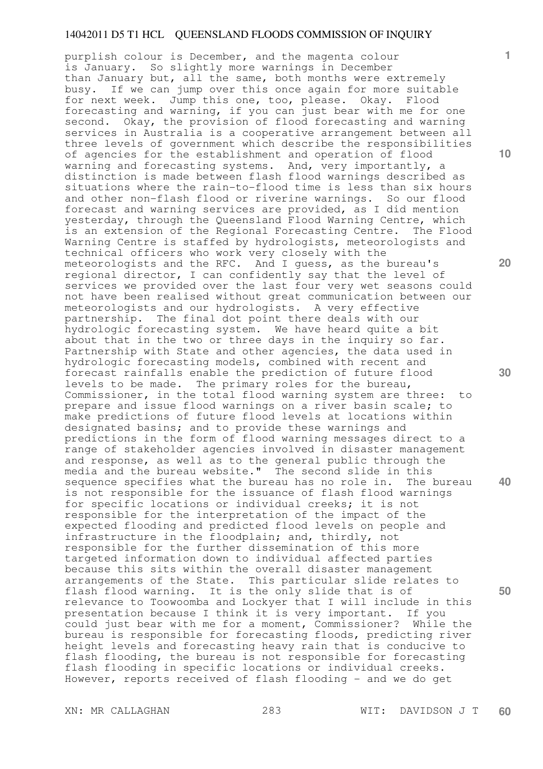**20 40 50**  purplish colour is December, and the magenta colour is January. So slightly more warnings in December than January but, all the same, both months were extremely busy. If we can jump over this once again for more suitable for next week. Jump this one, too, please. Okay. Flood forecasting and warning, if you can just bear with me for one second. Okay, the provision of flood forecasting and warning services in Australia is a cooperative arrangement between all three levels of government which describe the responsibilities of agencies for the establishment and operation of flood warning and forecasting systems. And, very importantly, a distinction is made between flash flood warnings described as situations where the rain-to-flood time is less than six hours and other non-flash flood or riverine warnings. So our flood forecast and warning services are provided, as I did mention yesterday, through the Queensland Flood Warning Centre, which is an extension of the Regional Forecasting Centre. The Flood Warning Centre is staffed by hydrologists, meteorologists and technical officers who work very closely with the meteorologists and the RFC. And I guess, as the bureau's regional director, I can confidently say that the level of services we provided over the last four very wet seasons could not have been realised without great communication between our meteorologists and our hydrologists. A very effective partnership. The final dot point there deals with our hydrologic forecasting system. We have heard quite a bit about that in the two or three days in the inquiry so far. Partnership with State and other agencies, the data used in hydrologic forecasting models, combined with recent and forecast rainfalls enable the prediction of future flood levels to be made. The primary roles for the bureau, Commissioner, in the total flood warning system are three: to prepare and issue flood warnings on a river basin scale; to make predictions of future flood levels at locations within designated basins; and to provide these warnings and predictions in the form of flood warning messages direct to a range of stakeholder agencies involved in disaster management and response, as well as to the general public through the media and the bureau website." The second slide in this sequence specifies what the bureau has no role in. The bureau is not responsible for the issuance of flash flood warnings for specific locations or individual creeks; it is not responsible for the interpretation of the impact of the expected flooding and predicted flood levels on people and infrastructure in the floodplain; and, thirdly, not responsible for the further dissemination of this more targeted information down to individual affected parties because this sits within the overall disaster management arrangements of the State. This particular slide relates to flash flood warning. It is the only slide that is of relevance to Toowoomba and Lockyer that I will include in this presentation because I think it is very important. If you could just bear with me for a moment, Commissioner? While the bureau is responsible for forecasting floods, predicting river height levels and forecasting heavy rain that is conducive to flash flooding, the bureau is not responsible for forecasting flash flooding in specific locations or individual creeks. However, reports received of flash flooding - and we do get

XN: MR CALLAGHAN 283 WIT: DAVIDSON J T **60** 

**1**

**10**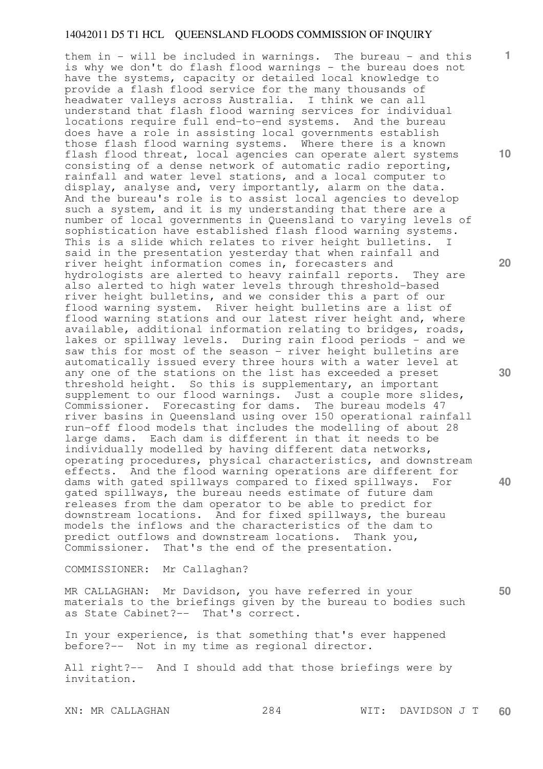them in - will be included in warnings. The bureau - and this is why we don't do flash flood warnings - the bureau does not have the systems, capacity or detailed local knowledge to provide a flash flood service for the many thousands of headwater valleys across Australia. I think we can all understand that flash flood warning services for individual locations require full end-to-end systems. And the bureau does have a role in assisting local governments establish those flash flood warning systems. Where there is a known flash flood threat, local agencies can operate alert systems consisting of a dense network of automatic radio reporting, rainfall and water level stations, and a local computer to display, analyse and, very importantly, alarm on the data. And the bureau's role is to assist local agencies to develop such a system, and it is my understanding that there are a number of local governments in Queensland to varying levels of sophistication have established flash flood warning systems. This is a slide which relates to river height bulletins. I said in the presentation yesterday that when rainfall and river height information comes in, forecasters and hydrologists are alerted to heavy rainfall reports. They are also alerted to high water levels through threshold-based river height bulletins, and we consider this a part of our flood warning system. River height bulletins are a list of flood warning stations and our latest river height and, where available, additional information relating to bridges, roads, lakes or spillway levels. During rain flood periods - and we saw this for most of the season - river height bulletins are automatically issued every three hours with a water level at any one of the stations on the list has exceeded a preset threshold height. So this is supplementary, an important supplement to our flood warnings. Just a couple more slides, Commissioner. Forecasting for dams. The bureau models 47 river basins in Queensland using over 150 operational rainfall run-off flood models that includes the modelling of about 28 large dams. Each dam is different in that it needs to be individually modelled by having different data networks, operating procedures, physical characteristics, and downstream effects. And the flood warning operations are different for dams with gated spillways compared to fixed spillways. For gated spillways, the bureau needs estimate of future dam releases from the dam operator to be able to predict for downstream locations. And for fixed spillways, the bureau models the inflows and the characteristics of the dam to predict outflows and downstream locations. Thank you, Commissioner. That's the end of the presentation.

COMMISSIONER: Mr Callaghan?

MR CALLAGHAN: Mr Davidson, you have referred in your materials to the briefings given by the bureau to bodies such as State Cabinet?-- That's correct.

In your experience, is that something that's ever happened before?-- Not in my time as regional director.

All right?-- And I should add that those briefings were by invitation.

XN: MR CALLAGHAN 284 WIT: DAVIDSON J T **60** 

**10** 

**1**

**20** 

**30** 

**40**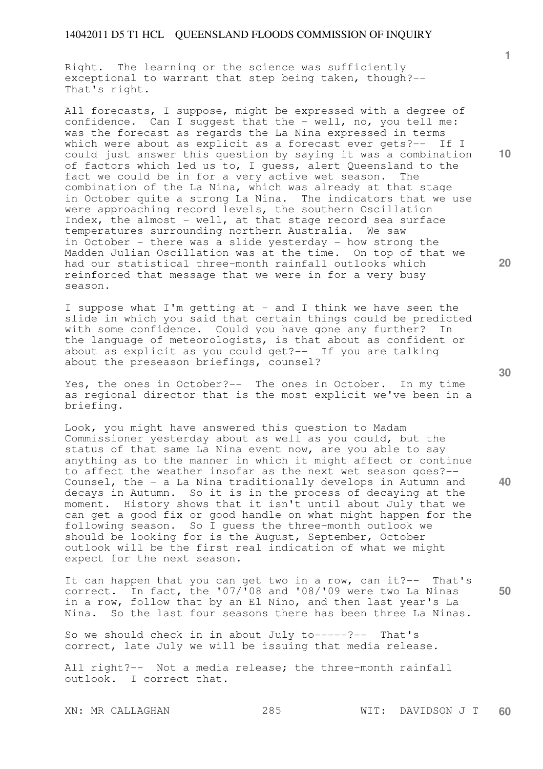Right. The learning or the science was sufficiently exceptional to warrant that step being taken, though?-- That's right.

All forecasts, I suppose, might be expressed with a degree of confidence. Can I suggest that the - well, no, you tell me: was the forecast as regards the La Nina expressed in terms which were about as explicit as a forecast ever gets?-- If I could just answer this question by saying it was a combination of factors which led us to, I guess, alert Queensland to the fact we could be in for a very active wet season. The combination of the La Nina, which was already at that stage in October quite a strong La Nina. The indicators that we use were approaching record levels, the southern Oscillation Index, the almost - well, at that stage record sea surface temperatures surrounding northern Australia. We saw in October - there was a slide yesterday - how strong the Madden Julian Oscillation was at the time. On top of that we had our statistical three-month rainfall outlooks which reinforced that message that we were in for a very busy season.

I suppose what I'm getting at - and I think we have seen the slide in which you said that certain things could be predicted with some confidence. Could you have gone any further? In the language of meteorologists, is that about as confident or about as explicit as you could get?-- If you are talking about the preseason briefings, counsel?

Yes, the ones in October?-- The ones in October. In my time as regional director that is the most explicit we've been in a briefing.

Look, you might have answered this question to Madam Commissioner yesterday about as well as you could, but the status of that same La Nina event now, are you able to say anything as to the manner in which it might affect or continue to affect the weather insofar as the next wet season goes?-- Counsel, the - a La Nina traditionally develops in Autumn and decays in Autumn. So it is in the process of decaying at the moment. History shows that it isn't until about July that we can get a good fix or good handle on what might happen for the following season. So I guess the three-month outlook we should be looking for is the August, September, October outlook will be the first real indication of what we might expect for the next season.

It can happen that you can get two in a row, can it?-- That's correct. In fact, the '07/'08 and '08/'09 were two La Ninas in a row, follow that by an El Nino, and then last year's La Nina. So the last four seasons there has been three La Ninas.

So we should check in in about July to-----?-- That's correct, late July we will be issuing that media release.

All right?-- Not a media release; the three-month rainfall outlook. I correct that.

**10** 

**1**

**20** 

**30** 

**40**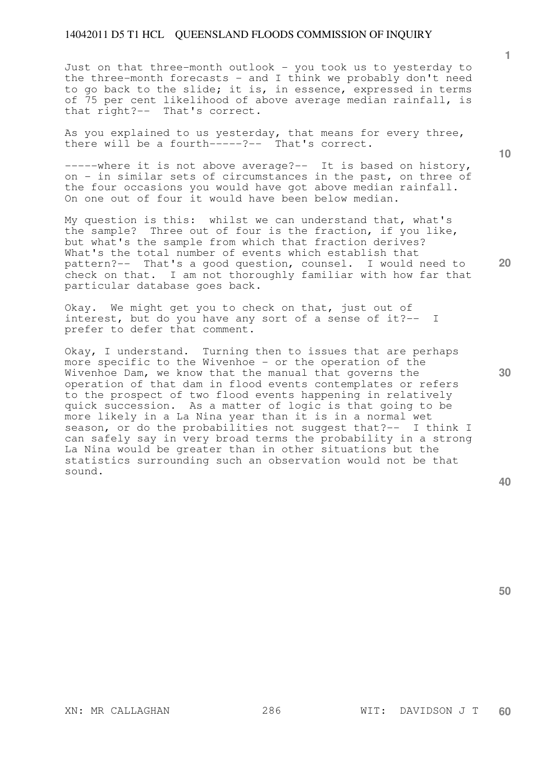Just on that three-month outlook - you took us to yesterday to the three-month forecasts - and I think we probably don't need to go back to the slide; it is, in essence, expressed in terms of 75 per cent likelihood of above average median rainfall, is that right?-- That's correct.

As you explained to us yesterday, that means for every three, there will be a fourth-----?-- That's correct.

-----where it is not above average?-- It is based on history, on - in similar sets of circumstances in the past, on three of the four occasions you would have got above median rainfall. On one out of four it would have been below median.

My question is this: whilst we can understand that, what's the sample? Three out of four is the fraction, if you like, but what's the sample from which that fraction derives? What's the total number of events which establish that pattern?-- That's a good question, counsel. I would need to check on that. I am not thoroughly familiar with how far that particular database goes back.

Okay. We might get you to check on that, just out of interest, but do you have any sort of a sense of it?-- I prefer to defer that comment.

Okay, I understand. Turning then to issues that are perhaps more specific to the Wivenhoe - or the operation of the Wivenhoe Dam, we know that the manual that governs the operation of that dam in flood events contemplates or refers to the prospect of two flood events happening in relatively quick succession. As a matter of logic is that going to be more likely in a La Nina year than it is in a normal wet season, or do the probabilities not suggest that?-- I think I can safely say in very broad terms the probability in a strong La Nina would be greater than in other situations but the statistics surrounding such an observation would not be that sound.

**40** 

**50** 

**10** 

**1**

**20**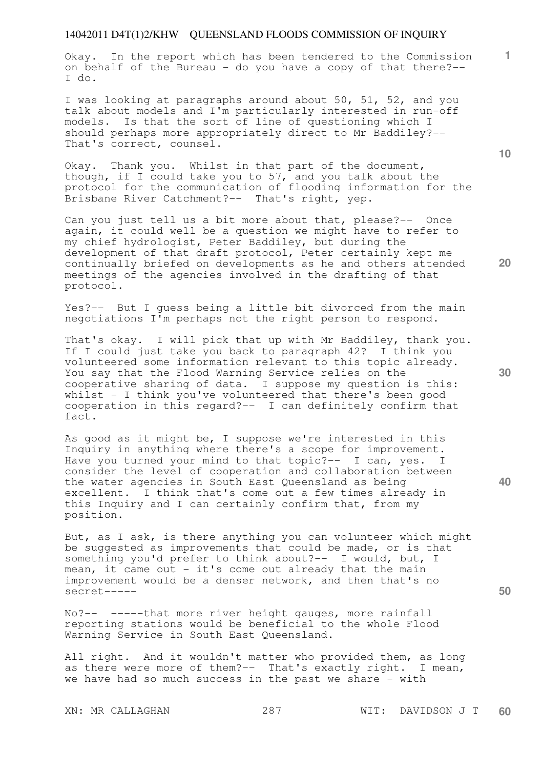Okay. In the report which has been tendered to the Commission on behalf of the Bureau - do you have a copy of that there?-- I do.

I was looking at paragraphs around about 50, 51, 52, and you talk about models and I'm particularly interested in run-off models. Is that the sort of line of questioning which I should perhaps more appropriately direct to Mr Baddiley?-- That's correct, counsel.

Okay. Thank you. Whilst in that part of the document, though, if I could take you to 57, and you talk about the protocol for the communication of flooding information for the Brisbane River Catchment?-- That's right, yep.

Can you just tell us a bit more about that, please?-- Once again, it could well be a question we might have to refer to my chief hydrologist, Peter Baddiley, but during the development of that draft protocol, Peter certainly kept me continually briefed on developments as he and others attended meetings of the agencies involved in the drafting of that protocol.

Yes?-- But I guess being a little bit divorced from the main negotiations I'm perhaps not the right person to respond.

That's okay. I will pick that up with Mr Baddiley, thank you. If I could just take you back to paragraph 42? I think you volunteered some information relevant to this topic already. You say that the Flood Warning Service relies on the cooperative sharing of data. I suppose my question is this: whilst - I think you've volunteered that there's been good cooperation in this regard?-- I can definitely confirm that fact.

As good as it might be, I suppose we're interested in this Inquiry in anything where there's a scope for improvement. Have you turned your mind to that topic?-- I can, yes. I consider the level of cooperation and collaboration between the water agencies in South East Queensland as being excellent. I think that's come out a few times already in this Inquiry and I can certainly confirm that, from my position.

But, as I ask, is there anything you can volunteer which might be suggested as improvements that could be made, or is that something you'd prefer to think about?-- I would, but, I mean, it came out - it's come out already that the main improvement would be a denser network, and then that's no secret-----

No?-- -----that more river height gauges, more rainfall reporting stations would be beneficial to the whole Flood Warning Service in South East Queensland.

All right. And it wouldn't matter who provided them, as long as there were more of them?-- That's exactly right. I mean, we have had so much success in the past we share - with

**20** 

**10** 

**1**

**30** 

**40**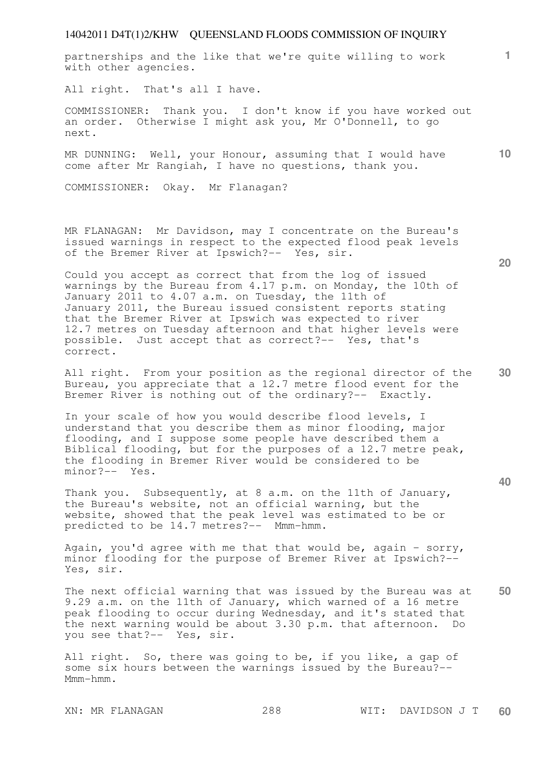**10**  partnerships and the like that we're quite willing to work with other agencies. All right. That's all I have. COMMISSIONER: Thank you. I don't know if you have worked out an order. Otherwise I might ask you, Mr O'Donnell, to go next. MR DUNNING: Well, your Honour, assuming that I would have come after Mr Rangiah, I have no questions, thank you. COMMISSIONER: Okay. Mr Flanagan? MR FLANAGAN: Mr Davidson, may I concentrate on the Bureau's issued warnings in respect to the expected flood peak levels of the Bremer River at Ipswich?-- Yes, sir.

Could you accept as correct that from the log of issued warnings by the Bureau from 4.17 p.m. on Monday, the 10th of January 2011 to 4.07 a.m. on Tuesday, the 11th of January 2011, the Bureau issued consistent reports stating that the Bremer River at Ipswich was expected to river 12.7 metres on Tuesday afternoon and that higher levels were possible. Just accept that as correct?-- Yes, that's correct.

**30**  All right. From your position as the regional director of the Bureau, you appreciate that a 12.7 metre flood event for the Bremer River is nothing out of the ordinary?-- Exactly.

In your scale of how you would describe flood levels, I understand that you describe them as minor flooding, major flooding, and I suppose some people have described them a Biblical flooding, but for the purposes of a 12.7 metre peak, the flooding in Bremer River would be considered to be minor?-- Yes.

Thank you. Subsequently, at 8 a.m. on the 11th of January, the Bureau's website, not an official warning, but the website, showed that the peak level was estimated to be or predicted to be 14.7 metres?-- Mmm-hmm.

Again, you'd agree with me that that would be, again - sorry, minor flooding for the purpose of Bremer River at Ipswich?-- Yes, sir.

**50**  The next official warning that was issued by the Bureau was at 9.29 a.m. on the 11th of January, which warned of a 16 metre peak flooding to occur during Wednesday, and it's stated that the next warning would be about 3.30 p.m. that afternoon. Do you see that?-- Yes, sir.

All right. So, there was going to be, if you like, a gap of some six hours between the warnings issued by the Bureau?-- Mmm-hmm.

**20**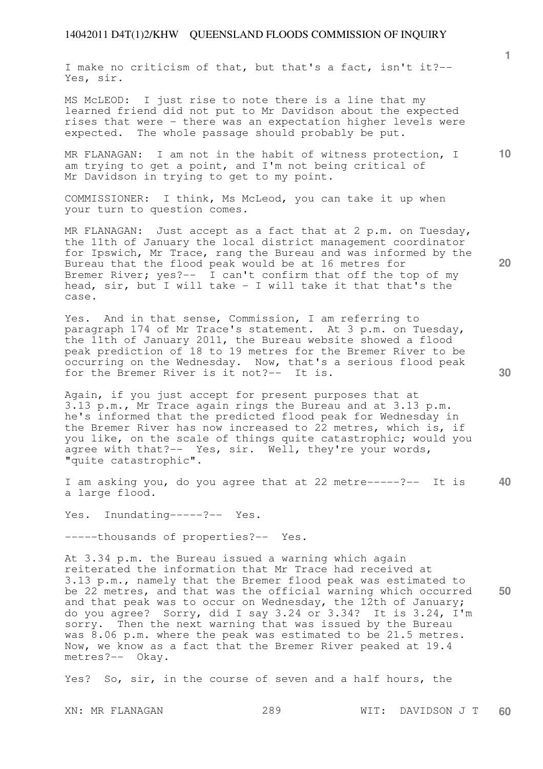I make no criticism of that, but that's a fact, isn't it?-- Yes, sir.

MS McLEOD: I just rise to note there is a line that my learned friend did not put to Mr Davidson about the expected rises that were - there was an expectation higher levels were expected. The whole passage should probably be put.

**10**  MR FLANAGAN: I am not in the habit of witness protection, I am trying to get a point, and I'm not being critical of Mr Davidson in trying to get to my point.

COMMISSIONER: I think, Ms McLeod, you can take it up when your turn to question comes.

MR FLANAGAN: Just accept as a fact that at 2 p.m. on Tuesday, the 11th of January the local district management coordinator for Ipswich, Mr Trace, rang the Bureau and was informed by the Bureau that the flood peak would be at 16 metres for Bremer River; yes?-- I can't confirm that off the top of my head, sir, but I will take - I will take it that that's the case.

Yes. And in that sense, Commission, I am referring to paragraph 174 of Mr Trace's statement. At 3 p.m. on Tuesday, the 11th of January 2011, the Bureau website showed a flood peak prediction of 18 to 19 metres for the Bremer River to be occurring on the Wednesday. Now, that's a serious flood peak for the Bremer River is it not?-- It is.

Again, if you just accept for present purposes that at 3.13 p.m., Mr Trace again rings the Bureau and at 3.13 p.m. he's informed that the predicted flood peak for Wednesday in the Bremer River has now increased to 22 metres, which is, if you like, on the scale of things quite catastrophic; would you agree with that?-- Yes, sir. Well, they're your words, "quite catastrophic".

**40**  I am asking you, do you agree that at 22 metre-----?-- It is a large flood.

Yes. Inundating-----?-- Yes.

-----thousands of properties?-- Yes.

**50**  At 3.34 p.m. the Bureau issued a warning which again reiterated the information that Mr Trace had received at 3.13 p.m., namely that the Bremer flood peak was estimated to be 22 metres, and that was the official warning which occurred and that peak was to occur on Wednesday, the 12th of January; do you agree? Sorry, did I say 3.24 or 3.34? It is 3.24, I'm sorry. Then the next warning that was issued by the Bureau was 8.06 p.m. where the peak was estimated to be 21.5 metres. Now, we know as a fact that the Bremer River peaked at 19.4 metres?-- Okay.

Yes? So, sir, in the course of seven and a half hours, the

XN: MR FLANAGAN 289 WIT: DAVIDSON J T **60** 

**30** 

**20**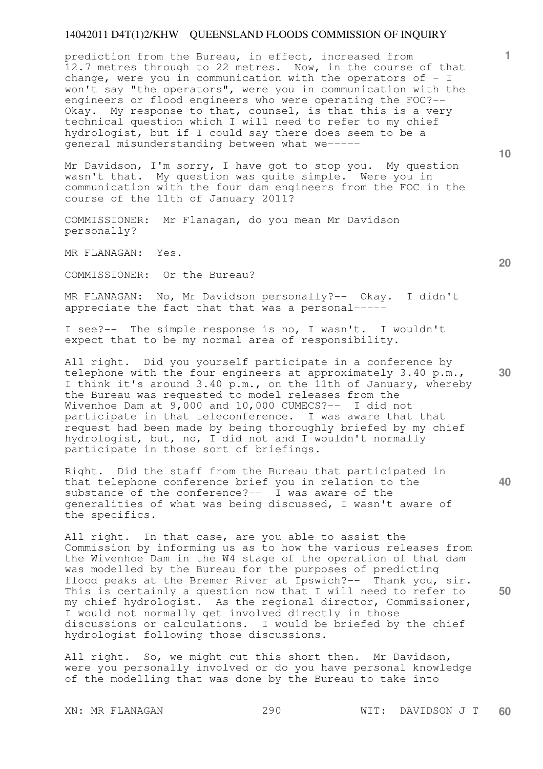prediction from the Bureau, in effect, increased from 12.7 metres through to 22 metres. Now, in the course of that change, were you in communication with the operators of  $-$  I won't say "the operators", were you in communication with the engineers or flood engineers who were operating the FOC?-- Okay. My response to that, counsel, is that this is a very technical question which I will need to refer to my chief hydrologist, but if I could say there does seem to be a general misunderstanding between what we-----

Mr Davidson, I'm sorry, I have got to stop you. My question wasn't that. My question was quite simple. Were you in communication with the four dam engineers from the FOC in the course of the 11th of January 2011?

COMMISSIONER: Mr Flanagan, do you mean Mr Davidson personally?

MR FLANAGAN: Yes.

COMMISSIONER: Or the Bureau?

MR FLANAGAN: No, Mr Davidson personally?-- Okay. I didn't appreciate the fact that that was a personal-----

I see?-- The simple response is no, I wasn't. I wouldn't expect that to be my normal area of responsibility.

All right. Did you yourself participate in a conference by telephone with the four engineers at approximately 3.40 p.m., I think it's around 3.40 p.m., on the 11th of January, whereby the Bureau was requested to model releases from the Wivenhoe Dam at  $9,000$  and 10,000 CUMECS?-- I did not participate in that teleconference. I was aware that that request had been made by being thoroughly briefed by my chief hydrologist, but, no, I did not and I wouldn't normally participate in those sort of briefings.

Right. Did the staff from the Bureau that participated in that telephone conference brief you in relation to the substance of the conference?-- I was aware of the generalities of what was being discussed, I wasn't aware of the specifics.

All right. In that case, are you able to assist the Commission by informing us as to how the various releases from the Wivenhoe Dam in the W4 stage of the operation of that dam was modelled by the Bureau for the purposes of predicting flood peaks at the Bremer River at Ipswich?-- Thank you, sir. This is certainly a question now that I will need to refer to my chief hydrologist. As the regional director, Commissioner, I would not normally get involved directly in those discussions or calculations. I would be briefed by the chief hydrologist following those discussions.

All right. So, we might cut this short then. Mr Davidson, were you personally involved or do you have personal knowledge of the modelling that was done by the Bureau to take into

XN: MR FLANAGAN 290 WIT: DAVIDSON J T **60** 

**10** 

**1**

**20** 

**40**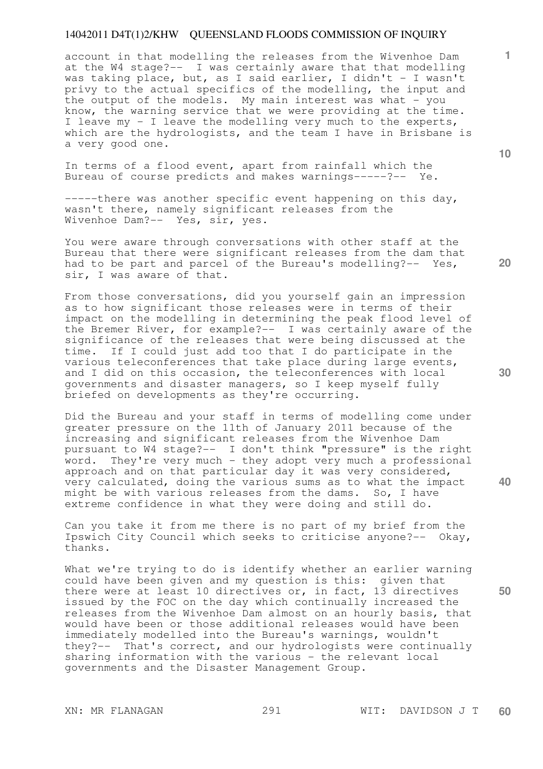account in that modelling the releases from the Wivenhoe Dam at the W4 stage?-- I was certainly aware that that modelling was taking place, but, as I said earlier, I didn't - I wasn't privy to the actual specifics of the modelling, the input and the output of the models. My main interest was what - you know, the warning service that we were providing at the time. I leave my - I leave the modelling very much to the experts, which are the hydrologists, and the team I have in Brisbane is a very good one.

In terms of a flood event, apart from rainfall which the Bureau of course predicts and makes warnings-----?-- Ye.

-----there was another specific event happening on this day, wasn't there, namely significant releases from the Wivenhoe Dam?-- Yes, sir, yes.

You were aware through conversations with other staff at the Bureau that there were significant releases from the dam that had to be part and parcel of the Bureau's modelling?-- Yes, sir, I was aware of that.

From those conversations, did you yourself gain an impression as to how significant those releases were in terms of their impact on the modelling in determining the peak flood level of the Bremer River, for example?-- I was certainly aware of the significance of the releases that were being discussed at the time. If I could just add too that I do participate in the various teleconferences that take place during large events, and I did on this occasion, the teleconferences with local governments and disaster managers, so I keep myself fully briefed on developments as they're occurring.

Did the Bureau and your staff in terms of modelling come under greater pressure on the 11th of January 2011 because of the increasing and significant releases from the Wivenhoe Dam pursuant to W4 stage?-- I don't think "pressure" is the right word. They're very much - they adopt very much a professional approach and on that particular day it was very considered, very calculated, doing the various sums as to what the impact might be with various releases from the dams. So, I have extreme confidence in what they were doing and still do.

Can you take it from me there is no part of my brief from the Ipswich City Council which seeks to criticise anyone?-- Okay, thanks.

What we're trying to do is identify whether an earlier warning could have been given and my question is this: given that there were at least 10 directives or, in fact, 13 directives issued by the FOC on the day which continually increased the releases from the Wivenhoe Dam almost on an hourly basis, that would have been or those additional releases would have been immediately modelled into the Bureau's warnings, wouldn't they?-- That's correct, and our hydrologists were continually sharing information with the various - the relevant local governments and the Disaster Management Group.

**10** 

**1**

**20** 

**30** 

**40**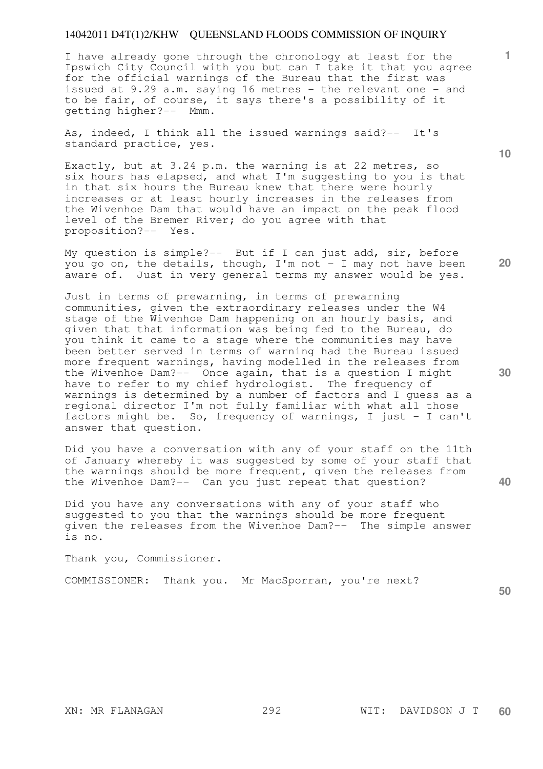I have already gone through the chronology at least for the Ipswich City Council with you but can I take it that you agree for the official warnings of the Bureau that the first was issued at 9.29 a.m. saying 16 metres - the relevant one - and to be fair, of course, it says there's a possibility of it getting higher?-- Mmm.

As, indeed, I think all the issued warnings said?-- It's standard practice, yes.

Exactly, but at 3.24 p.m. the warning is at 22 metres, so six hours has elapsed, and what I'm suggesting to you is that in that six hours the Bureau knew that there were hourly increases or at least hourly increases in the releases from the Wivenhoe Dam that would have an impact on the peak flood level of the Bremer River; do you agree with that proposition?-- Yes.

My question is simple?-- But if I can just add, sir, before you go on, the details, though, I'm not - I may not have been aware of. Just in very general terms my answer would be yes.

Just in terms of prewarning, in terms of prewarning communities, given the extraordinary releases under the W4 stage of the Wivenhoe Dam happening on an hourly basis, and given that that information was being fed to the Bureau, do you think it came to a stage where the communities may have been better served in terms of warning had the Bureau issued more frequent warnings, having modelled in the releases from the Wivenhoe Dam?-- Once again, that is a question I might have to refer to my chief hydrologist. The frequency of warnings is determined by a number of factors and I guess as a regional director I'm not fully familiar with what all those factors might be. So, frequency of warnings, I just - I can't answer that question.

Did you have a conversation with any of your staff on the 11th of January whereby it was suggested by some of your staff that the warnings should be more frequent, given the releases from the Wivenhoe Dam?-- Can you just repeat that question?

Did you have any conversations with any of your staff who suggested to you that the warnings should be more frequent given the releases from the Wivenhoe Dam?-- The simple answer is no.

Thank you, Commissioner.

COMMISSIONER: Thank you. Mr MacSporran, you're next?

**50** 

**1**

**10** 

**20**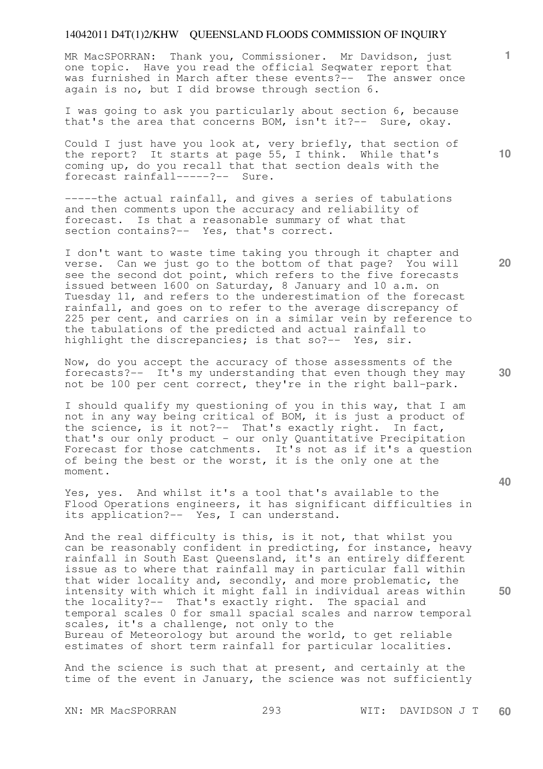MR MacSPORRAN: Thank you, Commissioner. Mr Davidson, just one topic. Have you read the official Seqwater report that was furnished in March after these events?-- The answer once again is no, but I did browse through section 6.

I was going to ask you particularly about section 6, because that's the area that concerns BOM, isn't it?-- Sure, okay.

Could I just have you look at, very briefly, that section of the report? It starts at page 55, I think. While that's coming up, do you recall that that section deals with the forecast rainfall-----?-- Sure.

-----the actual rainfall, and gives a series of tabulations and then comments upon the accuracy and reliability of forecast. Is that a reasonable summary of what that section contains?-- Yes, that's correct.

I don't want to waste time taking you through it chapter and verse. Can we just go to the bottom of that page? You will see the second dot point, which refers to the five forecasts issued between 1600 on Saturday, 8 January and 10 a.m. on Tuesday 11, and refers to the underestimation of the forecast rainfall, and goes on to refer to the average discrepancy of 225 per cent, and carries on in a similar vein by reference to the tabulations of the predicted and actual rainfall to highlight the discrepancies; is that so?-- Yes, sir.

Now, do you accept the accuracy of those assessments of the forecasts?-- It's my understanding that even though they may not be 100 per cent correct, they're in the right ball-park.

I should qualify my questioning of you in this way, that I am not in any way being critical of BOM, it is just a product of the science, is it not?-- That's exactly right. In fact, that's our only product - our only Quantitative Precipitation Forecast for those catchments. It's not as if it's a question of being the best or the worst, it is the only one at the moment.

Yes, yes. And whilst it's a tool that's available to the Flood Operations engineers, it has significant difficulties in its application?-- Yes, I can understand.

And the real difficulty is this, is it not, that whilst you can be reasonably confident in predicting, for instance, heavy rainfall in South East Queensland, it's an entirely different issue as to where that rainfall may in particular fall within that wider locality and, secondly, and more problematic, the intensity with which it might fall in individual areas within the locality?-- That's exactly right. The spacial and temporal scales 0 for small spacial scales and narrow temporal scales, it's a challenge, not only to the Bureau of Meteorology but around the world, to get reliable estimates of short term rainfall for particular localities.

And the science is such that at present, and certainly at the time of the event in January, the science was not sufficiently

XN: MR MacSPORRAN 293 WIT: DAVIDSON J T **60** 

**10** 

**1**

**20** 

**30**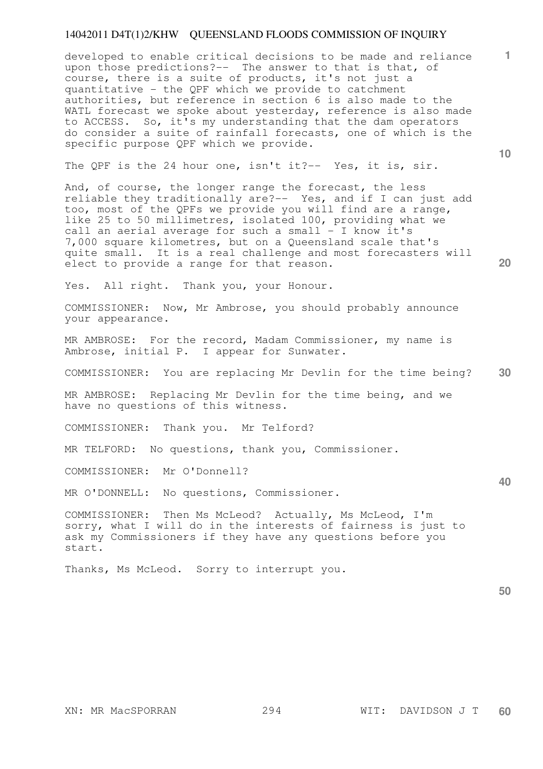developed to enable critical decisions to be made and reliance upon those predictions?-- The answer to that is that, of course, there is a suite of products, it's not just a quantitative - the QPF which we provide to catchment authorities, but reference in section 6 is also made to the WATL forecast we spoke about yesterday, reference is also made to ACCESS. So, it's my understanding that the dam operators do consider a suite of rainfall forecasts, one of which is the specific purpose QPF which we provide.

The QPF is the 24 hour one, isn't it?-- Yes, it is, sir.

And, of course, the longer range the forecast, the less reliable they traditionally are?-- Yes, and if I can just add too, most of the QPFs we provide you will find are a range, like 25 to 50 millimetres, isolated 100, providing what we call an aerial average for such a small - I know it's 7,000 square kilometres, but on a Queensland scale that's quite small. It is a real challenge and most forecasters will elect to provide a range for that reason.

Yes. All right. Thank you, your Honour.

COMMISSIONER: Now, Mr Ambrose, you should probably announce your appearance.

MR AMBROSE: For the record, Madam Commissioner, my name is Ambrose, initial P. I appear for Sunwater.

**30**  COMMISSIONER: You are replacing Mr Devlin for the time being?

MR AMBROSE: Replacing Mr Devlin for the time being, and we have no questions of this witness.

COMMISSIONER: Thank you. Mr Telford?

MR TELFORD: No questions, thank you, Commissioner.

COMMISSIONER: Mr O'Donnell?

MR O'DONNELL: No questions, Commissioner.

COMMISSIONER: Then Ms McLeod? Actually, Ms McLeod, I'm sorry, what I will do in the interests of fairness is just to ask my Commissioners if they have any questions before you start.

Thanks, Ms McLeod. Sorry to interrupt you.

**50** 

**10** 

**20** 

**1**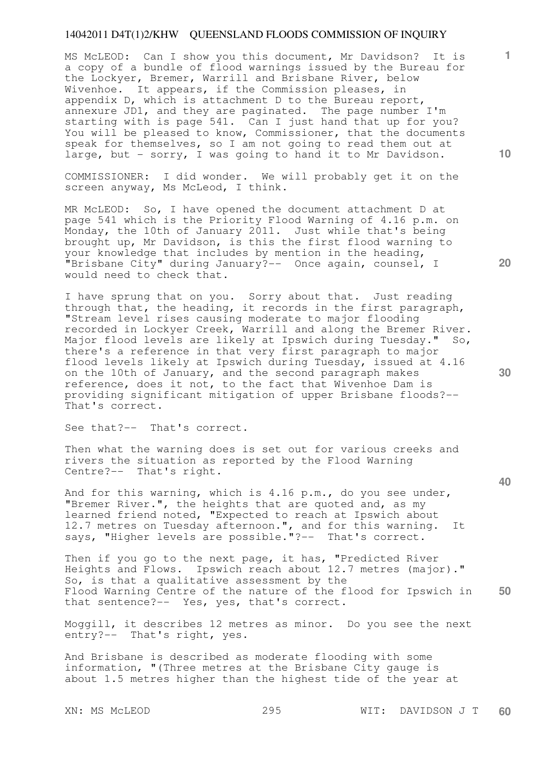MS McLEOD: Can I show you this document, Mr Davidson? It is a copy of a bundle of flood warnings issued by the Bureau for the Lockyer, Bremer, Warrill and Brisbane River, below Wivenhoe. It appears, if the Commission pleases, in appendix D, which is attachment D to the Bureau report, annexure JD1, and they are paginated. The page number I'm starting with is page 541. Can I just hand that up for you? You will be pleased to know, Commissioner, that the documents speak for themselves, so I am not going to read them out at large, but - sorry, I was going to hand it to Mr Davidson.

COMMISSIONER: I did wonder. We will probably get it on the screen anyway, Ms McLeod, I think.

MR McLEOD: So, I have opened the document attachment D at page 541 which is the Priority Flood Warning of 4.16 p.m. on Monday, the 10th of January 2011. Just while that's being brought up, Mr Davidson, is this the first flood warning to your knowledge that includes by mention in the heading, "Brisbane City" during January?-- Once again, counsel, I would need to check that.

I have sprung that on you. Sorry about that. Just reading through that, the heading, it records in the first paragraph, "Stream level rises causing moderate to major flooding recorded in Lockyer Creek, Warrill and along the Bremer River. Major flood levels are likely at Ipswich during Tuesday." So, there's a reference in that very first paragraph to major flood levels likely at Ipswich during Tuesday, issued at 4.16 on the 10th of January, and the second paragraph makes reference, does it not, to the fact that Wivenhoe Dam is providing significant mitigation of upper Brisbane floods?-- That's correct.

See that?-- That's correct.

Then what the warning does is set out for various creeks and rivers the situation as reported by the Flood Warning Centre?-- That's right.

And for this warning, which is 4.16 p.m., do you see under, "Bremer River.", the heights that are quoted and, as my learned friend noted, "Expected to reach at Ipswich about 12.7 metres on Tuesday afternoon.", and for this warning. It says, "Higher levels are possible."?-- That's correct.

**50**  Then if you go to the next page, it has, "Predicted River Heights and Flows. Ipswich reach about 12.7 metres (major)." So, is that a qualitative assessment by the Flood Warning Centre of the nature of the flood for Ipswich in that sentence?-- Yes, yes, that's correct.

Moggill, it describes 12 metres as minor. Do you see the next entry?-- That's right, yes.

And Brisbane is described as moderate flooding with some information, "(Three metres at the Brisbane City gauge is about 1.5 metres higher than the highest tide of the year at

**10** 

**1**

**20** 

**30**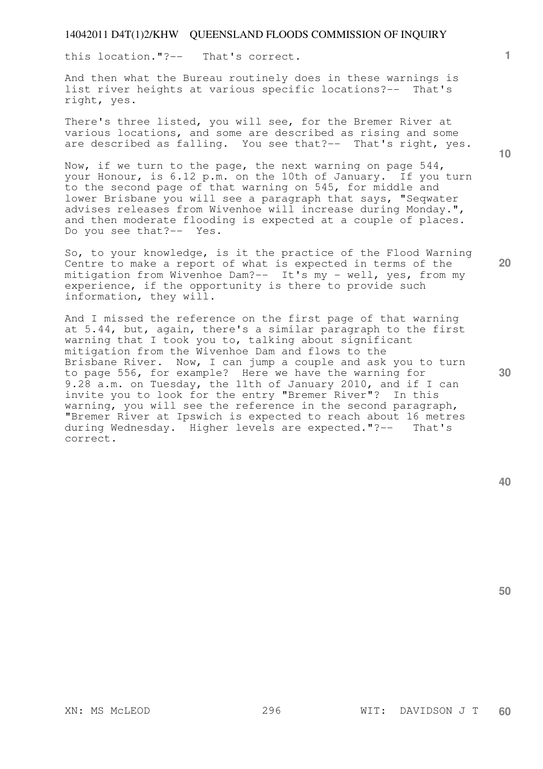this location."?-- That's correct.

And then what the Bureau routinely does in these warnings is list river heights at various specific locations?-- That's right, yes.

There's three listed, you will see, for the Bremer River at various locations, and some are described as rising and some are described as falling. You see that?-- That's right, yes.

Now, if we turn to the page, the next warning on page 544, your Honour, is 6.12 p.m. on the 10th of January. If you turn to the second page of that warning on 545, for middle and lower Brisbane you will see a paragraph that says, "Seqwater advises releases from Wivenhoe will increase during Monday.", and then moderate flooding is expected at a couple of places. Do you see that?-- Yes.

So, to your knowledge, is it the practice of the Flood Warning Centre to make a report of what is expected in terms of the mitigation from Wivenhoe Dam?-- It's my - well, yes, from my experience, if the opportunity is there to provide such information, they will.

And I missed the reference on the first page of that warning at 5.44, but, again, there's a similar paragraph to the first warning that I took you to, talking about significant mitigation from the Wivenhoe Dam and flows to the Brisbane River. Now, I can jump a couple and ask you to turn to page 556, for example? Here we have the warning for 9.28 a.m. on Tuesday, the 11th of January 2010, and if I can invite you to look for the entry "Bremer River"? In this warning, you will see the reference in the second paragraph, "Bremer River at Ipswich is expected to reach about 16 metres during Wednesday. Higher levels are expected."?-- That's correct.

**40** 

**50** 

**10** 

**1**

**30**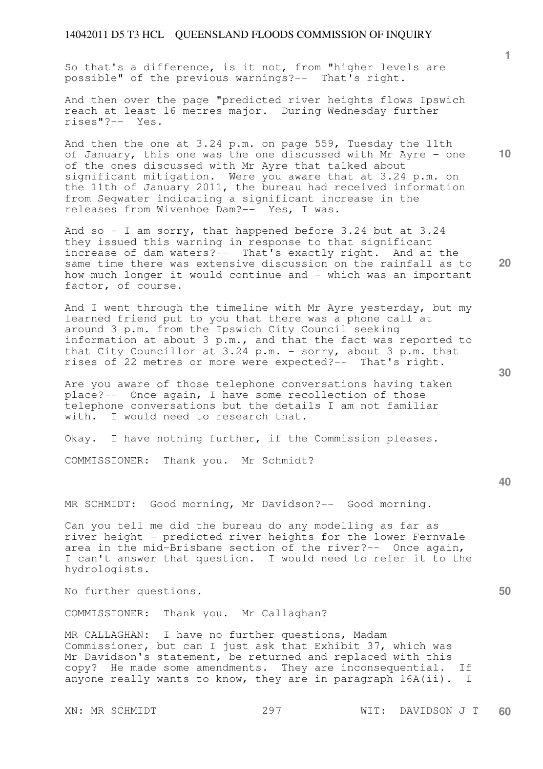So that's a difference, is it not, from "higher levels are possible" of the previous warnings?-- That's right.

And then over the page "predicted river heights flows Ipswich reach at least 16 metres major. During Wednesday further rises"?-- Yes.

And then the one at 3.24 p.m. on page 559, Tuesday the 11th of January, this one was the one discussed with Mr Ayre - one of the ones discussed with Mr Ayre that talked about significant mitigation. Were you aware that at 3.24 p.m. on the 11th of January 2011, the bureau had received information from Seqwater indicating a significant increase in the releases from Wivenhoe Dam?-- Yes, I was.

And so - I am sorry, that happened before 3.24 but at 3.24 they issued this warning in response to that significant increase of dam waters?-- That's exactly right. And at the same time there was extensive discussion on the rainfall as to how much longer it would continue and - which was an important factor, of course.

And I went through the timeline with Mr Ayre yesterday, but my learned friend put to you that there was a phone call at around 3 p.m. from the Ipswich City Council seeking information at about 3 p.m., and that the fact was reported to that City Councillor at 3.24 p.m. - sorry, about 3 p.m. that rises of 22 metres or more were expected?-- That's right.

Are you aware of those telephone conversations having taken place?-- Once again, I have some recollection of those telephone conversations but the details I am not familiar with. I would need to research that.

Okay. I have nothing further, if the Commission pleases.

COMMISSIONER: Thank you. Mr Schmidt?

MR SCHMIDT: Good morning, Mr Davidson?-- Good morning.

Can you tell me did the bureau do any modelling as far as river height - predicted river heights for the lower Fernvale area in the mid-Brisbane section of the river?-- Once again, I can't answer that question. I would need to refer it to the hydrologists.

No further questions.

COMMISSIONER: Thank you. Mr Callaghan?

MR CALLAGHAN: I have no further questions, Madam Commissioner, but can I just ask that Exhibit 37, which was Mr Davidson's statement, be returned and replaced with this copy? He made some amendments. They are inconsequential. If anyone really wants to know, they are in paragraph 16A(ii). I

**30** 

**20** 

**40** 

**50** 

**10**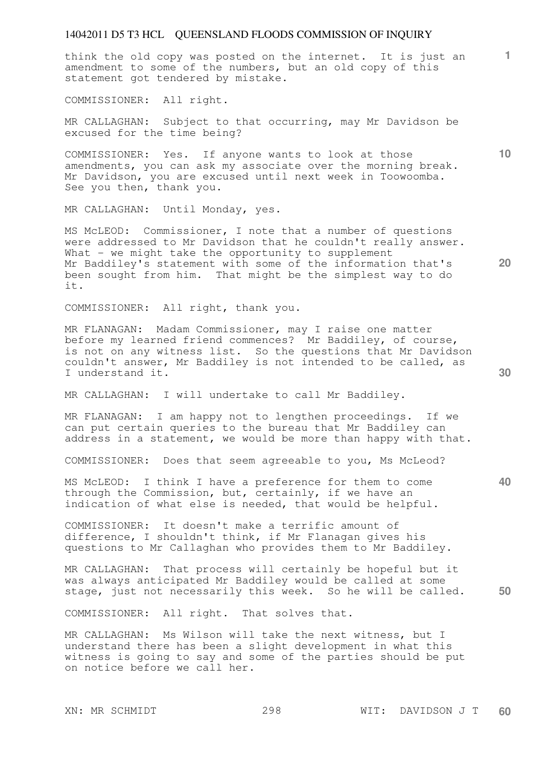think the old copy was posted on the internet. It is just an amendment to some of the numbers, but an old copy of this statement got tendered by mistake.

COMMISSIONER: All right.

MR CALLAGHAN: Subject to that occurring, may Mr Davidson be excused for the time being?

COMMISSIONER: Yes. If anyone wants to look at those amendments, you can ask my associate over the morning break. Mr Davidson, you are excused until next week in Toowoomba. See you then, thank you.

MR CALLAGHAN: Until Monday, yes.

MS McLEOD: Commissioner, I note that a number of questions were addressed to Mr Davidson that he couldn't really answer. What  $-$  we might take the opportunity to supplement Mr Baddiley's statement with some of the information that's been sought from him. That might be the simplest way to do it.

COMMISSIONER: All right, thank you.

MR FLANAGAN: Madam Commissioner, may I raise one matter before my learned friend commences? Mr Baddiley, of course, is not on any witness list. So the questions that Mr Davidson couldn't answer, Mr Baddiley is not intended to be called, as I understand it.

MR CALLAGHAN: I will undertake to call Mr Baddiley.

MR FLANAGAN: I am happy not to lengthen proceedings. If we can put certain queries to the bureau that Mr Baddiley can address in a statement, we would be more than happy with that.

COMMISSIONER: Does that seem agreeable to you, Ms McLeod?

MS McLEOD: I think I have a preference for them to come through the Commission, but, certainly, if we have an indication of what else is needed, that would be helpful.

COMMISSIONER: It doesn't make a terrific amount of difference, I shouldn't think, if Mr Flanagan gives his questions to Mr Callaghan who provides them to Mr Baddiley.

**50**  MR CALLAGHAN: That process will certainly be hopeful but it was always anticipated Mr Baddiley would be called at some stage, just not necessarily this week. So he will be called.

COMMISSIONER: All right. That solves that.

MR CALLAGHAN: Ms Wilson will take the next witness, but I understand there has been a slight development in what this witness is going to say and some of the parties should be put on notice before we call her.

**30** 

**20** 

**10**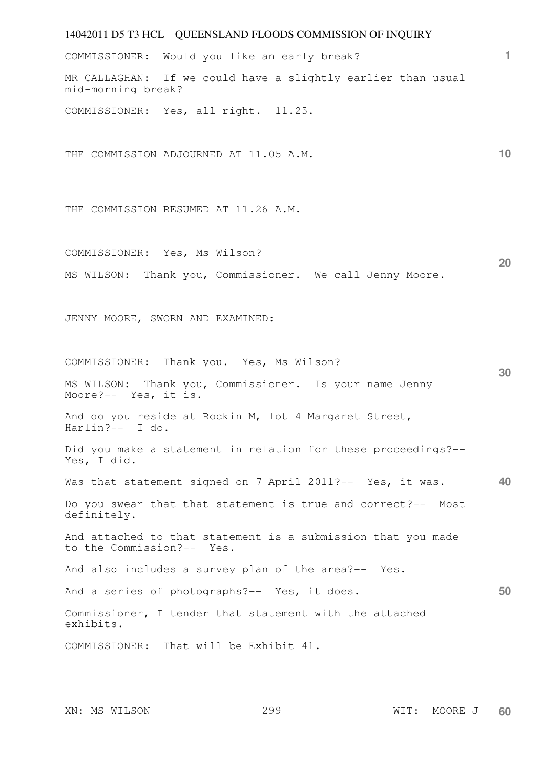| 14042011 D5 T3 HCL QUEENSLAND FLOODS COMMISSION OF INQUIRY                                |    |
|-------------------------------------------------------------------------------------------|----|
| COMMISSIONER: Would you like an early break?                                              | 1. |
| MR CALLAGHAN: If we could have a slightly earlier than usual<br>mid-morning break?        |    |
| COMMISSIONER: Yes, all right. 11.25.                                                      |    |
| THE COMMISSION ADJOURNED AT 11.05 A.M.                                                    | 10 |
| THE COMMISSION RESUMED AT 11.26 A.M.                                                      |    |
| COMMISSIONER: Yes, Ms Wilson?                                                             |    |
| MS WILSON: Thank you, Commissioner. We call Jenny Moore.                                  | 20 |
| JENNY MOORE, SWORN AND EXAMINED:                                                          |    |
| COMMISSIONER: Thank you. Yes, Ms Wilson?                                                  | 30 |
| MS WILSON: Thank you, Commissioner. Is your name Jenny<br>Moore?-- Yes, it is.            |    |
| And do you reside at Rockin M, lot 4 Margaret Street,<br>Harlin?-- I do.                  |    |
| Did you make a statement in relation for these proceedings?--<br>Yes, I did.              |    |
| Was that statement signed on 7 April 2011?-- Yes, it was.                                 | 40 |
| Do you swear that that statement is true and correct?-- Most<br>definitely.               |    |
| And attached to that statement is a submission that you made<br>to the Commission?-- Yes. |    |
| And also includes a survey plan of the area?-- Yes.                                       |    |
| And a series of photographs?-- Yes, it does.                                              | 50 |
| Commissioner, I tender that statement with the attached<br>exhibits.                      |    |
| COMMISSIONER: That will be Exhibit 41.                                                    |    |
|                                                                                           |    |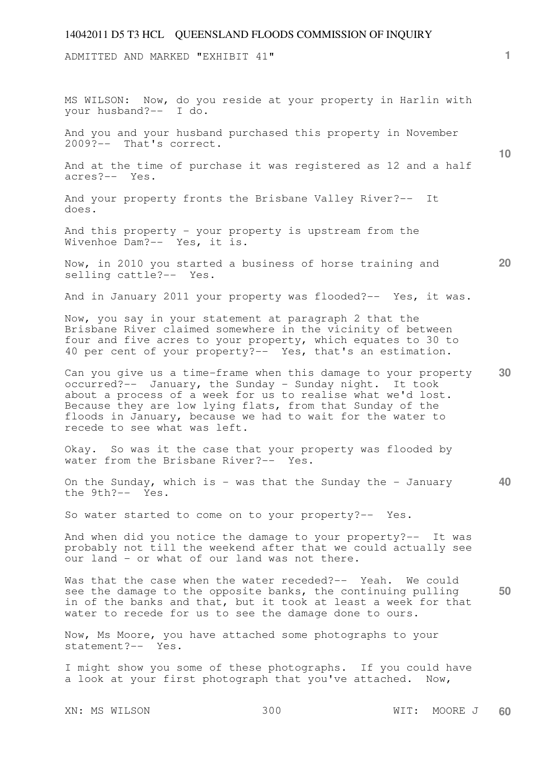ADMITTED AND MARKED "EXHIBIT 41"

XN: MS WILSON 300 WIT: MOORE J **10 20 30 40 50**  MS WILSON: Now, do you reside at your property in Harlin with your husband?-- I do. And you and your husband purchased this property in November 2009?-- That's correct. And at the time of purchase it was registered as 12 and a half acres?-- Yes. And your property fronts the Brisbane Valley River?-- It does. And this property - your property is upstream from the Wivenhoe Dam?-- Yes, it is. Now, in 2010 you started a business of horse training and selling cattle?-- Yes. And in January 2011 your property was flooded?-- Yes, it was. Now, you say in your statement at paragraph 2 that the Brisbane River claimed somewhere in the vicinity of between four and five acres to your property, which equates to 30 to 40 per cent of your property?-- Yes, that's an estimation. Can you give us a time-frame when this damage to your property occurred?-- January, the Sunday - Sunday night. It took about a process of a week for us to realise what we'd lost. Because they are low lying flats, from that Sunday of the floods in January, because we had to wait for the water to recede to see what was left. Okay. So was it the case that your property was flooded by water from the Brisbane River?-- Yes. On the Sunday, which is  $-$  was that the Sunday the  $-$  January the 9th?-- Yes. So water started to come on to your property?-- Yes. And when did you notice the damage to your property?-- It was probably not till the weekend after that we could actually see our land - or what of our land was not there. Was that the case when the water receded? -- Yeah. We could see the damage to the opposite banks, the continuing pulling in of the banks and that, but it took at least a week for that water to recede for us to see the damage done to ours. Now, Ms Moore, you have attached some photographs to your statement?-- Yes. I might show you some of these photographs. If you could have a look at your first photograph that you've attached. Now,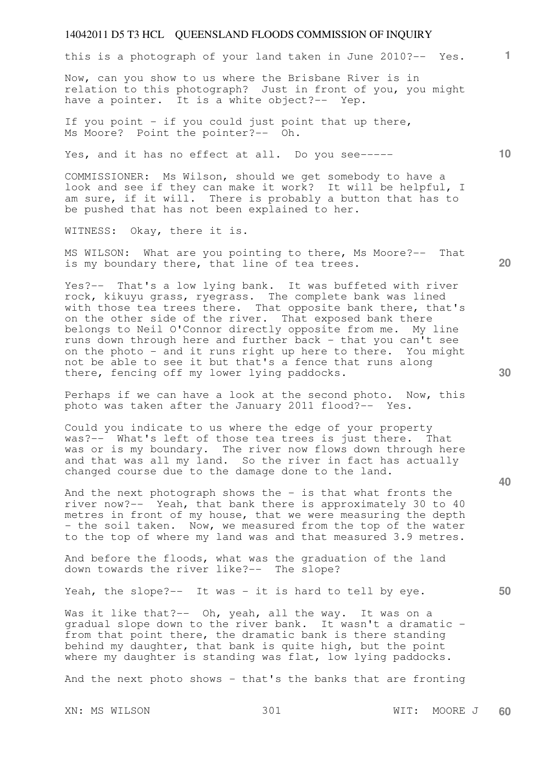this is a photograph of your land taken in June 2010?-- Yes.

Now, can you show to us where the Brisbane River is in relation to this photograph? Just in front of you, you might have a pointer. It is a white object?-- Yep.

If you point - if you could just point that up there, Ms Moore? Point the pointer?-- Oh.

Yes, and it has no effect at all. Do you see-----

COMMISSIONER: Ms Wilson, should we get somebody to have a look and see if they can make it work? It will be helpful, I am sure, if it will. There is probably a button that has to be pushed that has not been explained to her.

WITNESS: Okay, there it is.

MS WILSON: What are you pointing to there, Ms Moore?-- That is my boundary there, that line of tea trees.

Yes?-- That's a low lying bank. It was buffeted with river rock, kikuyu grass, ryegrass. The complete bank was lined with those tea trees there. That opposite bank there, that's on the other side of the river. That exposed bank there belongs to Neil O'Connor directly opposite from me. My line runs down through here and further back - that you can't see on the photo - and it runs right up here to there. You might not be able to see it but that's a fence that runs along there, fencing off my lower lying paddocks.

Perhaps if we can have a look at the second photo. Now, this photo was taken after the January 2011 flood?-- Yes.

Could you indicate to us where the edge of your property was?-- What's left of those tea trees is just there. That was or is my boundary. The river now flows down through here and that was all my land. So the river in fact has actually changed course due to the damage done to the land.

And the next photograph shows the  $-$  is that what fronts the river now?-- Yeah, that bank there is approximately 30 to 40 metres in front of my house, that we were measuring the depth - the soil taken. Now, we measured from the top of the water to the top of where my land was and that measured 3.9 metres.

And before the floods, what was the graduation of the land down towards the river like?-- The slope?

Yeah, the slope?-- It was - it is hard to tell by eye.

Was it like that ?-- Oh, yeah, all the way. It was on a gradual slope down to the river bank. It wasn't a dramatic from that point there, the dramatic bank is there standing behind my daughter, that bank is quite high, but the point where my daughter is standing was flat, low lying paddocks.

And the next photo shows - that's the banks that are fronting

**20** 

**40** 

**30** 

**50** 

**1**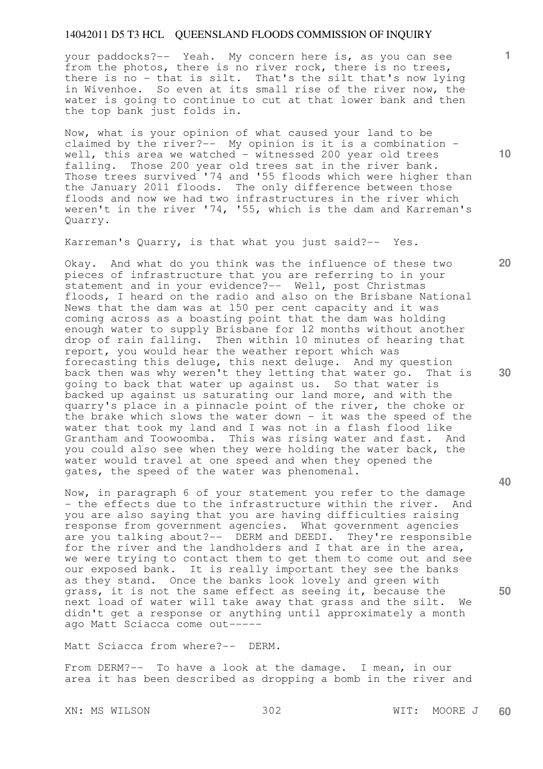your paddocks?-- Yeah. My concern here is, as you can see from the photos, there is no river rock, there is no trees, there is no - that is silt. That's the silt that's now lying in Wivenhoe. So even at its small rise of the river now, the water is going to continue to cut at that lower bank and then the top bank just folds in.

Now, what is your opinion of what caused your land to be claimed by the river?-- My opinion is it is a combination well, this area we watched  $-$  witnessed 200 year old trees falling. Those 200 year old trees sat in the river bank. Those trees survived '74 and '55 floods which were higher than the January 2011 floods. The only difference between those floods and now we had two infrastructures in the river which weren't in the river '74, '55, which is the dam and Karreman's Quarry.

Karreman's Quarry, is that what you just said?-- Yes.

Okay. And what do you think was the influence of these two pieces of infrastructure that you are referring to in your statement and in your evidence?-- Well, post Christmas floods, I heard on the radio and also on the Brisbane National News that the dam was at 150 per cent capacity and it was coming across as a boasting point that the dam was holding enough water to supply Brisbane for 12 months without another drop of rain falling. Then within 10 minutes of hearing that report, you would hear the weather report which was forecasting this deluge, this next deluge. And my question back then was why weren't they letting that water go. That is going to back that water up against us. So that water is backed up against us saturating our land more, and with the quarry's place in a pinnacle point of the river, the choke or the brake which slows the water down - it was the speed of the water that took my land and I was not in a flash flood like Grantham and Toowoomba. This was rising water and fast. And you could also see when they were holding the water back, the water would travel at one speed and when they opened the gates, the speed of the water was phenomenal.

Now, in paragraph 6 of your statement you refer to the damage - the effects due to the infrastructure within the river. And you are also saying that you are having difficulties raising response from government agencies. What government agencies are you talking about?-- DERM and DEEDI. They're responsible for the river and the landholders and I that are in the area, we were trying to contact them to get them to come out and see our exposed bank. It is really important they see the banks as they stand. Once the banks look lovely and green with grass, it is not the same effect as seeing it, because the next load of water will take away that grass and the silt. We didn't get a response or anything until approximately a month ago Matt Sciacca come out-----

Matt Sciacca from where?-- DERM.

From DERM?-- To have a look at the damage. I mean, in our area it has been described as dropping a bomb in the river and

XN: MS WILSON 302 WIT: MOORE J

**10** 

**20** 

**1**

**40** 

**30**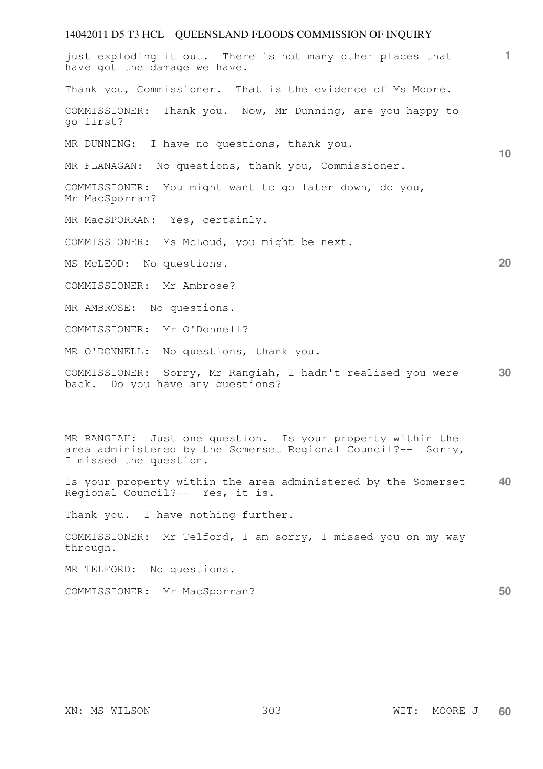# 14042011 D5 T3 HCL QUEENSLAND FLOODS COMMISSION OF INQUIRY **1 10 20 30 40**  just exploding it out. There is not many other places that have got the damage we have. Thank you, Commissioner. That is the evidence of Ms Moore. COMMISSIONER: Thank you. Now, Mr Dunning, are you happy to go first? MR DUNNING: I have no questions, thank you. MR FLANAGAN: No questions, thank you, Commissioner. COMMISSIONER: You might want to go later down, do you, Mr MacSporran? MR MacSPORRAN: Yes, certainly. COMMISSIONER: Ms McLoud, you might be next. MS McLEOD: No questions. COMMISSIONER: Mr Ambrose? MR AMBROSE: No questions. COMMISSIONER: Mr O'Donnell? MR O'DONNELL: No questions, thank you. COMMISSIONER: Sorry, Mr Rangiah, I hadn't realised you were back. Do you have any questions? MR RANGIAH: Just one question. Is your property within the area administered by the Somerset Regional Council?-- Sorry, I missed the question. Is your property within the area administered by the Somerset Regional Council?-- Yes, it is. Thank you. I have nothing further. COMMISSIONER: Mr Telford, I am sorry, I missed you on my way through.

MR TELFORD: No questions.

COMMISSIONER: Mr MacSporran?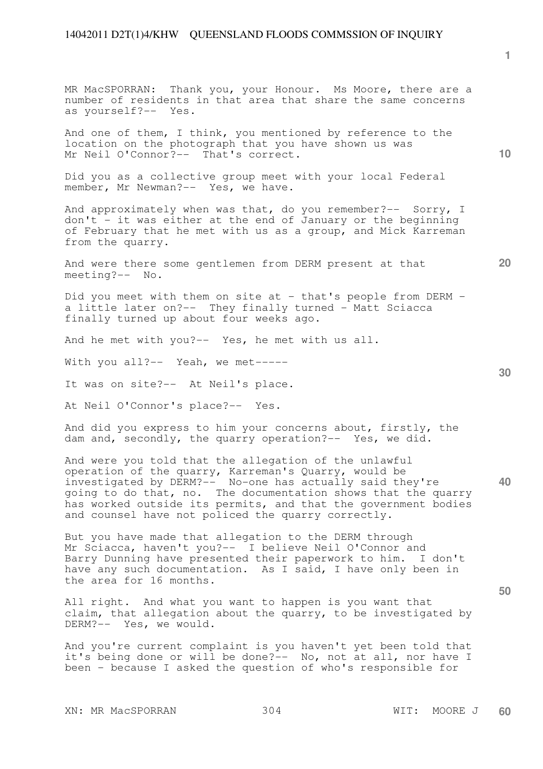**10 20 30 40**  MR MacSPORRAN: Thank you, your Honour. Ms Moore, there are a number of residents in that area that share the same concerns as yourself?-- Yes. And one of them, I think, you mentioned by reference to the location on the photograph that you have shown us was Mr Neil O'Connor?-- That's correct. Did you as a collective group meet with your local Federal member, Mr Newman?-- Yes, we have. And approximately when was that, do you remember?-- Sorry, I don't - it was either at the end of January or the beginning of February that he met with us as a group, and Mick Karreman from the quarry. And were there some gentlemen from DERM present at that meeting?-- No. Did you meet with them on site at - that's people from DERM a little later on?-- They finally turned - Matt Sciacca finally turned up about four weeks ago. And he met with you?-- Yes, he met with us all. With you all?-- Yeah, we met-----It was on site?-- At Neil's place. At Neil O'Connor's place?-- Yes. And did you express to him your concerns about, firstly, the dam and, secondly, the quarry operation?-- Yes, we did. And were you told that the allegation of the unlawful operation of the quarry, Karreman's Quarry, would be investigated by DERM?-- No-one has actually said they're going to do that, no. The documentation shows that the quarry has worked outside its permits, and that the government bodies and counsel have not policed the quarry correctly. But you have made that allegation to the DERM through

Mr Sciacca, haven't you?-- I believe Neil O'Connor and Barry Dunning have presented their paperwork to him. I don't have any such documentation. As I said, I have only been in the area for 16 months.

All right. And what you want to happen is you want that claim, that allegation about the quarry, to be investigated by DERM?-- Yes, we would.

And you're current complaint is you haven't yet been told that it's being done or will be done?-- No, not at all, nor have I been - because I asked the question of who's responsible for

XN: MR MacSPORRAN 304 WIT: MOORE J

**1**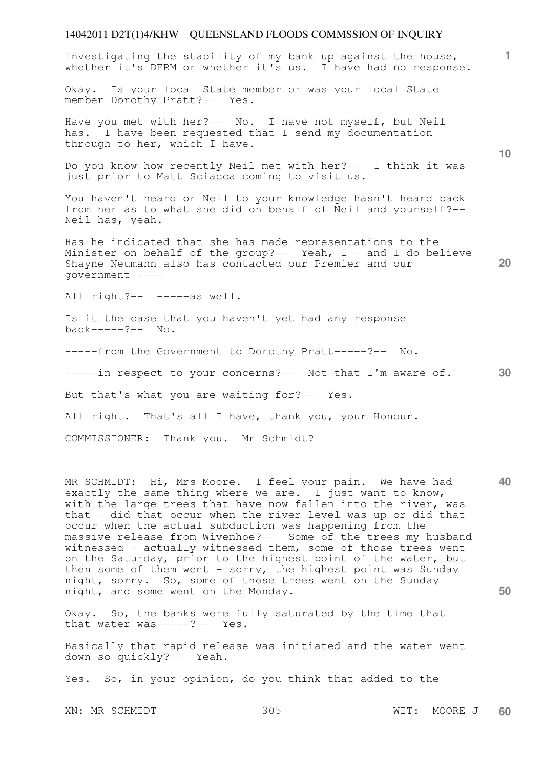investigating the stability of my bank up against the house, whether it's DERM or whether it's us. I have had no response.

Okay. Is your local State member or was your local State member Dorothy Pratt?-- Yes.

Have you met with her?-- No. I have not myself, but Neil has. I have been requested that I send my documentation through to her, which I have.

Do you know how recently Neil met with her?-- I think it was just prior to Matt Sciacca coming to visit us.

You haven't heard or Neil to your knowledge hasn't heard back from her as to what she did on behalf of Neil and yourself?-- Neil has, yeah.

Has he indicated that she has made representations to the Minister on behalf of the group?-- Yeah,  $I -$  and  $I$  do believe Shayne Neumann also has contacted our Premier and our government-----

All right?-- -----as well.

Is it the case that you haven't yet had any response back-----?-- No.

-----from the Government to Dorothy Pratt-----?-- No.

**30**  -----in respect to your concerns?-- Not that I'm aware of.

But that's what you are waiting for?-- Yes.

All right. That's all I have, thank you, your Honour.

COMMISSIONER: Thank you. Mr Schmidt?

**40 50**  MR SCHMIDT: Hi, Mrs Moore. I feel your pain. We have had exactly the same thing where we are. I just want to know, with the large trees that have now fallen into the river, was that - did that occur when the river level was up or did that occur when the actual subduction was happening from the massive release from Wivenhoe?-- Some of the trees my husband witnessed - actually witnessed them, some of those trees went on the Saturday, prior to the highest point of the water, but then some of them went - sorry, the highest point was Sunday night, sorry. So, some of those trees went on the Sunday night, and some went on the Monday.

Okay. So, the banks were fully saturated by the time that that water was-----?-- Yes.

Basically that rapid release was initiated and the water went down so quickly?-- Yeah.

Yes. So, in your opinion, do you think that added to the

XN: MR SCHMIDT 305 WIT: MOORE J **60** 

**10** 

**1**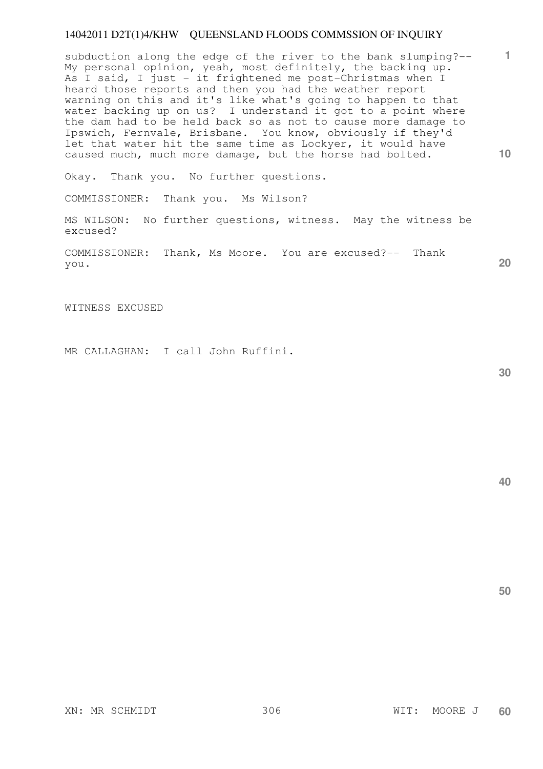**10**  subduction along the edge of the river to the bank slumping?-- My personal opinion, yeah, most definitely, the backing up. As I said, I just - it frightened me post-Christmas when I heard those reports and then you had the weather report warning on this and it's like what's going to happen to that water backing up on us? I understand it got to a point where the dam had to be held back so as not to cause more damage to Ipswich, Fernvale, Brisbane. You know, obviously if they'd let that water hit the same time as Lockyer, it would have caused much, much more damage, but the horse had bolted.

Okay. Thank you. No further questions.

COMMISSIONER: Thank you. Ms Wilson?

MS WILSON: No further questions, witness. May the witness be excused?

COMMISSIONER: Thank, Ms Moore. You are excused?-- Thank you.

WITNESS EXCUSED

MR CALLAGHAN: I call John Ruffini.

**30** 

**20** 

**40** 

**50**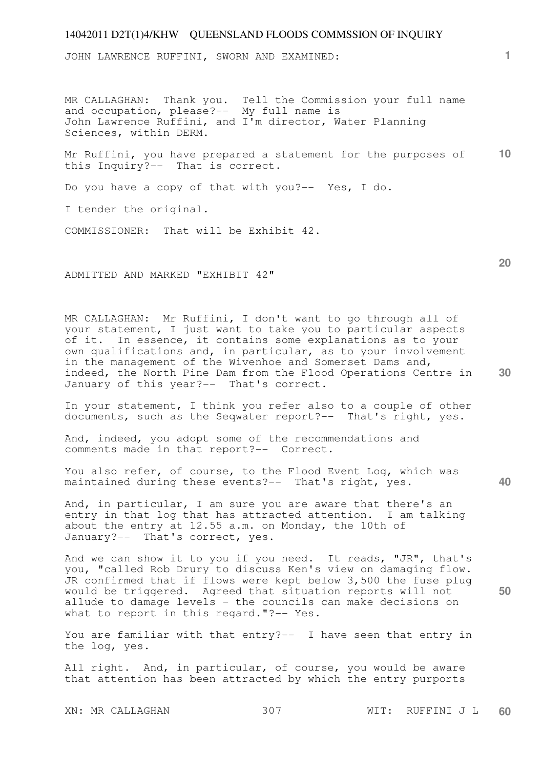JOHN LAWRENCE RUFFINI, SWORN AND EXAMINED:

MR CALLAGHAN: Thank you. Tell the Commission your full name and occupation, please?-- My full name is John Lawrence Ruffini, and I'm director, Water Planning Sciences, within DERM.

**10**  Mr Ruffini, you have prepared a statement for the purposes of this Inquiry?-- That is correct.

Do you have a copy of that with you?-- Yes, I do.

I tender the original.

COMMISSIONER: That will be Exhibit 42.

ADMITTED AND MARKED "EXHIBIT 42"

MR CALLAGHAN: Mr Ruffini, I don't want to go through all of your statement, I just want to take you to particular aspects of it. In essence, it contains some explanations as to your own qualifications and, in particular, as to your involvement in the management of the Wivenhoe and Somerset Dams and, indeed, the North Pine Dam from the Flood Operations Centre in January of this year?-- That's correct.

In your statement, I think you refer also to a couple of other documents, such as the Seqwater report?-- That's right, yes.

And, indeed, you adopt some of the recommendations and comments made in that report?-- Correct.

You also refer, of course, to the Flood Event Log, which was maintained during these events?-- That's right, yes.

And, in particular, I am sure you are aware that there's an entry in that log that has attracted attention. I am talking about the entry at 12.55 a.m. on Monday, the 10th of January?-- That's correct, yes.

And we can show it to you if you need. It reads, "JR", that's you, "called Rob Drury to discuss Ken's view on damaging flow. JR confirmed that if flows were kept below 3,500 the fuse plug would be triggered. Agreed that situation reports will not allude to damage levels - the councils can make decisions on what to report in this regard."?-- Yes.

You are familiar with that entry?-- I have seen that entry in the log, yes.

All right. And, in particular, of course, you would be aware that attention has been attracted by which the entry purports

XN: MR CALLAGHAN 307 WIT: RUFFINI J L **60** 

**1**

**20** 

**40**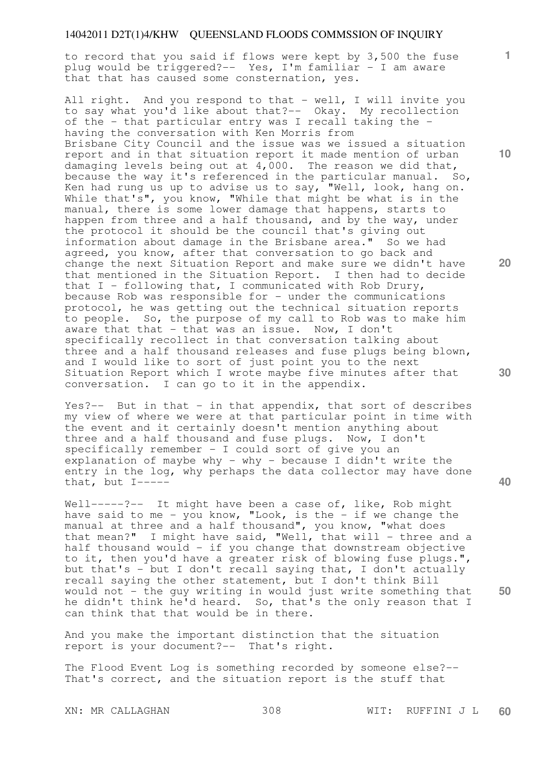to record that you said if flows were kept by 3,500 the fuse plug would be triggered?-- Yes, I'm familiar - I am aware that that has caused some consternation, yes.

All right. And you respond to that - well, I will invite you to say what you'd like about that?-- Okay. My recollection of the - that particular entry was I recall taking the having the conversation with Ken Morris from Brisbane City Council and the issue was we issued a situation report and in that situation report it made mention of urban damaging levels being out at  $4,000$ . The reason we did that, because the way it's referenced in the particular manual. So, Ken had rung us up to advise us to say, "Well, look, hang on. While that's", you know, "While that might be what is in the manual, there is some lower damage that happens, starts to happen from three and a half thousand, and by the way, under the protocol it should be the council that's giving out information about damage in the Brisbane area." So we had agreed, you know, after that conversation to go back and change the next Situation Report and make sure we didn't have that mentioned in the Situation Report. I then had to decide that  $I$  - following that, I communicated with Rob Drury, because Rob was responsible for  $-$  under the communications protocol, he was getting out the technical situation reports to people. So, the purpose of my call to Rob was to make him aware that that  $-$  that was an issue. Now, I don't specifically recollect in that conversation talking about three and a half thousand releases and fuse plugs being blown, and I would like to sort of just point you to the next Situation Report which I wrote maybe five minutes after that conversation. I can go to it in the appendix.

Yes?-- But in that - in that appendix, that sort of describes my view of where we were at that particular point in time with the event and it certainly doesn't mention anything about three and a half thousand and fuse plugs. Now, I don't specifically remember - I could sort of give you an explanation of maybe why - why - because I didn't write the entry in the log, why perhaps the data collector may have done that, but I-----

Well-----?-- It might have been a case of, like, Rob might have said to me - you know, "Look, is the - if we change the manual at three and a half thousand", you know, "what does that mean?" I might have said, "Well, that will - three and a half thousand would - if you change that downstream objective to it, then you'd have a greater risk of blowing fuse plugs.", but that's - but I don't recall saying that, I don't actually recall saying the other statement, but I don't think Bill would not - the guy writing in would just write something that he didn't think he'd heard. So, that's the only reason that I can think that that would be in there.

And you make the important distinction that the situation report is your document?-- That's right.

The Flood Event Log is something recorded by someone else?-- That's correct, and the situation report is the stuff that

**10** 

**1**

**20** 

**40** 

**50**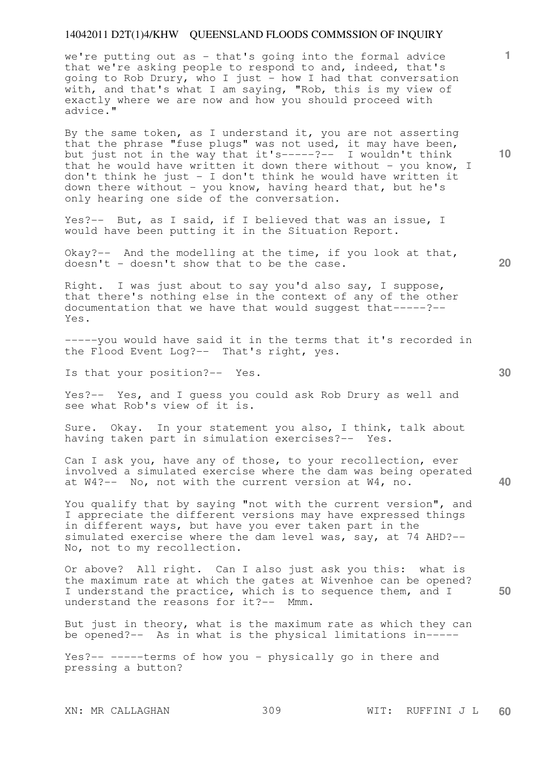we're putting out as - that's going into the formal advice that we're asking people to respond to and, indeed, that's going to Rob Drury, who I just - how I had that conversation with, and that's what I am saying, "Rob, this is my view of exactly where we are now and how you should proceed with advice."

By the same token, as I understand it, you are not asserting that the phrase "fuse plugs" was not used, it may have been, but just not in the way that it's-----?-- I wouldn't think that he would have written it down there without - you know, I don't think he just - I don't think he would have written it down there without - you know, having heard that, but he's only hearing one side of the conversation.

Yes?-- But, as I said, if I believed that was an issue, I would have been putting it in the Situation Report.

Okay?-- And the modelling at the time, if you look at that, doesn't - doesn't show that to be the case.

Right. I was just about to say you'd also say, I suppose, that there's nothing else in the context of any of the other documentation that we have that would suggest that-----?-- Yes.

-----you would have said it in the terms that it's recorded in the Flood Event Log?-- That's right, yes.

Is that your position?-- Yes.

Yes?-- Yes, and I guess you could ask Rob Drury as well and see what Rob's view of it is.

Sure. Okay. In your statement you also, I think, talk about having taken part in simulation exercises?-- Yes.

Can I ask you, have any of those, to your recollection, ever involved a simulated exercise where the dam was being operated at W4?-- No, not with the current version at W4, no.

You qualify that by saying "not with the current version", and I appreciate the different versions may have expressed things in different ways, but have you ever taken part in the simulated exercise where the dam level was, say, at 74 AHD?-- No, not to my recollection.

**50**  Or above? All right. Can I also just ask you this: what is the maximum rate at which the gates at Wivenhoe can be opened? I understand the practice, which is to sequence them, and I understand the reasons for it?-- Mmm.

But just in theory, what is the maximum rate as which they can be opened?-- As in what is the physical limitations in-----

Yes?-- -----terms of how you - physically go in there and pressing a button?

**10** 

**1**

**20**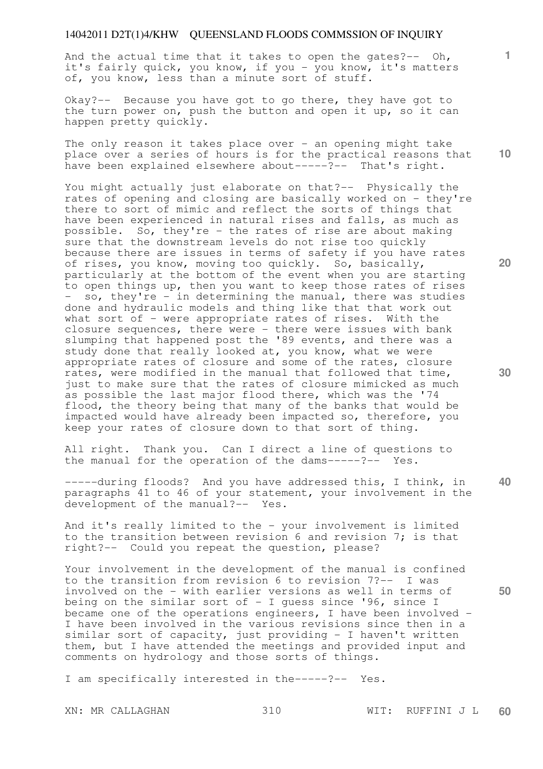And the actual time that it takes to open the gates?-- Oh, it's fairly quick, you know, if you - you know, it's matters of, you know, less than a minute sort of stuff.

Okay?-- Because you have got to go there, they have got to the turn power on, push the button and open it up, so it can happen pretty quickly.

The only reason it takes place over  $-$  an opening might take place over a series of hours is for the practical reasons that have been explained elsewhere about-----?-- That's right.

You might actually just elaborate on that?-- Physically the rates of opening and closing are basically worked on - they're there to sort of mimic and reflect the sorts of things that have been experienced in natural rises and falls, as much as possible. So, they're - the rates of rise are about making sure that the downstream levels do not rise too quickly because there are issues in terms of safety if you have rates of rises, you know, moving too quickly. So, basically, particularly at the bottom of the event when you are starting to open things up, then you want to keep those rates of rises - so, they're - in determining the manual, there was studies done and hydraulic models and thing like that that work out what sort of - were appropriate rates of rises. With the closure sequences, there were - there were issues with bank slumping that happened post the '89 events, and there was a study done that really looked at, you know, what we were appropriate rates of closure and some of the rates, closure rates, were modified in the manual that followed that time, just to make sure that the rates of closure mimicked as much as possible the last major flood there, which was the '74 flood, the theory being that many of the banks that would be impacted would have already been impacted so, therefore, you keep your rates of closure down to that sort of thing.

All right. Thank you. Can I direct a line of questions to the manual for the operation of the dams-----?-- Yes.

-----during floods? And you have addressed this, I think, in paragraphs 41 to 46 of your statement, your involvement in the development of the manual?-- Yes.

And it's really limited to the - your involvement is limited to the transition between revision 6 and revision 7; is that right?-- Could you repeat the question, please?

Your involvement in the development of the manual is confined to the transition from revision 6 to revision 7?-- I was involved on the - with earlier versions as well in terms of being on the similar sort of  $-$  I quess since '96, since I became one of the operations engineers, I have been involved - I have been involved in the various revisions since then in a similar sort of capacity, just providing - I haven't written them, but I have attended the meetings and provided input and comments on hydrology and those sorts of things.

I am specifically interested in the-----?-- Yes.

**10** 

**1**

**30** 

**40** 

**50**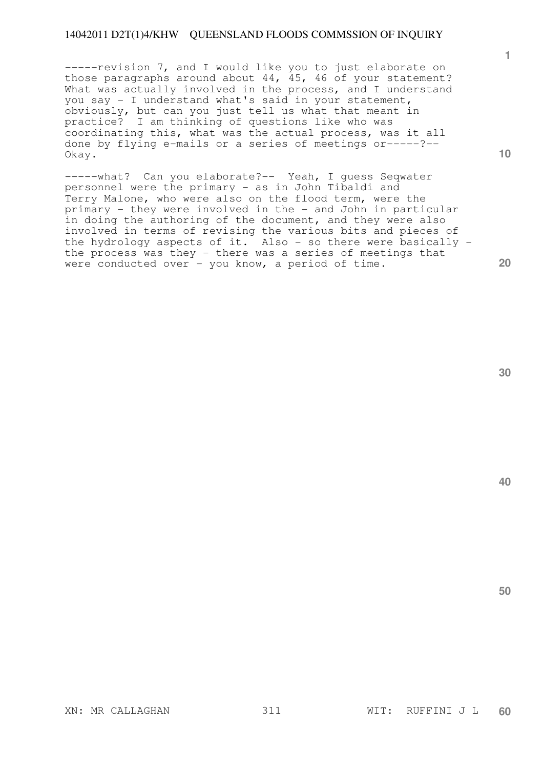-----revision 7, and I would like you to just elaborate on those paragraphs around about 44, 45, 46 of your statement? What was actually involved in the process, and I understand you say - I understand what's said in your statement, obviously, but can you just tell us what that meant in practice? I am thinking of questions like who was coordinating this, what was the actual process, was it all done by flying e-mails or a series of meetings or-----?-- Okay.

-----what? Can you elaborate?-- Yeah, I guess Seqwater personnel were the primary - as in John Tibaldi and Terry Malone, who were also on the flood term, were the primary - they were involved in the - and John in particular in doing the authoring of the document, and they were also involved in terms of revising the various bits and pieces of the hydrology aspects of it. Also - so there were basically the process was they - there was a series of meetings that were conducted over - you know, a period of time.

**30** 

**40** 

**50** 

**1**

**10**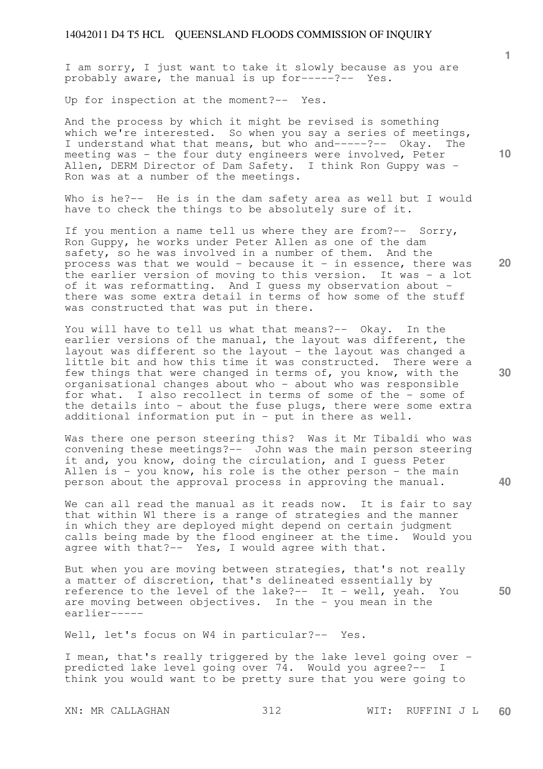I am sorry, I just want to take it slowly because as you are probably aware, the manual is up for-----?-- Yes.

Up for inspection at the moment?-- Yes.

And the process by which it might be revised is something which we're interested. So when you say a series of meetings, I understand what that means, but who and-----?-- Okay. The meeting was - the four duty engineers were involved, Peter Allen, DERM Director of Dam Safety. I think Ron Guppy was - Ron was at a number of the meetings.

Who is he?-- He is in the dam safety area as well but I would have to check the things to be absolutely sure of it.

If you mention a name tell us where they are from?-- Sorry, Ron Guppy, he works under Peter Allen as one of the dam safety, so he was involved in a number of them. And the process was that we would - because it - in essence, there was the earlier version of moving to this version. It was - a lot of it was reformatting. And I quess my observation about there was some extra detail in terms of how some of the stuff was constructed that was put in there.

You will have to tell us what that means? -- Okay. In the earlier versions of the manual, the layout was different, the layout was different so the layout - the layout was changed a little bit and how this time it was constructed. There were a few things that were changed in terms of, you know, with the organisational changes about who - about who was responsible for what. I also recollect in terms of some of the - some of the details into - about the fuse plugs, there were some extra additional information put in - put in there as well.

Was there one person steering this? Was it Mr Tibaldi who was convening these meetings?-- John was the main person steering it and, you know, doing the circulation, and I guess Peter Allen is - you know, his role is the other person - the main person about the approval process in approving the manual.

We can all read the manual as it reads now. It is fair to say that within W1 there is a range of strategies and the manner in which they are deployed might depend on certain judgment calls being made by the flood engineer at the time. Would you agree with that?-- Yes, I would agree with that.

But when you are moving between strategies, that's not really a matter of discretion, that's delineated essentially by reference to the level of the lake?-- It - well, yeah. You are moving between objectives. In the - you mean in the earlier-----

Well, let's focus on W4 in particular?-- Yes.

I mean, that's really triggered by the lake level going over predicted lake level going over 74. Would you agree?-- I think you would want to be pretty sure that you were going to

XN: MR CALLAGHAN 312 WIT: RUFFINI J L **60** 

**20** 

**30** 

**50** 

**1**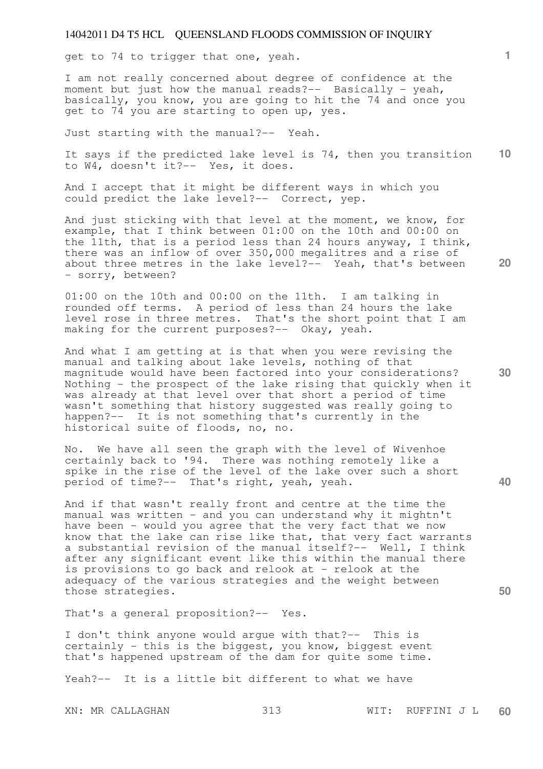get to 74 to trigger that one, yeah.

I am not really concerned about degree of confidence at the moment but just how the manual reads?-- Basically - yeah, basically, you know, you are going to hit the 74 and once you get to 74 you are starting to open up, yes.

Just starting with the manual?-- Yeah.

**10**  It says if the predicted lake level is 74, then you transition to W4, doesn't it?-- Yes, it does.

And I accept that it might be different ways in which you could predict the lake level?-- Correct, yep.

And just sticking with that level at the moment, we know, for example, that I think between 01:00 on the 10th and 00:00 on the 11th, that is a period less than 24 hours anyway, I think, there was an inflow of over 350,000 megalitres and a rise of about three metres in the lake level?-- Yeah, that's between - sorry, between?

01:00 on the 10th and 00:00 on the 11th. I am talking in rounded off terms. A period of less than 24 hours the lake level rose in three metres. That's the short point that I am making for the current purposes?-- Okay, yeah.

And what I am getting at is that when you were revising the manual and talking about lake levels, nothing of that magnitude would have been factored into your considerations? Nothing - the prospect of the lake rising that quickly when it was already at that level over that short a period of time wasn't something that history suggested was really going to happen?-- It is not something that's currently in the historical suite of floods, no, no.

No. We have all seen the graph with the level of Wivenhoe certainly back to '94. There was nothing remotely like a spike in the rise of the level of the lake over such a short period of time?-- That's right, yeah, yeah.

And if that wasn't really front and centre at the time the manual was written - and you can understand why it mightn't have been - would you agree that the very fact that we now know that the lake can rise like that, that very fact warrants a substantial revision of the manual itself?-- Well, I think after any significant event like this within the manual there is provisions to go back and relook at - relook at the adequacy of the various strategies and the weight between those strategies.

That's a general proposition?-- Yes.

I don't think anyone would argue with that?-- This is certainly - this is the biggest, you know, biggest event that's happened upstream of the dam for quite some time.

Yeah?-- It is a little bit different to what we have

XN: MR CALLAGHAN 313 WIT: RUFFINI J L **60** 

**30** 

**20** 

**50**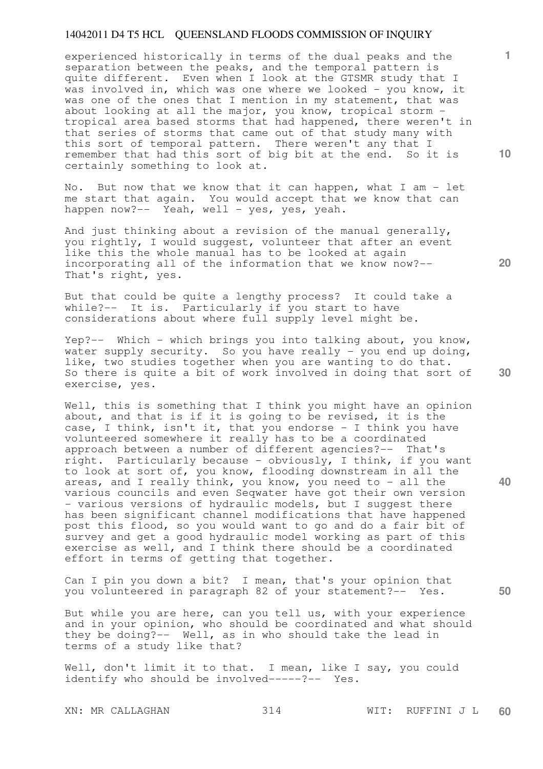experienced historically in terms of the dual peaks and the separation between the peaks, and the temporal pattern is quite different. Even when I look at the GTSMR study that I was involved in, which was one where we looked - you know, it was one of the ones that I mention in my statement, that was about looking at all the major, you know, tropical storm tropical area based storms that had happened, there weren't in that series of storms that came out of that study many with this sort of temporal pattern. There weren't any that I remember that had this sort of big bit at the end. So it is certainly something to look at.

No. But now that we know that it can happen, what I am - let me start that again. You would accept that we know that can happen now?-- Yeah, well - yes, yes, yeah.

And just thinking about a revision of the manual generally, you rightly, I would suggest, volunteer that after an event like this the whole manual has to be looked at again incorporating all of the information that we know now?-- That's right, yes.

But that could be quite a lengthy process? It could take a while?-- It is. Particularly if you start to have considerations about where full supply level might be.

Yep?-- Which - which brings you into talking about, you know, water supply security. So you have really - you end up doing, like, two studies together when you are wanting to do that. So there is quite a bit of work involved in doing that sort of exercise, yes.

Well, this is something that I think you might have an opinion about, and that is if it is going to be revised, it is the case, I think, isn't it, that you endorse - I think you have volunteered somewhere it really has to be a coordinated approach between a number of different agencies?-- That's right. Particularly because - obviously, I think, if you want to look at sort of, you know, flooding downstream in all the areas, and I really think, you know, you need to - all the various councils and even Seqwater have got their own version - various versions of hydraulic models, but I suggest there has been significant channel modifications that have happened post this flood, so you would want to go and do a fair bit of survey and get a good hydraulic model working as part of this exercise as well, and I think there should be a coordinated effort in terms of getting that together.

Can I pin you down a bit? I mean, that's your opinion that you volunteered in paragraph 82 of your statement?-- Yes.

But while you are here, can you tell us, with your experience and in your opinion, who should be coordinated and what should they be doing?-- Well, as in who should take the lead in terms of a study like that?

Well, don't limit it to that. I mean, like I say, you could identify who should be involved-----?-- Yes.

**10** 

**1**

**20** 

**30** 

**50**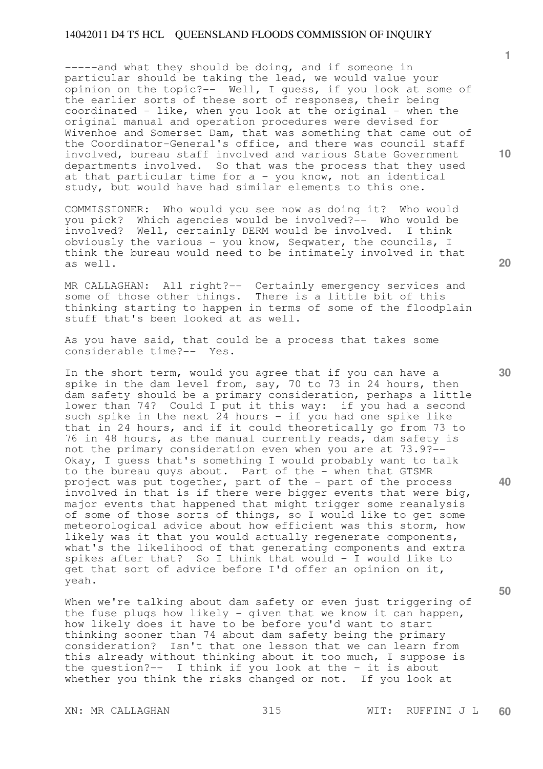-----and what they should be doing, and if someone in particular should be taking the lead, we would value your opinion on the topic?-- Well, I guess, if you look at some of the earlier sorts of these sort of responses, their being  $coordinated - like, when you look at the original - when the$ original manual and operation procedures were devised for Wivenhoe and Somerset Dam, that was something that came out of the Coordinator-General's office, and there was council staff involved, bureau staff involved and various State Government departments involved. So that was the process that they used at that particular time for a - you know, not an identical study, but would have had similar elements to this one.

COMMISSIONER: Who would you see now as doing it? Who would you pick? Which agencies would be involved?-- Who would be involved? Well, certainly DERM would be involved. I think obviously the various - you know, Seqwater, the councils, I think the bureau would need to be intimately involved in that as well.

MR CALLAGHAN: All right?-- Certainly emergency services and some of those other things. There is a little bit of this thinking starting to happen in terms of some of the floodplain stuff that's been looked at as well.

As you have said, that could be a process that takes some considerable time?-- Yes.

In the short term, would you agree that if you can have a spike in the dam level from, say, 70 to 73 in 24 hours, then dam safety should be a primary consideration, perhaps a little lower than 74? Could I put it this way: if you had a second such spike in the next  $24$  hours - if you had one spike like that in 24 hours, and if it could theoretically go from 73 to 76 in 48 hours, as the manual currently reads, dam safety is not the primary consideration even when you are at 73.9?-- Okay, I guess that's something I would probably want to talk to the bureau guys about. Part of the - when that GTSMR project was put together, part of the - part of the process involved in that is if there were bigger events that were big, major events that happened that might trigger some reanalysis of some of those sorts of things, so I would like to get some meteorological advice about how efficient was this storm, how likely was it that you would actually regenerate components, what's the likelihood of that generating components and extra spikes after that? So I think that would - I would like to get that sort of advice before I'd offer an opinion on it, yeah.

When we're talking about dam safety or even just triggering of the fuse plugs how likely - given that we know it can happen, how likely does it have to be before you'd want to start thinking sooner than 74 about dam safety being the primary consideration? Isn't that one lesson that we can learn from this already without thinking about it too much, I suppose is the question?-- I think if you look at the - it is about whether you think the risks changed or not. If you look at

**20** 

**1**

**10** 

**40**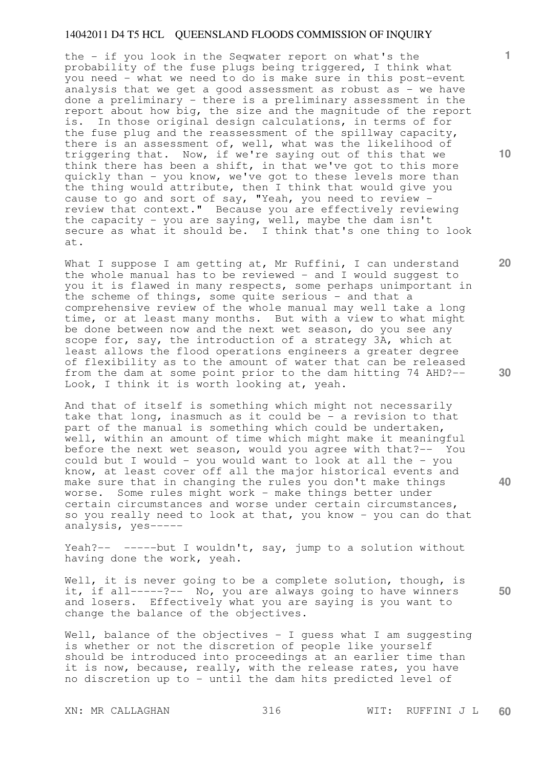the - if you look in the Seqwater report on what's the probability of the fuse plugs being triggered, I think what you need - what we need to do is make sure in this post-event analysis that we get a good assessment as robust as - we have done a preliminary - there is a preliminary assessment in the report about how big, the size and the magnitude of the report is. In those original design calculations, in terms of for the fuse plug and the reassessment of the spillway capacity, there is an assessment of, well, what was the likelihood of triggering that. Now, if we're saying out of this that we think there has been a shift, in that we've got to this more quickly than - you know, we've got to these levels more than the thing would attribute, then I think that would give you cause to go and sort of say, "Yeah, you need to review review that context." Because you are effectively reviewing the capacity - you are saying, well, maybe the dam isn't secure as what it should be. I think that's one thing to look at.

What I suppose I am getting at, Mr Ruffini, I can understand the whole manual has to be reviewed - and I would suggest to you it is flawed in many respects, some perhaps unimportant in the scheme of things, some quite serious - and that a comprehensive review of the whole manual may well take a long time, or at least many months. But with a view to what might be done between now and the next wet season, do you see any scope for, say, the introduction of a strategy 3A, which at least allows the flood operations engineers a greater degree of flexibility as to the amount of water that can be released from the dam at some point prior to the dam hitting 74 AHD?-- Look, I think it is worth looking at, yeah.

And that of itself is something which might not necessarily take that long, inasmuch as it could be  $-$  a revision to that part of the manual is something which could be undertaken, well, within an amount of time which might make it meaningful before the next wet season, would you agree with that?-- You could but I would - you would want to look at all the - you know, at least cover off all the major historical events and make sure that in changing the rules you don't make things worse. Some rules might work - make things better under certain circumstances and worse under certain circumstances, so you really need to look at that, you know - you can do that analysis, yes-----

Yeah?-- -----but I wouldn't, say, jump to a solution without having done the work, yeah.

Well, it is never going to be a complete solution, though, is it, if all-----?-- No, you are always going to have winners and losers. Effectively what you are saying is you want to change the balance of the objectives.

Well, balance of the objectives - I quess what I am suqqesting is whether or not the discretion of people like yourself should be introduced into proceedings at an earlier time than it is now, because, really, with the release rates, you have no discretion up to - until the dam hits predicted level of

**10** 

**1**

**20** 



**40** 

**30**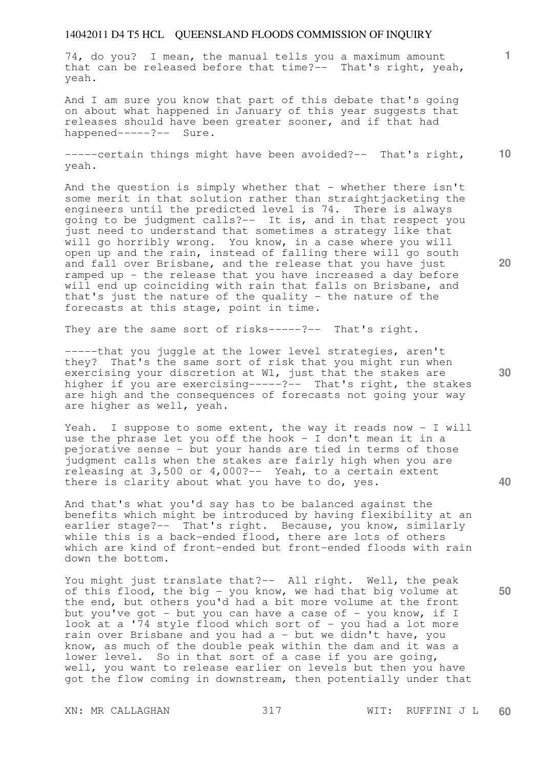74, do you? I mean, the manual tells you a maximum amount that can be released before that time?-- That's right, yeah, yeah.

And I am sure you know that part of this debate that's going on about what happened in January of this year suggests that releases should have been greater sooner, and if that had happened-----?-- Sure.

**10**  -----certain things might have been avoided?-- That's right, yeah.

And the question is simply whether that - whether there isn't some merit in that solution rather than straightjacketing the engineers until the predicted level is 74. There is always going to be judgment calls?-- It is, and in that respect you just need to understand that sometimes a strategy like that will go horribly wrong. You know, in a case where you will open up and the rain, instead of falling there will go south and fall over Brisbane, and the release that you have just ramped up - the release that you have increased a day before will end up coinciding with rain that falls on Brisbane, and that's just the nature of the quality - the nature of the forecasts at this stage, point in time.

They are the same sort of risks-----?-- That's right.

-----that you juggle at the lower level strategies, aren't they? That's the same sort of risk that you might run when exercising your discretion at W1, just that the stakes are higher if you are exercising-----?-- That's right, the stakes are high and the consequences of forecasts not going your way are higher as well, yeah.

Yeah. I suppose to some extent, the way it reads now - I will use the phrase let you off the hook - I don't mean it in a pejorative sense - but your hands are tied in terms of those judgment calls when the stakes are fairly high when you are releasing at 3,500 or 4,000?-- Yeah, to a certain extent there is clarity about what you have to do, yes.

And that's what you'd say has to be balanced against the benefits which might be introduced by having flexibility at an earlier stage?-- That's right. Because, you know, similarly while this is a back-ended flood, there are lots of others which are kind of front-ended but front-ended floods with rain down the bottom.

You might just translate that?-- All right. Well, the peak of this flood, the big - you know, we had that big volume at the end, but others you'd had a bit more volume at the front but you've got - but you can have a case of - you know, if I look at a '74 style flood which sort of  $-$  you had a lot more rain over Brisbane and you had a - but we didn't have, you know, as much of the double peak within the dam and it was a lower level. So in that sort of a case if you are going, well, you want to release earlier on levels but then you have got the flow coming in downstream, then potentially under that

**20** 

**40** 

**50** 

**30**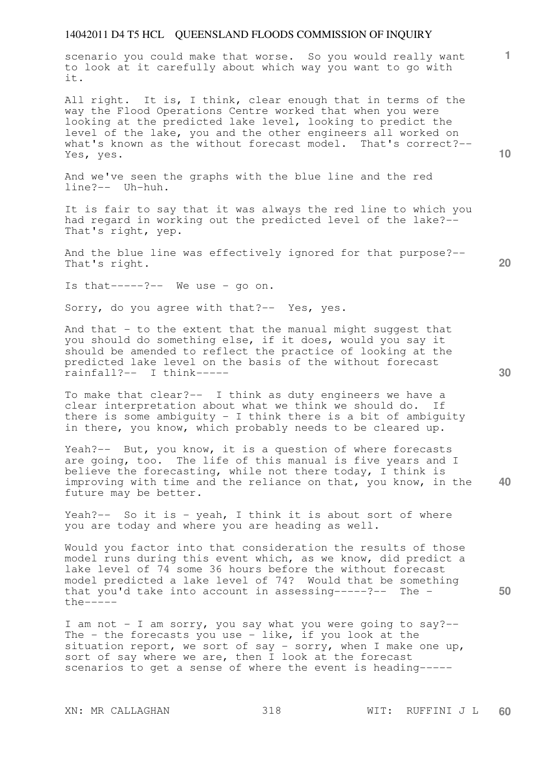scenario you could make that worse. So you would really want to look at it carefully about which way you want to go with it.

All right. It is, I think, clear enough that in terms of the way the Flood Operations Centre worked that when you were looking at the predicted lake level, looking to predict the level of the lake, you and the other engineers all worked on what's known as the without forecast model. That's correct?-- Yes, yes.

And we've seen the graphs with the blue line and the red line?-- Uh-huh.

It is fair to say that it was always the red line to which you had regard in working out the predicted level of the lake?-- That's right, yep.

And the blue line was effectively ignored for that purpose?-- That's right.

Is that-----?-- We use - go on.

Sorry, do you agree with that?-- Yes, yes.

And that - to the extent that the manual might suggest that you should do something else, if it does, would you say it should be amended to reflect the practice of looking at the predicted lake level on the basis of the without forecast rainfall?-- I think-----

To make that clear?-- I think as duty engineers we have a clear interpretation about what we think we should do. If there is some ambiguity - I think there is a bit of ambiguity in there, you know, which probably needs to be cleared up.

**40**  Yeah?-- But, you know, it is a question of where forecasts are going, too. The life of this manual is five years and I believe the forecasting, while not there today, I think is improving with time and the reliance on that, you know, in the future may be better.

Yeah?-- So it is - yeah, I think it is about sort of where you are today and where you are heading as well.

Would you factor into that consideration the results of those model runs during this event which, as we know, did predict a lake level of 74 some 36 hours before the without forecast model predicted a lake level of 74? Would that be something that you'd take into account in assessing-----?-- The the-----

I am not - I am sorry, you say what you were going to say?-- The  $-$  the forecasts you use  $-$  like, if you look at the situation report, we sort of say - sorry, when I make one up, sort of say where we are, then I look at the forecast scenarios to get a sense of where the event is heading-----

**20** 

**50** 

**30** 

**10**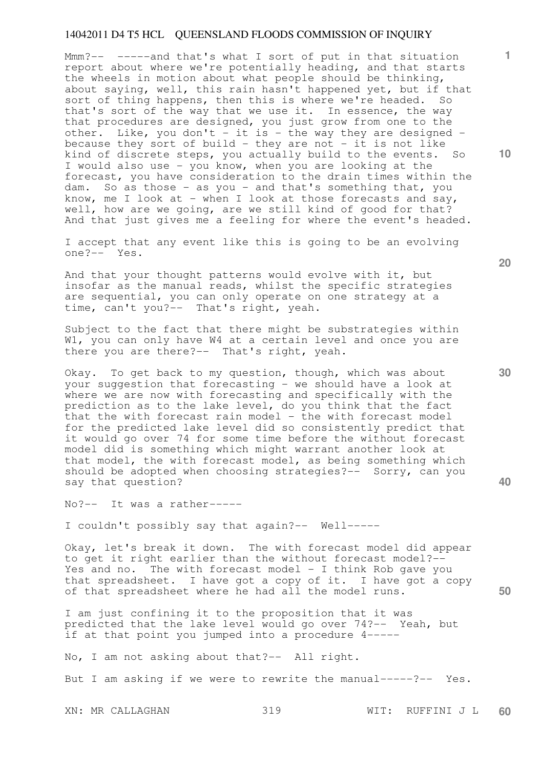Mmm?-- -----and that's what I sort of put in that situation report about where we're potentially heading, and that starts the wheels in motion about what people should be thinking, about saying, well, this rain hasn't happened yet, but if that sort of thing happens, then this is where we're headed. So that's sort of the way that we use it. In essence, the way that procedures are designed, you just grow from one to the other. Like, you don't - it is - the way they are designed because they sort of build - they are not - it is not like kind of discrete steps, you actually build to the events. So I would also use - you know, when you are looking at the forecast, you have consideration to the drain times within the dam. So as those - as you - and that's something that, you know, me I look at - when I look at those forecasts and say, well, how are we going, are we still kind of good for that? And that just gives me a feeling for where the event's headed.

I accept that any event like this is going to be an evolving one?-- Yes.

And that your thought patterns would evolve with it, but insofar as the manual reads, whilst the specific strategies are sequential, you can only operate on one strategy at a time, can't you?-- That's right, yeah.

Subject to the fact that there might be substrategies within W1, you can only have W4 at a certain level and once you are there you are there?-- That's right, yeah.

Okay. To get back to my question, though, which was about your suggestion that forecasting - we should have a look at where we are now with forecasting and specifically with the prediction as to the lake level, do you think that the fact that the with forecast rain model  $-$  the with forecast model for the predicted lake level did so consistently predict that it would go over 74 for some time before the without forecast model did is something which might warrant another look at that model, the with forecast model, as being something which should be adopted when choosing strategies?-- Sorry, can you say that question?

No?-- It was a rather-----

I couldn't possibly say that again?-- Well-----

Okay, let's break it down. The with forecast model did appear to get it right earlier than the without forecast model?-- Yes and no. The with forecast model - I think Rob gave you that spreadsheet. I have got a copy of it. I have got a copy of that spreadsheet where he had all the model runs.

I am just confining it to the proposition that it was predicted that the lake level would go over 74?-- Yeah, but if at that point you jumped into a procedure 4-----

No, I am not asking about that?-- All right.

But I am asking if we were to rewrite the manual-----?-- Yes.

XN: MR CALLAGHAN 319 WIT: RUFFINI J L **60** 

**10** 

**1**

**20** 

**30** 

**40**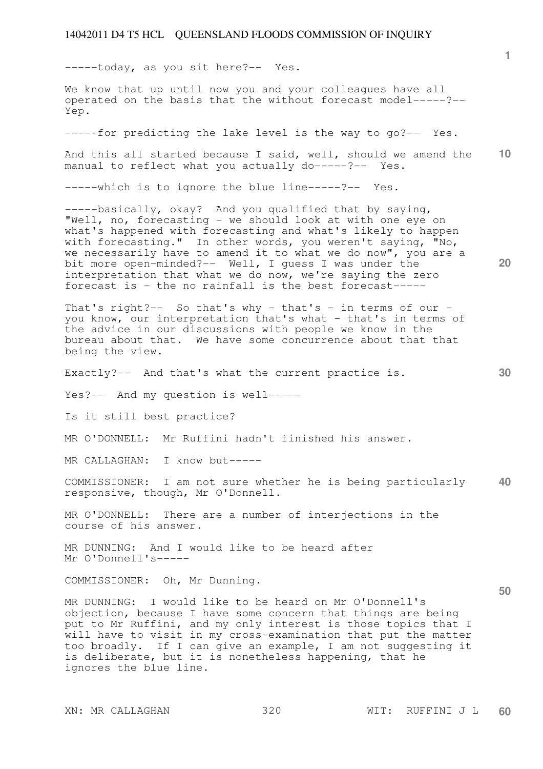-----today, as you sit here?-- Yes.

We know that up until now you and your colleagues have all operated on the basis that the without forecast model-----?-- Yep.

-----for predicting the lake level is the way to go?-- Yes.

**10**  And this all started because I said, well, should we amend the manual to reflect what you actually do-----?-- Yes.

-----which is to ignore the blue line-----?-- Yes.

-----basically, okay? And you qualified that by saying, "Well, no, forecasting - we should look at with one eye on what's happened with forecasting and what's likely to happen with forecasting." In other words, you weren't saying, "No, we necessarily have to amend it to what we do now", you are a bit more open-minded?-- Well, I guess I was under the interpretation that what we do now, we're saying the zero forecast is - the no rainfall is the best forecast-----

That's right?-- So that's why - that's - in terms of our you know, our interpretation that's what - that's in terms of the advice in our discussions with people we know in the bureau about that. We have some concurrence about that that being the view.

Exactly?-- And that's what the current practice is.

Yes?-- And my question is well-----

Is it still best practice?

MR O'DONNELL: Mr Ruffini hadn't finished his answer.

MR CALLAGHAN: I know but-----

**40**  COMMISSIONER: I am not sure whether he is being particularly responsive, though, Mr O'Donnell.

MR O'DONNELL: There are a number of interjections in the course of his answer.

MR DUNNING: And I would like to be heard after Mr O'Donnell's-----

COMMISSIONER: Oh, Mr Dunning.

MR DUNNING: I would like to be heard on Mr O'Donnell's objection, because I have some concern that things are being put to Mr Ruffini, and my only interest is those topics that I will have to visit in my cross-examination that put the matter too broadly. If I can give an example, I am not suggesting it is deliberate, but it is nonetheless happening, that he ignores the blue line.

**20** 

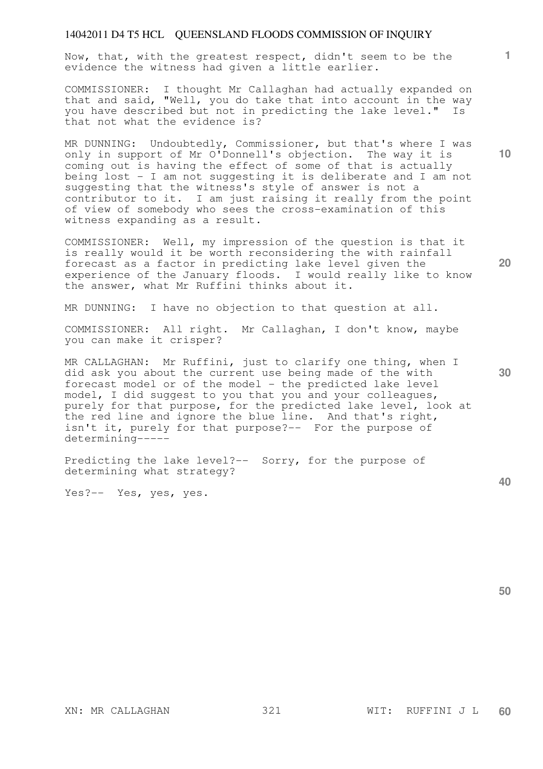Now, that, with the greatest respect, didn't seem to be the evidence the witness had given a little earlier.

COMMISSIONER: I thought Mr Callaghan had actually expanded on that and said, "Well, you do take that into account in the way you have described but not in predicting the lake level." Is that not what the evidence is?

MR DUNNING: Undoubtedly, Commissioner, but that's where I was only in support of Mr O'Donnell's objection. The way it is coming out is having the effect of some of that is actually being lost - I am not suggesting it is deliberate and I am not suggesting that the witness's style of answer is not a contributor to it. I am just raising it really from the point of view of somebody who sees the cross-examination of this witness expanding as a result.

COMMISSIONER: Well, my impression of the question is that it is really would it be worth reconsidering the with rainfall forecast as a factor in predicting lake level given the experience of the January floods. I would really like to know the answer, what Mr Ruffini thinks about it.

MR DUNNING: I have no objection to that question at all.

COMMISSIONER: All right. Mr Callaghan, I don't know, maybe you can make it crisper?

MR CALLAGHAN: Mr Ruffini, just to clarify one thing, when I did ask you about the current use being made of the with forecast model or of the model - the predicted lake level model, I did suggest to you that you and your colleagues, purely for that purpose, for the predicted lake level, look at the red line and ignore the blue line. And that's right, isn't it, purely for that purpose?-- For the purpose of determining-----

Predicting the lake level?-- Sorry, for the purpose of determining what strategy?

Yes?-- Yes, yes, yes.

**50** 

**40** 

**10** 

**1**

**30**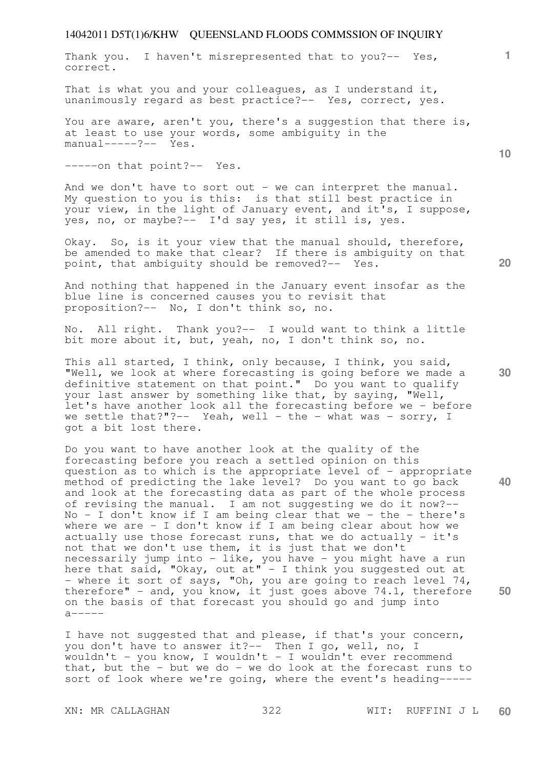Thank you. I haven't misrepresented that to you?-- Yes, correct.

That is what you and your colleagues, as I understand it, unanimously regard as best practice?-- Yes, correct, yes.

You are aware, aren't you, there's a suggestion that there is, at least to use your words, some ambiguity in the manual-----?-- Yes.

-----on that point?-- Yes.

And we don't have to sort out - we can interpret the manual. My question to you is this: is that still best practice in your view, in the light of January event, and it's, I suppose, yes, no, or maybe?-- I'd say yes, it still is, yes.

Okay. So, is it your view that the manual should, therefore, be amended to make that clear? If there is ambiguity on that point, that ambiguity should be removed?-- Yes.

And nothing that happened in the January event insofar as the blue line is concerned causes you to revisit that proposition?-- No, I don't think so, no.

No. All right. Thank you?-- I would want to think a little bit more about it, but, yeah, no, I don't think so, no.

This all started, I think, only because, I think, you said, "Well, we look at where forecasting is going before we made a definitive statement on that point." Do you want to qualify your last answer by something like that, by saying, "Well, let's have another look all the forecasting before we - before we settle that?"?-- Yeah, well - the - what was - sorry, I got a bit lost there.

Do you want to have another look at the quality of the forecasting before you reach a settled opinion on this question as to which is the appropriate level of - appropriate method of predicting the lake level? Do you want to go back and look at the forecasting data as part of the whole process of revising the manual. I am not suggesting we do it now?--  $No - I don't know if I am being clear that we - the - there's$ where we are - I don't know if I am being clear about how we actually use those forecast runs, that we do actually - it's not that we don't use them, it is just that we don't necessarily jump into - like, you have - you might have a run here that said, "Okay, out at" - I think you suggested out at - where it sort of says, "Oh, you are going to reach level 74, therefore" - and, you know, it just goes above  $74.1$ , therefore on the basis of that forecast you should go and jump into  $a$ -----

I have not suggested that and please, if that's your concern, you don't have to answer it?-- Then I go, well, no, I wouldn't - you know, I wouldn't - I wouldn't ever recommend that, but the  $-$  but we do  $-$  we do look at the forecast runs to sort of look where we're going, where the event's heading-----

**20** 

**40** 

**50** 

**10**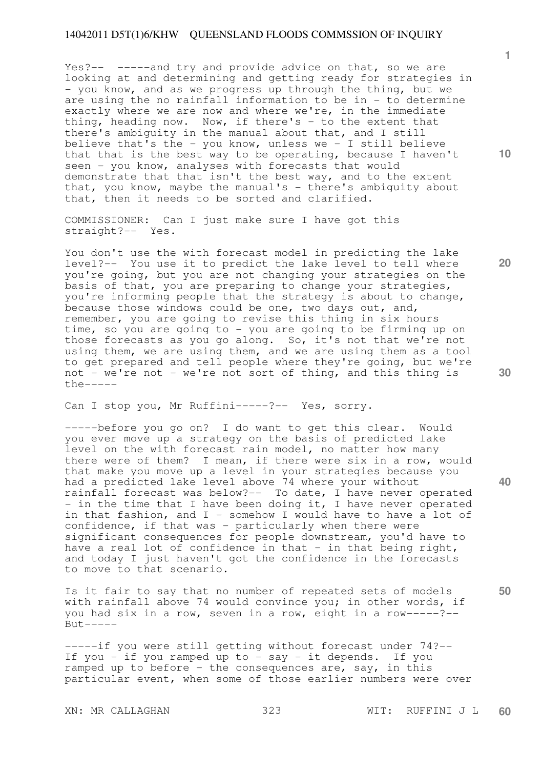Yes?-- -----and try and provide advice on that, so we are looking at and determining and getting ready for strategies in - you know, and as we progress up through the thing, but we are using the no rainfall information to be in - to determine exactly where we are now and where we're, in the immediate thing, heading now. Now, if there's  $-$  to the extent that there's ambiguity in the manual about that, and I still believe that's the - you know, unless we - I still believe that that is the best way to be operating, because I haven't seen - you know, analyses with forecasts that would demonstrate that that isn't the best way, and to the extent that, you know, maybe the manual's - there's ambiguity about that, then it needs to be sorted and clarified.

COMMISSIONER: Can I just make sure I have got this straight?-- Yes.

You don't use the with forecast model in predicting the lake level?-- You use it to predict the lake level to tell where you're going, but you are not changing your strategies on the basis of that, you are preparing to change your strategies, you're informing people that the strategy is about to change, because those windows could be one, two days out, and, remember, you are going to revise this thing in six hours time, so you are going to - you are going to be firming up on those forecasts as you go along. So, it's not that we're not using them, we are using them, and we are using them as a tool to get prepared and tell people where they're going, but we're not - we're not - we're not sort of thing, and this thing is  $the---$ 

Can I stop you, Mr Ruffini-----?-- Yes, sorry.

-----before you go on? I do want to get this clear. Would you ever move up a strategy on the basis of predicted lake level on the with forecast rain model, no matter how many there were of them? I mean, if there were six in a row, would that make you move up a level in your strategies because you had a predicted lake level above 74 where your without rainfall forecast was below?-- To date, I have never operated - in the time that I have been doing it, I have never operated in that fashion, and  $I$  - somehow I would have to have a lot of confidence, if that was - particularly when there were significant consequences for people downstream, you'd have to have a real lot of confidence in that  $-$  in that being right, and today I just haven't got the confidence in the forecasts to move to that scenario.

Is it fair to say that no number of repeated sets of models with rainfall above 74 would convince you; in other words, if you had six in a row, seven in a row, eight in a row-----?--  $But --- ---$ 

-----if you were still getting without forecast under 74?-- If you - if you ramped up to - say - it depends. If you ramped up to before - the consequences are, say, in this particular event, when some of those earlier numbers were over

**1**

**10** 

**20** 

**40**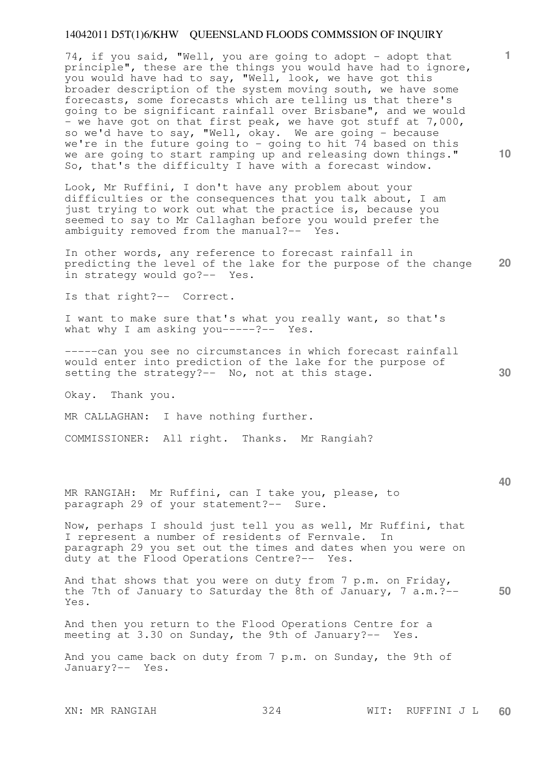74, if you said, "Well, you are going to adopt - adopt that principle", these are the things you would have had to ignore, you would have had to say, "Well, look, we have got this broader description of the system moving south, we have some forecasts, some forecasts which are telling us that there's going to be significant rainfall over Brisbane", and we would - we have got on that first peak, we have got stuff at 7,000, so we'd have to say, "Well, okay. We are going - because we're in the future going to - going to hit 74 based on this we are going to start ramping up and releasing down things." So, that's the difficulty I have with a forecast window.

Look, Mr Ruffini, I don't have any problem about your difficulties or the consequences that you talk about, I am just trying to work out what the practice is, because you seemed to say to Mr Callaghan before you would prefer the ambiguity removed from the manual?-- Yes.

**20**  In other words, any reference to forecast rainfall in predicting the level of the lake for the purpose of the change in strategy would go?-- Yes.

Is that right?-- Correct.

I want to make sure that's what you really want, so that's what why I am asking you-----?-- Yes.

-----can you see no circumstances in which forecast rainfall would enter into prediction of the lake for the purpose of setting the strategy?-- No, not at this stage.

Okay. Thank you.

MR CALLAGHAN: I have nothing further.

COMMISSIONER: All right. Thanks. Mr Rangiah?

MR RANGIAH: Mr Ruffini, can I take you, please, to paragraph 29 of your statement?-- Sure.

Now, perhaps I should just tell you as well, Mr Ruffini, that I represent a number of residents of Fernvale. In paragraph 29 you set out the times and dates when you were on duty at the Flood Operations Centre?-- Yes.

**50**  And that shows that you were on duty from 7 p.m. on Friday, the 7th of January to Saturday the 8th of January, 7 a.m.?-- Yes.

And then you return to the Flood Operations Centre for a meeting at 3.30 on Sunday, the 9th of January?-- Yes.

And you came back on duty from 7 p.m. on Sunday, the 9th of January?-- Yes.

XN: MR RANGIAH 324 WIT: RUFFINI J L **60** 

**1**

**10** 

**30**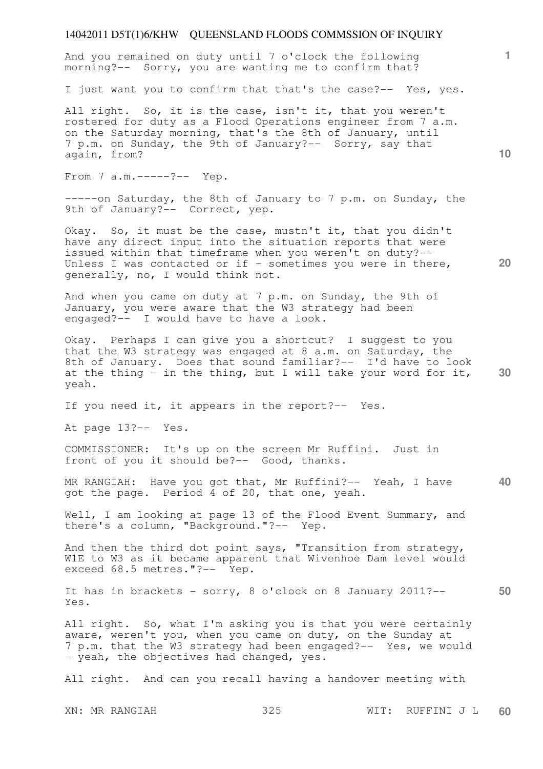And you remained on duty until 7 o'clock the following morning?-- Sorry, you are wanting me to confirm that?

I just want you to confirm that that's the case?-- Yes, yes.

All right. So, it is the case, isn't it, that you weren't rostered for duty as a Flood Operations engineer from 7 a.m. on the Saturday morning, that's the 8th of January, until 7 p.m. on Sunday, the 9th of January?-- Sorry, say that again, from?

From 7 a.m. -----?-- Yep.

-----on Saturday, the 8th of January to 7 p.m. on Sunday, the 9th of January?-- Correct, yep.

Okay. So, it must be the case, mustn't it, that you didn't have any direct input into the situation reports that were issued within that timeframe when you weren't on duty?-- Unless I was contacted or if - sometimes you were in there, generally, no, I would think not.

And when you came on duty at 7 p.m. on Sunday, the 9th of January, you were aware that the W3 strategy had been engaged?-- I would have to have a look.

**30**  Okay. Perhaps I can give you a shortcut? I suggest to you that the W3 strategy was engaged at 8 a.m. on Saturday, the 8th of January. Does that sound familiar?-- I'd have to look at the thing  $\frac{1}{x}$  in the thing, but I will take your word for it, yeah.

If you need it, it appears in the report?-- Yes.

At page 13?-- Yes.

COMMISSIONER: It's up on the screen Mr Ruffini. Just in front of you it should be?-- Good, thanks.

**40**  MR RANGIAH: Have you got that, Mr Ruffini?-- Yeah, I have got the page. Period 4 of 20, that one, yeah.

Well, I am looking at page 13 of the Flood Event Summary, and there's a column, "Background."?-- Yep.

And then the third dot point says, "Transition from strategy, W1E to W3 as it became apparent that Wivenhoe Dam level would exceed 68.5 metres."?-- Yep.

**50**  It has in brackets - sorry, 8 o'clock on 8 January 2011?-- Yes.

All right. So, what I'm asking you is that you were certainly aware, weren't you, when you came on duty, on the Sunday at 7 p.m. that the W3 strategy had been engaged?-- Yes, we would - yeah, the objectives had changed, yes.

All right. And can you recall having a handover meeting with

XN: MR RANGIAH 325 WIT: RUFFINI J L **60** 

**10** 

**1**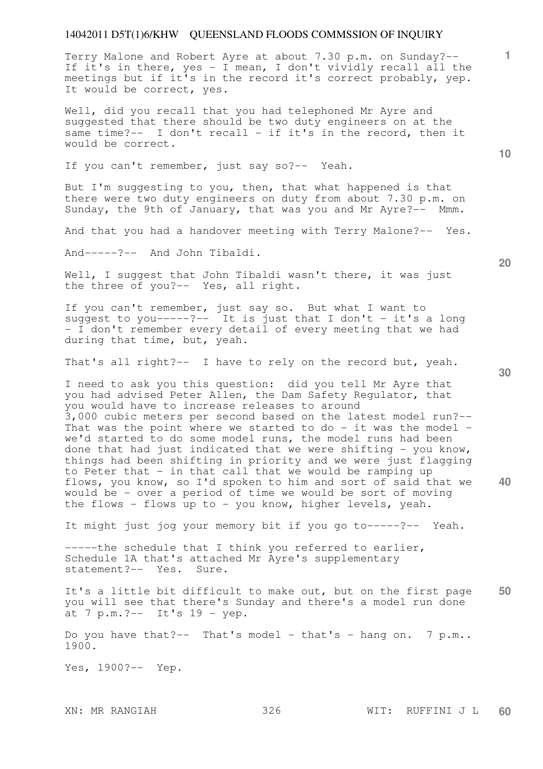Terry Malone and Robert Ayre at about 7.30 p.m. on Sunday?-- If it's in there, yes - I mean, I don't vividly recall all the meetings but if it's in the record it's correct probably, yep. It would be correct, yes.

Well, did you recall that you had telephoned Mr Ayre and suggested that there should be two duty engineers on at the same time?-- I don't recall - if it's in the record, then it would be correct.

If you can't remember, just say so?-- Yeah.

But I'm suggesting to you, then, that what happened is that there were two duty engineers on duty from about 7.30 p.m. on Sunday, the 9th of January, that was you and Mr Ayre?-- Mmm.

And that you had a handover meeting with Terry Malone?-- Yes.

And-----?-- And John Tibaldi.

Well, I suggest that John Tibaldi wasn't there, it was just the three of you?-- Yes, all right.

If you can't remember, just say so. But what I want to suggest to you-----?-- It is just that I don't - it's a long - I don't remember every detail of every meeting that we had during that time, but, yeah.

That's all right?-- I have to rely on the record but, yeah.

I need to ask you this question: did you tell Mr Ayre that you had advised Peter Allen, the Dam Safety Regulator, that you would have to increase releases to around 3,000 cubic meters per second based on the latest model run?-- That was the point where we started to do - it was the model we'd started to do some model runs, the model runs had been done that had just indicated that we were shifting - you know, things had been shifting in priority and we were just flagging to Peter that - in that call that we would be ramping up flows, you know, so I'd spoken to him and sort of said that we would be - over a period of time we would be sort of moving the flows - flows up to - you know, higher levels, yeah.

It might just jog your memory bit if you go to-----?-- Yeah.

-----the schedule that I think you referred to earlier, Schedule 1A that's attached Mr Ayre's supplementary statement?-- Yes. Sure.

**50**  It's a little bit difficult to make out, but on the first page you will see that there's Sunday and there's a model run done at 7 p.m.?-- It's 19 - yep.

Do you have that?-- That's model - that's - hang on. 7  $p.m..$ 1900.

Yes, 1900?-- Yep.

**10** 

**20** 

**1**

**30**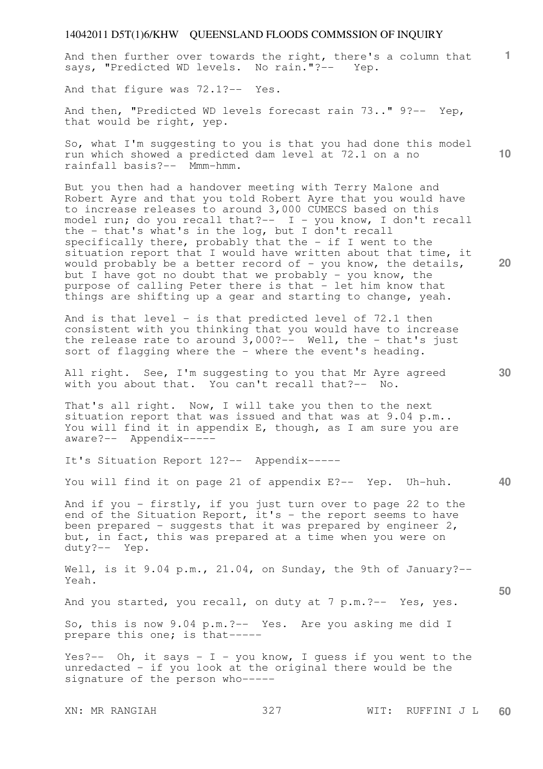**1** And then further over towards the right, there's a column that says, "Predicted WD levels. No rain."?-- Yep.

And that figure was 72.1?-- Yes.

And then, "Predicted WD levels forecast rain 73.." 9?-- Yep, that would be right, yep.

So, what I'm suggesting to you is that you had done this model run which showed a predicted dam level at 72.1 on a no rainfall basis?-- Mmm-hmm.

But you then had a handover meeting with Terry Malone and Robert Ayre and that you told Robert Ayre that you would have to increase releases to around 3,000 CUMECS based on this model run; do you recall that?-- I - you know, I don't recall the - that's what's in the log, but I don't recall specifically there, probably that the - if I went to the situation report that I would have written about that time, it would probably be a better record of  $-$  you know, the details, but I have got no doubt that we probably - you know, the purpose of calling Peter there is that - let him know that things are shifting up a gear and starting to change, yeah.

And is that level - is that predicted level of 72.1 then consistent with you thinking that you would have to increase the release rate to around  $3,000? --$  Well, the - that's just sort of flagging where the - where the event's heading.

All right. See, I'm suggesting to you that Mr Ayre agreed with you about that. You can't recall that?-- No.

That's all right. Now, I will take you then to the next situation report that was issued and that was at 9.04 p.m.. You will find it in appendix E, though, as I am sure you are aware?-- Appendix-----

It's Situation Report 12?-- Appendix-----

You will find it on page 21 of appendix E?-- Yep. Uh-huh.

And if you - firstly, if you just turn over to page 22 to the end of the Situation Report, it's - the report seems to have been prepared - suggests that it was prepared by engineer  $2$ , but, in fact, this was prepared at a time when you were on duty?-- Yep.

Well, is it 9.04 p.m., 21.04, on Sunday, the 9th of January?--Yeah.

And you started, you recall, on duty at 7 p.m.?-- Yes, yes.

So, this is now 9.04 p.m.?-- Yes. Are you asking me did I prepare this one; is that-----

Yes?-- Oh, it says - I - you know, I guess if you went to the unredacted - if you look at the original there would be the signature of the person who-----

**20** 

**10** 

**50**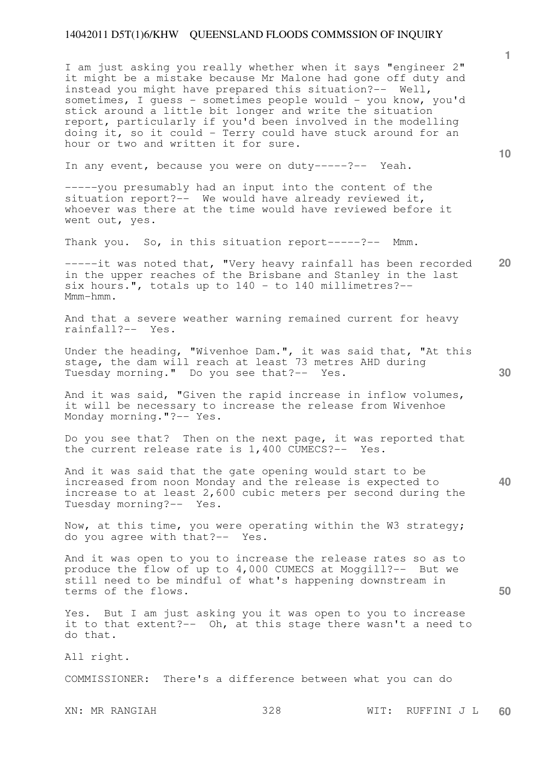I am just asking you really whether when it says "engineer 2" it might be a mistake because Mr Malone had gone off duty and instead you might have prepared this situation?-- Well, sometimes, I quess - sometimes people would - you know, you'd stick around a little bit longer and write the situation report, particularly if you'd been involved in the modelling doing it, so it could - Terry could have stuck around for an hour or two and written it for sure.

In any event, because you were on duty-----?-- Yeah.

-----you presumably had an input into the content of the situation report?-- We would have already reviewed it, whoever was there at the time would have reviewed before it went out, yes.

Thank you. So, in this situation report-----?-- Mmm.

**20**  -----it was noted that, "Very heavy rainfall has been recorded in the upper reaches of the Brisbane and Stanley in the last six hours.", totals up to  $140 -$  to  $140$  millimetres?--Mmm-hmm.

And that a severe weather warning remained current for heavy rainfall?-- Yes.

Under the heading, "Wivenhoe Dam.", it was said that, "At this stage, the dam will reach at least 73 metres AHD during Tuesday morning." Do you see that?-- Yes.

And it was said, "Given the rapid increase in inflow volumes, it will be necessary to increase the release from Wivenhoe Monday morning."?-- Yes.

Do you see that? Then on the next page, it was reported that the current release rate is 1,400 CUMECS?-- Yes.

And it was said that the gate opening would start to be increased from noon Monday and the release is expected to increase to at least 2,600 cubic meters per second during the Tuesday morning?-- Yes.

Now, at this time, you were operating within the W3 strategy; do you agree with that?-- Yes.

And it was open to you to increase the release rates so as to produce the flow of up to 4,000 CUMECS at Moggill?-- But we still need to be mindful of what's happening downstream in terms of the flows.

Yes. But I am just asking you it was open to you to increase it to that extent?-- Oh, at this stage there wasn't a need to do that.

All right.

COMMISSIONER: There's a difference between what you can do

XN: MR RANGIAH 328 WIT: RUFFINI J L **60** 

**1**

**10** 

**30** 

**40**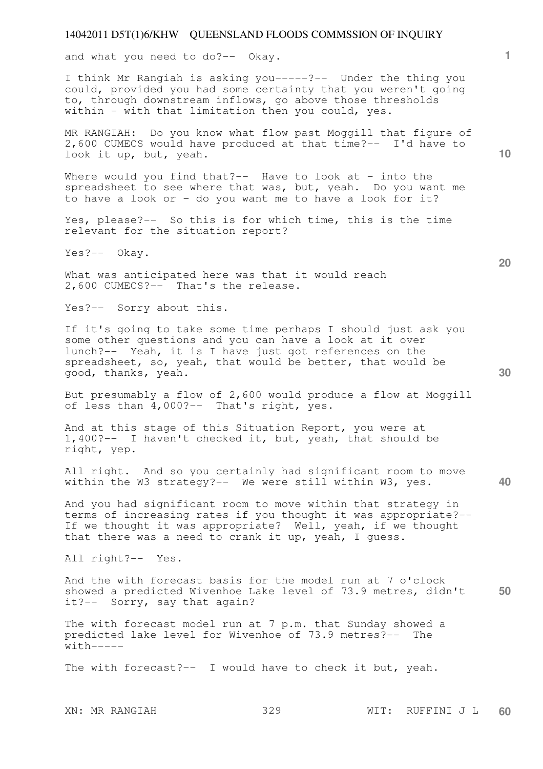and what you need to do?-- Okay.

I think Mr Rangiah is asking you-----?-- Under the thing you could, provided you had some certainty that you weren't going to, through downstream inflows, go above those thresholds within - with that limitation then you could, yes.

MR RANGIAH: Do you know what flow past Moggill that figure of 2,600 CUMECS would have produced at that time?-- I'd have to look it up, but, yeah.

Where would you find that?-- Have to look at - into the spreadsheet to see where that was, but, yeah. Do you want me to have a look or - do you want me to have a look for it?

Yes, please?-- So this is for which time, this is the time relevant for the situation report?

Yes?-- Okay.

What was anticipated here was that it would reach 2,600 CUMECS?-- That's the release.

Yes?-- Sorry about this.

If it's going to take some time perhaps I should just ask you some other questions and you can have a look at it over lunch?-- Yeah, it is I have just got references on the spreadsheet, so, yeah, that would be better, that would be good, thanks, yeah.

But presumably a flow of 2,600 would produce a flow at Moggill of less than 4,000?-- That's right, yes.

And at this stage of this Situation Report, you were at 1,400?-- I haven't checked it, but, yeah, that should be right, yep.

All right. And so you certainly had significant room to move within the W3 strategy?-- We were still within W3, yes.

And you had significant room to move within that strategy in terms of increasing rates if you thought it was appropriate?-- If we thought it was appropriate? Well, yeah, if we thought that there was a need to crank it up, yeah, I guess.

All right?-- Yes.

**50**  And the with forecast basis for the model run at 7 o'clock showed a predicted Wivenhoe Lake level of 73.9 metres, didn't it?-- Sorry, say that again?

The with forecast model run at 7 p.m. that Sunday showed a predicted lake level for Wivenhoe of 73.9 metres?-- The  $with-----$ 

The with forecast?-- I would have to check it but, yeah.

XN: MR RANGIAH 329 WIT: RUFFINI J L **60** 

**20** 

**40** 

**10**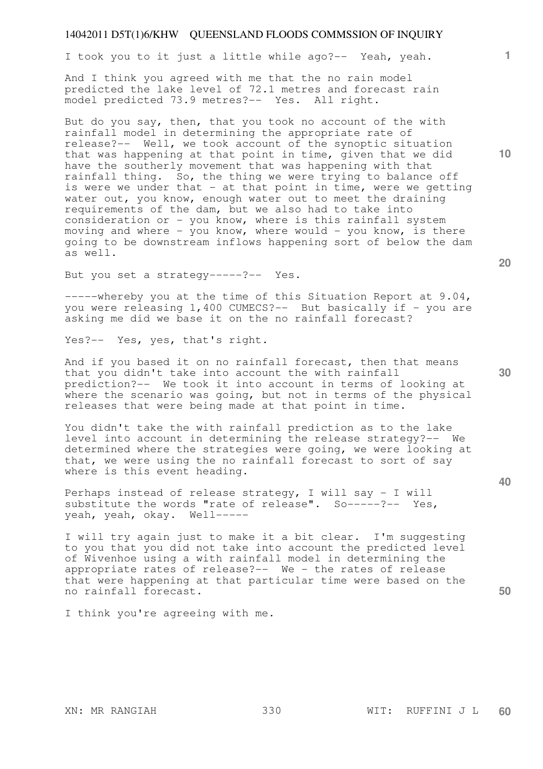I took you to it just a little while ago?-- Yeah, yeah.

And I think you agreed with me that the no rain model predicted the lake level of 72.1 metres and forecast rain model predicted 73.9 metres?-- Yes. All right.

But do you say, then, that you took no account of the with rainfall model in determining the appropriate rate of release?-- Well, we took account of the synoptic situation that was happening at that point in time, given that we did have the southerly movement that was happening with that rainfall thing. So, the thing we were trying to balance off is were we under that  $-$  at that point in time, were we getting water out, you know, enough water out to meet the draining requirements of the dam, but we also had to take into consideration or - you know, where is this rainfall system moving and where - you know, where would - you know, is there going to be downstream inflows happening sort of below the dam as well.

But you set a strategy-----?-- Yes.

-----whereby you at the time of this Situation Report at 9.04, you were releasing 1,400 CUMECS?-- But basically if - you are asking me did we base it on the no rainfall forecast?

Yes?-- Yes, yes, that's right.

And if you based it on no rainfall forecast, then that means that you didn't take into account the with rainfall prediction?-- We took it into account in terms of looking at where the scenario was going, but not in terms of the physical releases that were being made at that point in time.

You didn't take the with rainfall prediction as to the lake level into account in determining the release strategy?-- We determined where the strategies were going, we were looking at that, we were using the no rainfall forecast to sort of say where is this event heading.

Perhaps instead of release strategy, I will say - I will substitute the words "rate of release". So-----?-- Yes, yeah, yeah, okay. Well-----

I will try again just to make it a bit clear. I'm suggesting to you that you did not take into account the predicted level of Wivenhoe using a with rainfall model in determining the appropriate rates of release?-- We - the rates of release that were happening at that particular time were based on the no rainfall forecast.

I think you're agreeing with me.

**10** 

**1**

**20** 

**40**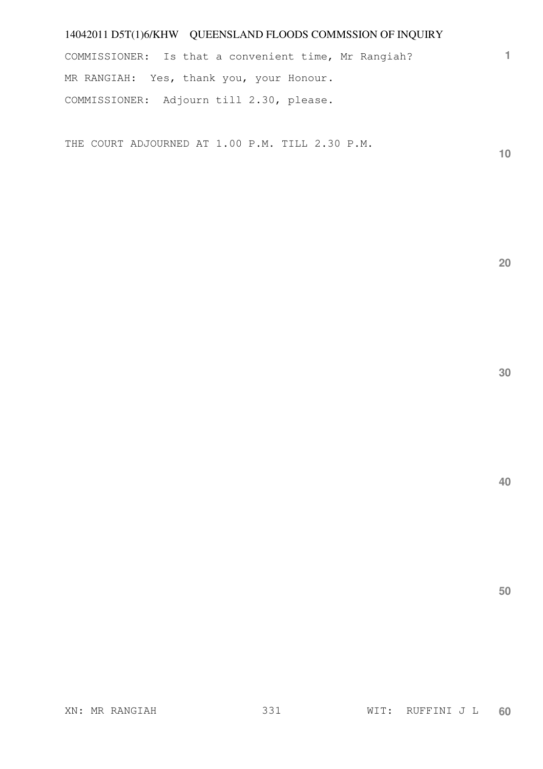COMMISSIONER: Is that a convenient time, Mr Rangiah? MR RANGIAH: Yes, thank you, your Honour. COMMISSIONER: Adjourn till 2.30, please.

THE COURT ADJOURNED AT 1.00 P.M. TILL 2.30 P.M.

**10** 

**1**

**20** 

**30**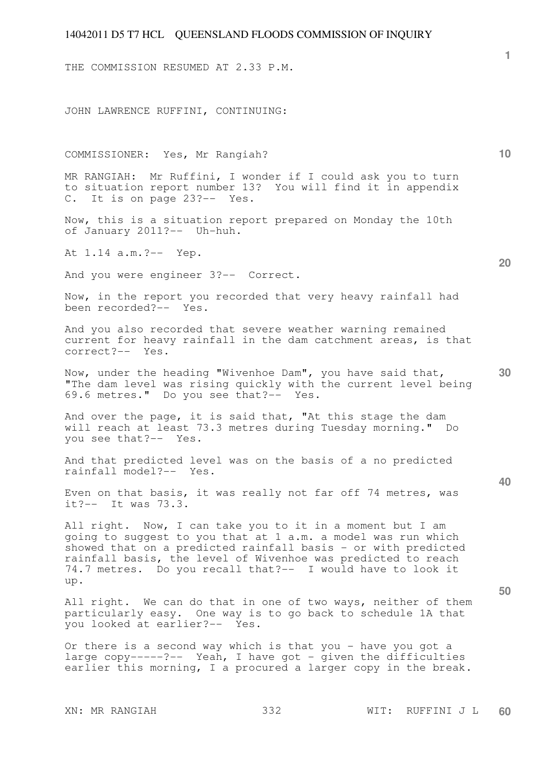THE COMMISSION RESUMED AT 2.33 P.M.

JOHN LAWRENCE RUFFINI, CONTINUING:

COMMISSIONER: Yes, Mr Rangiah?

MR RANGIAH: Mr Ruffini, I wonder if I could ask you to turn to situation report number 13? You will find it in appendix C. It is on page 23?-- Yes.

Now, this is a situation report prepared on Monday the 10th of January 2011?-- Uh-huh.

At 1.14 a.m.?-- Yep.

And you were engineer 3?-- Correct.

Now, in the report you recorded that very heavy rainfall had been recorded?-- Yes.

And you also recorded that severe weather warning remained current for heavy rainfall in the dam catchment areas, is that correct?-- Yes.

**30**  Now, under the heading "Wivenhoe Dam", you have said that, "The dam level was rising quickly with the current level being 69.6 metres." Do you see that?-- Yes.

And over the page, it is said that, "At this stage the dam will reach at least 73.3 metres during Tuesday morning." Do you see that?-- Yes.

And that predicted level was on the basis of a no predicted rainfall model?-- Yes.

Even on that basis, it was really not far off 74 metres, was it?-- It was 73.3.

All right. Now, I can take you to it in a moment but I am going to suggest to you that at 1 a.m. a model was run which showed that on a predicted rainfall basis - or with predicted rainfall basis, the level of Wivenhoe was predicted to reach 74.7 metres. Do you recall that?-- I would have to look it up.

All right. We can do that in one of two ways, neither of them particularly easy. One way is to go back to schedule 1A that you looked at earlier?-- Yes.

Or there is a second way which is that you - have you got a large copy-----?-- Yeah, I have got - given the difficulties earlier this morning, I a procured a larger copy in the break.

**1**

**10** 

**20** 

**40**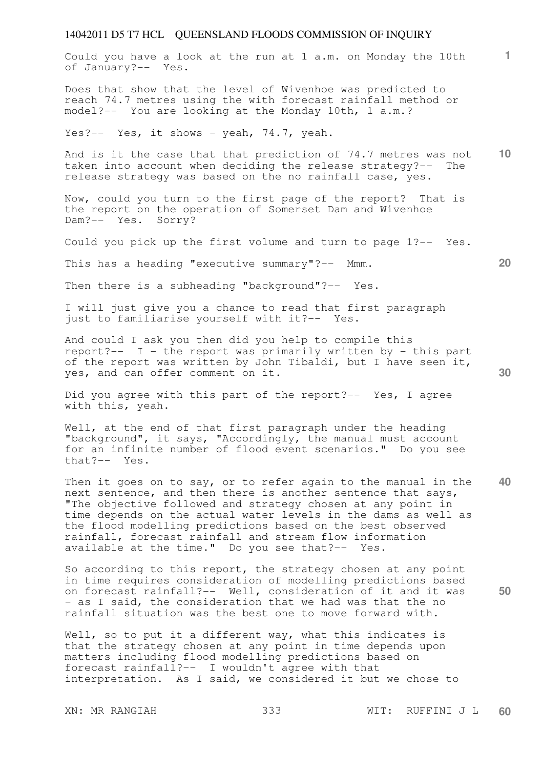Could you have a look at the run at 1 a.m. on Monday the 10th of January?-- Yes.

Does that show that the level of Wivenhoe was predicted to reach 74.7 metres using the with forecast rainfall method or model?-- You are looking at the Monday 10th, 1 a.m.?

Yes?-- Yes, it shows - yeah, 74.7, yeah.

**10**  And is it the case that that prediction of 74.7 metres was not taken into account when deciding the release strategy?-- The release strategy was based on the no rainfall case, yes.

Now, could you turn to the first page of the report? That is the report on the operation of Somerset Dam and Wivenhoe Dam?-- Yes. Sorry?

Could you pick up the first volume and turn to page 1?-- Yes.

This has a heading "executive summary"?-- Mmm.

Then there is a subheading "background"?-- Yes.

I will just give you a chance to read that first paragraph just to familiarise yourself with it?-- Yes.

And could I ask you then did you help to compile this report?-- I - the report was primarily written by - this part of the report was written by John Tibaldi, but I have seen it, yes, and can offer comment on it.

Did you agree with this part of the report?-- Yes, I agree with this, yeah.

Well, at the end of that first paragraph under the heading "background", it says, "Accordingly, the manual must account for an infinite number of flood event scenarios." Do you see that?-- Yes.

**40**  Then it goes on to say, or to refer again to the manual in the next sentence, and then there is another sentence that says, "The objective followed and strategy chosen at any point in time depends on the actual water levels in the dams as well as the flood modelling predictions based on the best observed rainfall, forecast rainfall and stream flow information available at the time." Do you see that?-- Yes.

So according to this report, the strategy chosen at any point in time requires consideration of modelling predictions based on forecast rainfall?-- Well, consideration of it and it was - as I said, the consideration that we had was that the no rainfall situation was the best one to move forward with.

Well, so to put it a different way, what this indicates is that the strategy chosen at any point in time depends upon matters including flood modelling predictions based on forecast rainfall?-- I wouldn't agree with that interpretation. As I said, we considered it but we chose to

XN: MR RANGIAH 333 WIT: RUFFINI J L **60** 

**20** 

**1**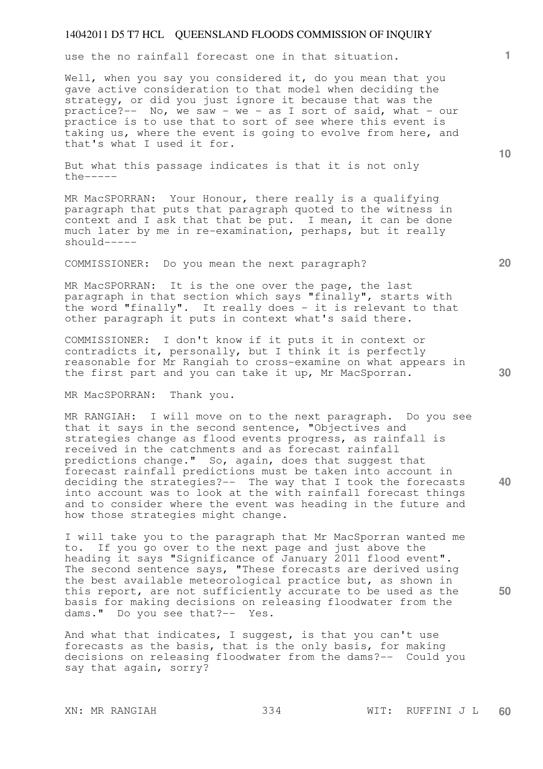use the no rainfall forecast one in that situation.

Well, when you say you considered it, do you mean that you gave active consideration to that model when deciding the strategy, or did you just ignore it because that was the practice?-- No, we saw - we - as I sort of said, what - our practice is to use that to sort of see where this event is taking us, where the event is going to evolve from here, and that's what I used it for.

But what this passage indicates is that it is not only the-----

MR MacSPORRAN: Your Honour, there really is a qualifying paragraph that puts that paragraph quoted to the witness in context and I ask that that be put. I mean, it can be done much later by me in re-examination, perhaps, but it really should-----

COMMISSIONER: Do you mean the next paragraph?

MR MacSPORRAN: It is the one over the page, the last paragraph in that section which says "finally", starts with the word "finally". It really does - it is relevant to that other paragraph it puts in context what's said there.

COMMISSIONER: I don't know if it puts it in context or contradicts it, personally, but I think it is perfectly reasonable for Mr Rangiah to cross-examine on what appears in the first part and you can take it up, Mr MacSporran.

MR MacSPORRAN: Thank you.

MR RANGIAH: I will move on to the next paragraph. Do you see that it says in the second sentence, "Objectives and strategies change as flood events progress, as rainfall is received in the catchments and as forecast rainfall predictions change." So, again, does that suggest that forecast rainfall predictions must be taken into account in deciding the strategies?-- The way that I took the forecasts into account was to look at the with rainfall forecast things and to consider where the event was heading in the future and how those strategies might change.

I will take you to the paragraph that Mr MacSporran wanted me to. If you go over to the next page and just above the heading it says "Significance of January 2011 flood event". The second sentence says, "These forecasts are derived using the best available meteorological practice but, as shown in this report, are not sufficiently accurate to be used as the basis for making decisions on releasing floodwater from the dams." Do you see that?-- Yes.

And what that indicates, I suggest, is that you can't use forecasts as the basis, that is the only basis, for making decisions on releasing floodwater from the dams?-- Could you say that again, sorry?

**10** 

**1**

**20** 

**30** 

**40**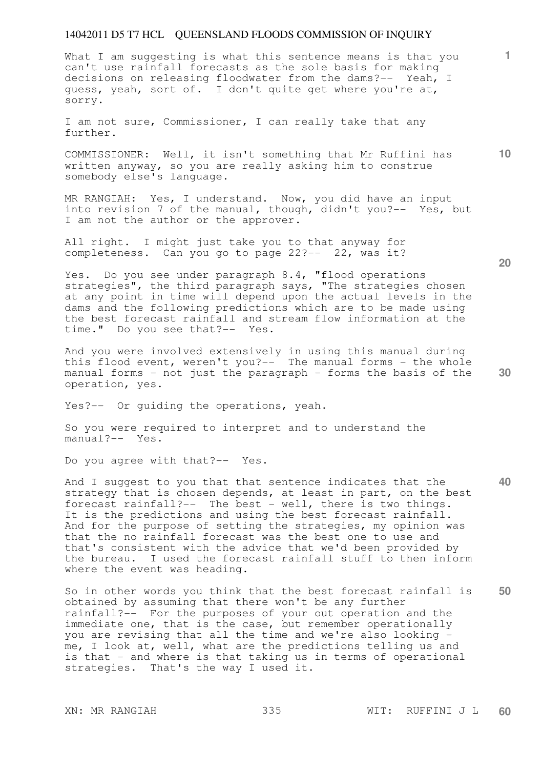What I am suggesting is what this sentence means is that you can't use rainfall forecasts as the sole basis for making decisions on releasing floodwater from the dams?-- Yeah, I guess, yeah, sort of. I don't quite get where you're at, sorry.

I am not sure, Commissioner, I can really take that any further.

COMMISSIONER: Well, it isn't something that Mr Ruffini has written anyway, so you are really asking him to construe somebody else's language.

MR RANGIAH: Yes, I understand. Now, you did have an input into revision 7 of the manual, though, didn't you?-- Yes, but I am not the author or the approver.

All right. I might just take you to that anyway for completeness. Can you go to page 22?-- 22, was it?

Yes. Do you see under paragraph 8.4, "flood operations strategies", the third paragraph says, "The strategies chosen at any point in time will depend upon the actual levels in the dams and the following predictions which are to be made using the best forecast rainfall and stream flow information at the time." Do you see that?-- Yes.

And you were involved extensively in using this manual during this flood event, weren't you?-- The manual forms - the whole manual forms - not just the paragraph - forms the basis of the operation, yes.

Yes?-- Or guiding the operations, yeah.

So you were required to interpret and to understand the manual?-- Yes.

Do you agree with that?-- Yes.

**40**  And I suggest to you that that sentence indicates that the strategy that is chosen depends, at least in part, on the best forecast rainfall?-- The best - well, there is two things. It is the predictions and using the best forecast rainfall. And for the purpose of setting the strategies, my opinion was that the no rainfall forecast was the best one to use and that's consistent with the advice that we'd been provided by the bureau. I used the forecast rainfall stuff to then inform where the event was heading.

**50**  So in other words you think that the best forecast rainfall is obtained by assuming that there won't be any further rainfall?-- For the purposes of your out operation and the immediate one, that is the case, but remember operationally you are revising that all the time and we're also looking me, I look at, well, what are the predictions telling us and is that - and where is that taking us in terms of operational strategies. That's the way I used it.

**20** 

**10**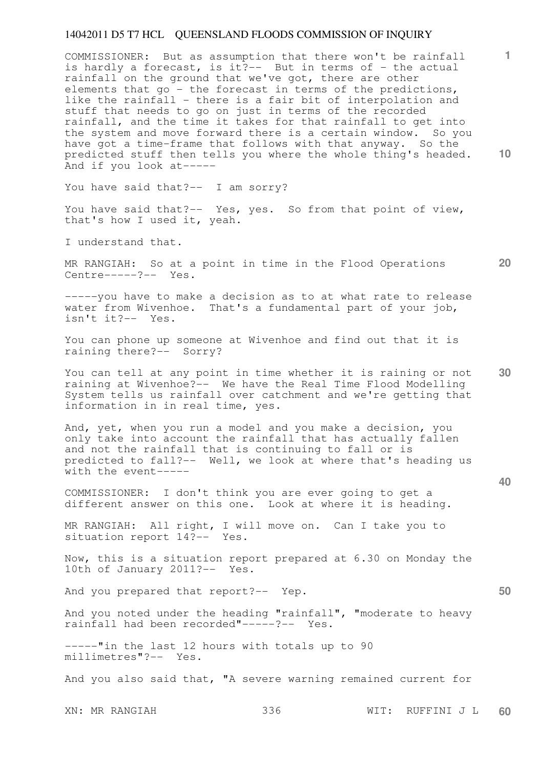**10**  COMMISSIONER: But as assumption that there won't be rainfall is hardly a forecast, is it?-- But in terms of - the actual rainfall on the ground that we've got, there are other elements that go - the forecast in terms of the predictions, like the rainfall - there is a fair bit of interpolation and stuff that needs to go on just in terms of the recorded rainfall, and the time it takes for that rainfall to get into the system and move forward there is a certain window. So you have got a time-frame that follows with that anyway. So the predicted stuff then tells you where the whole thing's headed. And if you look at-----

You have said that?-- I am sorry?

You have said that?-- Yes, yes. So from that point of view, that's how I used it, yeah.

I understand that.

MR RANGIAH: So at a point in time in the Flood Operations Centre-----?-- Yes.

-----you have to make a decision as to at what rate to release water from Wivenhoe. That's a fundamental part of your job, isn't it?-- Yes.

You can phone up someone at Wivenhoe and find out that it is raining there?-- Sorry?

**30**  You can tell at any point in time whether it is raining or not raining at Wivenhoe?-- We have the Real Time Flood Modelling System tells us rainfall over catchment and we're getting that information in in real time, yes.

And, yet, when you run a model and you make a decision, you only take into account the rainfall that has actually fallen and not the rainfall that is continuing to fall or is predicted to fall?-- Well, we look at where that's heading us with the event-----

COMMISSIONER: I don't think you are ever going to get a different answer on this one. Look at where it is heading.

MR RANGIAH: All right, I will move on. Can I take you to situation report 14?-- Yes.

Now, this is a situation report prepared at 6.30 on Monday the 10th of January 2011?-- Yes.

And you prepared that report?-- Yep.

And you noted under the heading "rainfall", "moderate to heavy rainfall had been recorded"-----?-- Yes.

-----"in the last 12 hours with totals up to 90 millimetres"?-- Yes.

And you also said that, "A severe warning remained current for

XN: MR RANGIAH 336 WIT: RUFFINI J L **60** 

**20** 

**50**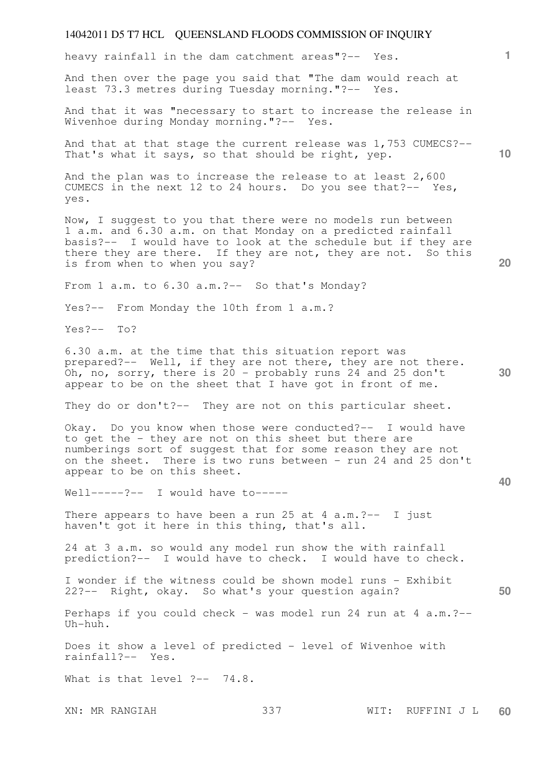heavy rainfall in the dam catchment areas"?-- Yes.

And then over the page you said that "The dam would reach at least 73.3 metres during Tuesday morning."?-- Yes.

And that it was "necessary to start to increase the release in Wivenhoe during Monday morning."?-- Yes. Wivenhoe during Monday morning."?--

And that at that stage the current release was 1,753 CUMECS?-- That's what it says, so that should be right, yep.

And the plan was to increase the release to at least 2,600 CUMECS in the next 12 to 24 hours. Do you see that?-- Yes, yes.

Now, I suggest to you that there were no models run between 1 a.m. and 6.30 a.m. on that Monday on a predicted rainfall basis?-- I would have to look at the schedule but if they are there they are there. If they are not, they are not. So this is from when to when you say?

From 1 a.m. to 6.30 a.m.?-- So that's Monday?

Yes?-- From Monday the 10th from 1 a.m.?

Yes?-- To?

6.30 a.m. at the time that this situation report was prepared?-- Well, if they are not there, they are not there. Oh, no, sorry, there is  $20$  - probably runs 24 and 25 don't appear to be on the sheet that I have got in front of me.

They do or don't?-- They are not on this particular sheet.

Okay. Do you know when those were conducted?-- I would have to get the - they are not on this sheet but there are numberings sort of suggest that for some reason they are not on the sheet. There is two runs between - run 24 and 25 don't appear to be on this sheet.

Well-----?-- I would have to-----

There appears to have been a run 25 at 4  $a.m.$ ?-- I just haven't got it here in this thing, that's all.

24 at 3 a.m. so would any model run show the with rainfall prediction?-- I would have to check. I would have to check.

I wonder if the witness could be shown model runs - Exhibit 22?-- Right, okay. So what's your question again?

Perhaps if you could check - was model run 24 run at 4 a.m.?-- Uh-huh.

Does it show a level of predicted - level of Wivenhoe with rainfall?-- Yes.

What is that level ?-- 74.8.

XN: MR RANGIAH 337 WIT: RUFFINI J L **60** 

**1**

**10** 

**30** 

**20** 

**40**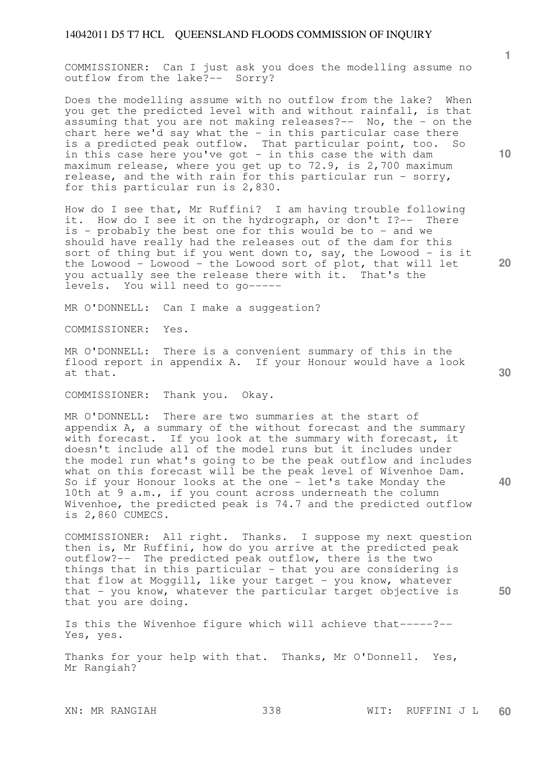COMMISSIONER: Can I just ask you does the modelling assume no outflow from the lake?-- Sorry?

Does the modelling assume with no outflow from the lake? When you get the predicted level with and without rainfall, is that assuming that you are not making releases?-- No, the - on the chart here we'd say what the - in this particular case there is a predicted peak outflow. That particular point, too. So in this case here you've got - in this case the with dam maximum release, where you get up to 72.9, is 2,700 maximum release, and the with rain for this particular run - sorry, for this particular run is 2,830.

How do I see that, Mr Ruffini? I am having trouble following it. How do I see it on the hydrograph, or don't I?-- There is - probably the best one for this would be to - and we should have really had the releases out of the dam for this sort of thing but if you went down to, say, the Lowood - is it the Lowood - Lowood - the Lowood sort of plot, that will let you actually see the release there with it. That's the levels. You will need to go-----

MR O'DONNELL: Can I make a suggestion?

COMMISSIONER: Yes.

MR O'DONNELL: There is a convenient summary of this in the flood report in appendix A. If your Honour would have a look at that.

COMMISSIONER: Thank you. Okay.

MR O'DONNELL: There are two summaries at the start of appendix A, a summary of the without forecast and the summary with forecast. If you look at the summary with forecast, it doesn't include all of the model runs but it includes under the model run what's going to be the peak outflow and includes what on this forecast will be the peak level of Wivenhoe Dam. So if your Honour looks at the one - let's take Monday the 10th at 9 a.m., if you count across underneath the column Wivenhoe, the predicted peak is 74.7 and the predicted outflow is 2,860 CUMECS.

COMMISSIONER: All right. Thanks. I suppose my next question then is, Mr Ruffini, how do you arrive at the predicted peak outflow?-- The predicted peak outflow, there is the two things that in this particular - that you are considering is that flow at Moggill, like your target - you know, whatever that - you know, whatever the particular target objective is that you are doing.

Is this the Wivenhoe figure which will achieve that-----?-- Yes, yes.

Thanks for your help with that. Thanks, Mr O'Donnell. Yes, Mr Rangiah?

**10** 

**1**

**20** 

**30** 

**40**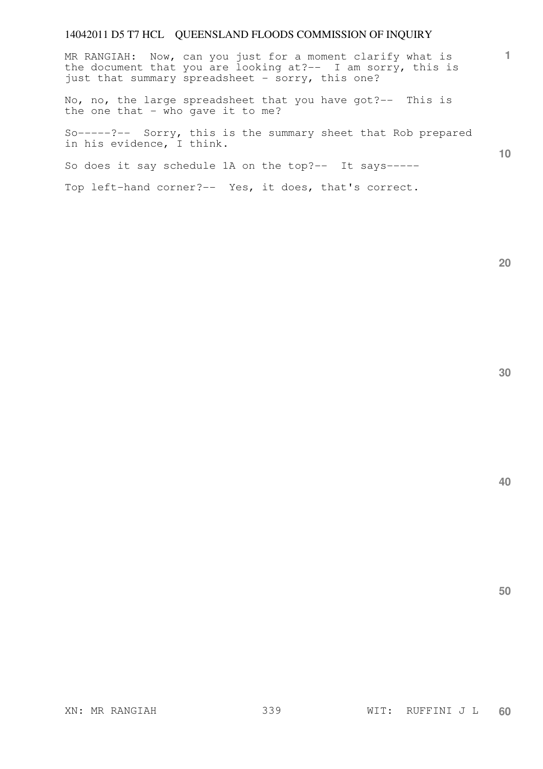**1 10**  MR RANGIAH: Now, can you just for a moment clarify what is the document that you are looking at?-- I am sorry, this is just that summary spreadsheet - sorry, this one? No, no, the large spreadsheet that you have got?-- This is the one that  $-$  who gave it to me? So-----?-- Sorry, this is the summary sheet that Rob prepared in his evidence, I think.

So does it say schedule 1A on the top?-- It says-----

Top left-hand corner?-- Yes, it does, that's correct.

**20**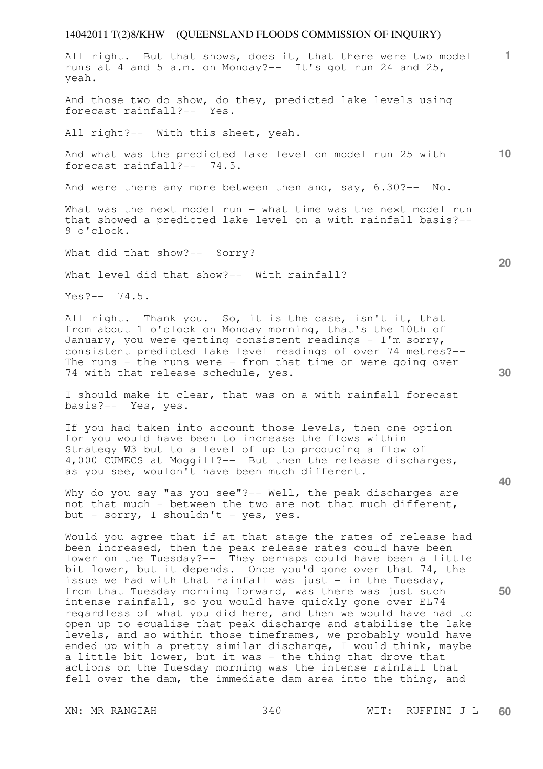**1** All right. But that shows, does it, that there were two model runs at 4 and 5 a.m. on Monday?-- It's got run 24 and 25, yeah.

And those two do show, do they, predicted lake levels using forecast rainfall?-- Yes.

All right?-- With this sheet, yeah.

**10**  And what was the predicted lake level on model run 25 with forecast rainfall?-- 74.5.

And were there any more between then and, say, 6.30?-- No.

What was the next model run - what time was the next model run that showed a predicted lake level on a with rainfall basis?-- 9 o'clock.

What did that show?-- Sorry?

What level did that show?-- With rainfall?

 $Yes? -- 74.5.$ 

All right. Thank you. So, it is the case, isn't it, that from about 1 o'clock on Monday morning, that's the 10th of January, you were getting consistent readings - I'm sorry, consistent predicted lake level readings of over 74 metres?-- The runs - the runs were - from that time on were going over 74 with that release schedule, yes.

I should make it clear, that was on a with rainfall forecast basis?-- Yes, yes.

If you had taken into account those levels, then one option for you would have been to increase the flows within Strategy W3 but to a level of up to producing a flow of 4,000 CUMECS at Moggill?-- But then the release discharges, as you see, wouldn't have been much different.

Why do you say "as you see"?-- Well, the peak discharges are not that much - between the two are not that much different, but - sorry, I shouldn't - yes, yes.

Would you agree that if at that stage the rates of release had been increased, then the peak release rates could have been lower on the Tuesday?-- They perhaps could have been a little bit lower, but it depends. Once you'd gone over that 74, the issue we had with that rainfall was just - in the Tuesday, from that Tuesday morning forward, was there was just such intense rainfall, so you would have quickly gone over EL74 regardless of what you did here, and then we would have had to open up to equalise that peak discharge and stabilise the lake levels, and so within those timeframes, we probably would have ended up with a pretty similar discharge, I would think, maybe a little bit lower, but it was - the thing that drove that actions on the Tuesday morning was the intense rainfall that fell over the dam, the immediate dam area into the thing, and

**20** 

**40**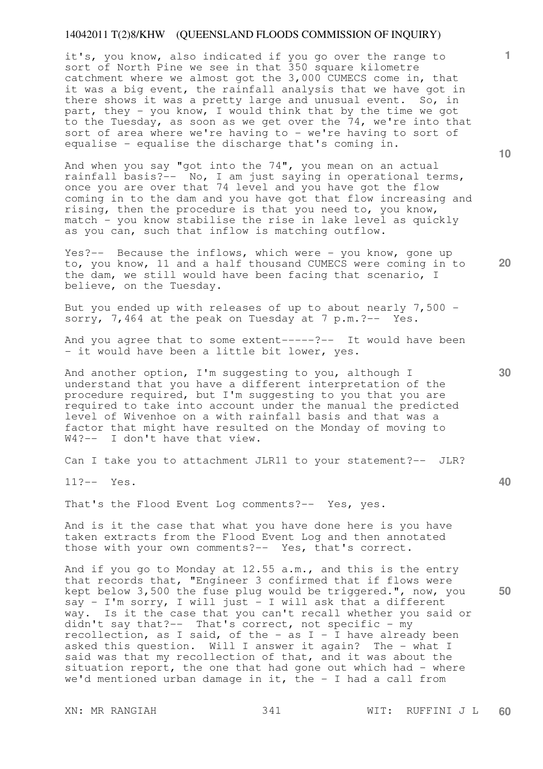it's, you know, also indicated if you go over the range to sort of North Pine we see in that 350 square kilometre catchment where we almost got the 3,000 CUMECS come in, that it was a big event, the rainfall analysis that we have got in there shows it was a pretty large and unusual event. So, in part, they - you know, I would think that by the time we got to the Tuesday, as soon as we get over the 74, we're into that sort of area where we're having to - we're having to sort of equalise - equalise the discharge that's coming in.

And when you say "got into the 74", you mean on an actual rainfall basis?-- No, I am just saying in operational terms, once you are over that 74 level and you have got the flow coming in to the dam and you have got that flow increasing and rising, then the procedure is that you need to, you know, match - you know stabilise the rise in lake level as quickly as you can, such that inflow is matching outflow.

Yes?-- Because the inflows, which were - you know, gone up to, you know, 11 and a half thousand CUMECS were coming in to the dam, we still would have been facing that scenario, I believe, on the Tuesday.

But you ended up with releases of up to about nearly 7,500 sorry, 7,464 at the peak on Tuesday at 7 p.m. ?-- Yes.

And you agree that to some extent-----?-- It would have been - it would have been a little bit lower, yes.

And another option, I'm suggesting to you, although I understand that you have a different interpretation of the procedure required, but I'm suggesting to you that you are required to take into account under the manual the predicted level of Wivenhoe on a with rainfall basis and that was a factor that might have resulted on the Monday of moving to W4?-- I don't have that view.

Can I take you to attachment JLR11 to your statement?-- JLR?

11?-- Yes.

That's the Flood Event Log comments?-- Yes, yes.

And is it the case that what you have done here is you have taken extracts from the Flood Event Log and then annotated those with your own comments?-- Yes, that's correct.

**50**  And if you go to Monday at 12.55 a.m., and this is the entry that records that, "Engineer 3 confirmed that if flows were kept below 3,500 the fuse plug would be triggered.", now, you say - I'm sorry, I will just - I will ask that a different way. Is it the case that you can't recall whether you said or didn't say that?-- That's correct, not specific - my recollection, as I said, of the - as I - I have already been asked this question. Will I answer it again? The - what I said was that my recollection of that, and it was about the situation report, the one that had gone out which had - where we'd mentioned urban damage in it, the  $-$  I had a call from

**10** 

**1**

**20**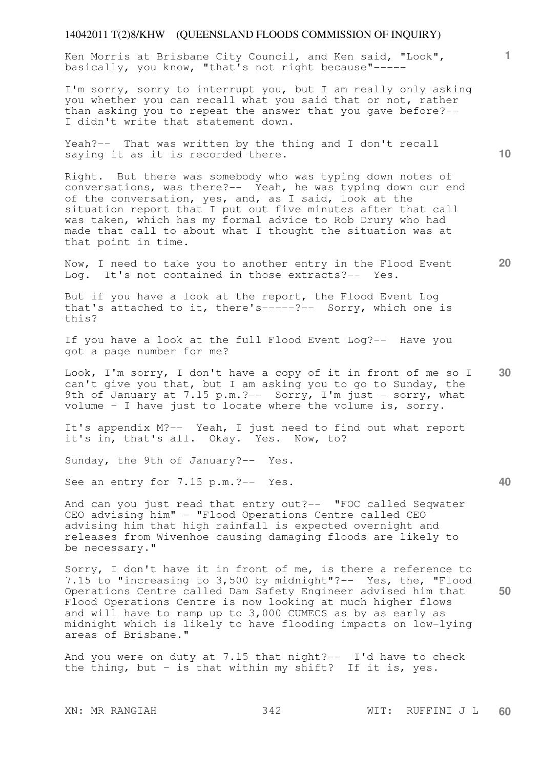Ken Morris at Brisbane City Council, and Ken said, "Look", basically, you know, "that's not right because"-----

I'm sorry, sorry to interrupt you, but I am really only asking you whether you can recall what you said that or not, rather than asking you to repeat the answer that you gave before?-- I didn't write that statement down.

Yeah?-- That was written by the thing and I don't recall saying it as it is recorded there.

Right. But there was somebody who was typing down notes of conversations, was there?-- Yeah, he was typing down our end of the conversation, yes, and, as I said, look at the situation report that I put out five minutes after that call was taken, which has my formal advice to Rob Drury who had made that call to about what I thought the situation was at that point in time.

Now, I need to take you to another entry in the Flood Event Log. It's not contained in those extracts?-- Yes.

But if you have a look at the report, the Flood Event Log that's attached to it, there's-----?-- Sorry, which one is this?

If you have a look at the full Flood Event Log?-- Have you got a page number for me?

**30**  Look, I'm sorry, I don't have a copy of it in front of me so I can't give you that, but I am asking you to go to Sunday, the 9th of January at 7.15 p.m.?-- Sorry, I'm just - sorry, what volume - I have just to locate where the volume is, sorry.

It's appendix M?-- Yeah, I just need to find out what report it's in, that's all. Okay. Yes. Now, to?

Sunday, the 9th of January?-- Yes.

See an entry for 7.15 p.m. ?-- Yes.

And can you just read that entry out?-- "FOC called Seqwater CEO advising him" - "Flood Operations Centre called CEO advising him that high rainfall is expected overnight and releases from Wivenhoe causing damaging floods are likely to be necessary."

Sorry, I don't have it in front of me, is there a reference to 7.15 to "increasing to 3,500 by midnight"?-- Yes, the, "Flood Operations Centre called Dam Safety Engineer advised him that Flood Operations Centre is now looking at much higher flows and will have to ramp up to 3,000 CUMECS as by as early as midnight which is likely to have flooding impacts on low-lying areas of Brisbane."

And you were on duty at 7.15 that night?-- I'd have to check the thing, but  $-$  is that within my shift? If it is, yes.

**10** 

**1**

**20** 

**40**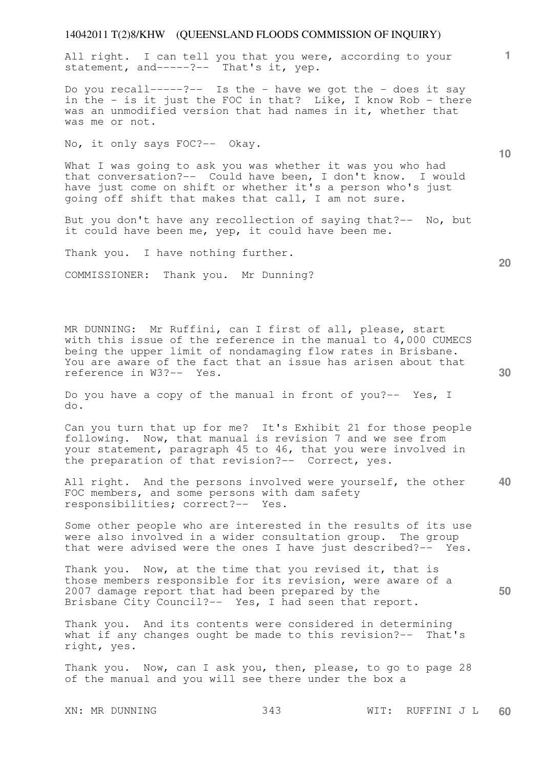All right. I can tell you that you were, according to your statement, and-----?-- That's it, yep.

Do you recall-----?-- Is the - have we got the - does it say in the - is it just the FOC in that? Like, I know Rob - there was an unmodified version that had names in it, whether that was me or not.

No, it only says FOC?-- Okay.

What I was going to ask you was whether it was you who had that conversation?-- Could have been, I don't know. I would have just come on shift or whether it's a person who's just going off shift that makes that call, I am not sure.

But you don't have any recollection of saying that?-- No, but it could have been me, yep, it could have been me.

Thank you. I have nothing further.

COMMISSIONER: Thank you. Mr Dunning?

MR DUNNING: Mr Ruffini, can I first of all, please, start with this issue of the reference in the manual to 4,000 CUMECS being the upper limit of nondamaging flow rates in Brisbane. You are aware of the fact that an issue has arisen about that reference in W3?-- Yes.

Do you have a copy of the manual in front of you?-- Yes, I do.

Can you turn that up for me? It's Exhibit 21 for those people following. Now, that manual is revision 7 and we see from your statement, paragraph 45 to 46, that you were involved in the preparation of that revision?-- Correct, yes.

**40**  All right. And the persons involved were yourself, the other FOC members, and some persons with dam safety responsibilities; correct?-- Yes.

Some other people who are interested in the results of its use were also involved in a wider consultation group. The group that were advised were the ones I have just described?-- Yes.

Thank you. Now, at the time that you revised it, that is those members responsible for its revision, were aware of a 2007 damage report that had been prepared by the Brisbane City Council?-- Yes, I had seen that report.

Thank you. And its contents were considered in determining what if any changes ought be made to this revision?-- That's right, yes.

Thank you. Now, can I ask you, then, please, to go to page 28 of the manual and you will see there under the box a

XN: MR DUNNING 343 WIT: RUFFINI J L **60** 

**20** 

**50** 

**10**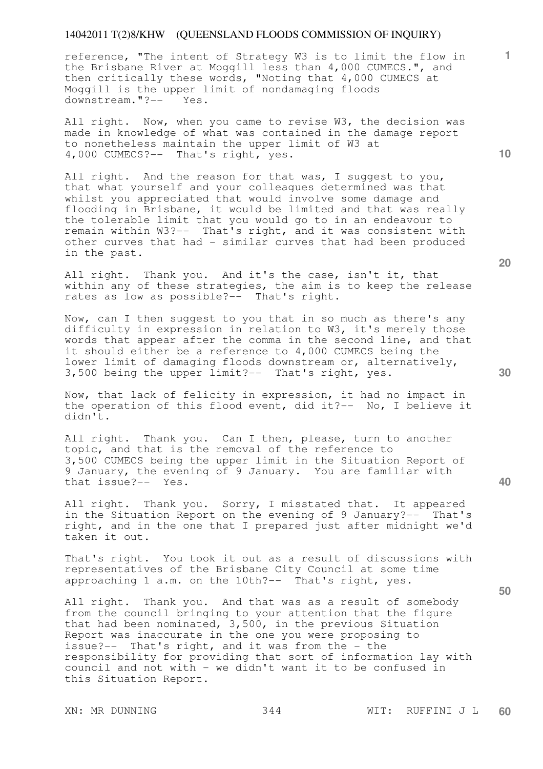reference, "The intent of Strategy W3 is to limit the flow in the Brisbane River at Moggill less than 4,000 CUMECS.", and then critically these words, "Noting that 4,000 CUMECS at Moggill is the upper limit of nondamaging floods downstream."?-- Yes.

All right. Now, when you came to revise W3, the decision was made in knowledge of what was contained in the damage report to nonetheless maintain the upper limit of W3 at 4,000 CUMECS?-- That's right, yes.

All right. And the reason for that was, I suggest to you, that what yourself and your colleagues determined was that whilst you appreciated that would involve some damage and flooding in Brisbane, it would be limited and that was really the tolerable limit that you would go to in an endeavour to remain within W3?-- That's right, and it was consistent with other curves that had - similar curves that had been produced in the past.

All right. Thank you. And it's the case, isn't it, that within any of these strategies, the aim is to keep the release rates as low as possible?-- That's right.

Now, can I then suggest to you that in so much as there's any difficulty in expression in relation to W3, it's merely those words that appear after the comma in the second line, and that it should either be a reference to 4,000 CUMECS being the lower limit of damaging floods downstream or, alternatively, 3,500 being the upper limit?-- That's right, yes.

Now, that lack of felicity in expression, it had no impact in the operation of this flood event, did it?-- No, I believe it didn't.

All right. Thank you. Can I then, please, turn to another topic, and that is the removal of the reference to 3,500 CUMECS being the upper limit in the Situation Report of 9 January, the evening of 9 January. You are familiar with that issue?-- Yes.

All right. Thank you. Sorry, I misstated that. It appeared in the Situation Report on the evening of 9 January?-- That's right, and in the one that I prepared just after midnight we'd taken it out.

That's right. You took it out as a result of discussions with representatives of the Brisbane City Council at some time approaching 1 a.m. on the 10th?-- That's right, yes.

All right. Thank you. And that was as a result of somebody from the council bringing to your attention that the figure that had been nominated, 3,500, in the previous Situation Report was inaccurate in the one you were proposing to issue?-- That's right, and it was from the - the responsibility for providing that sort of information lay with council and not with - we didn't want it to be confused in this Situation Report.

**20** 

**10** 

**1**

**50**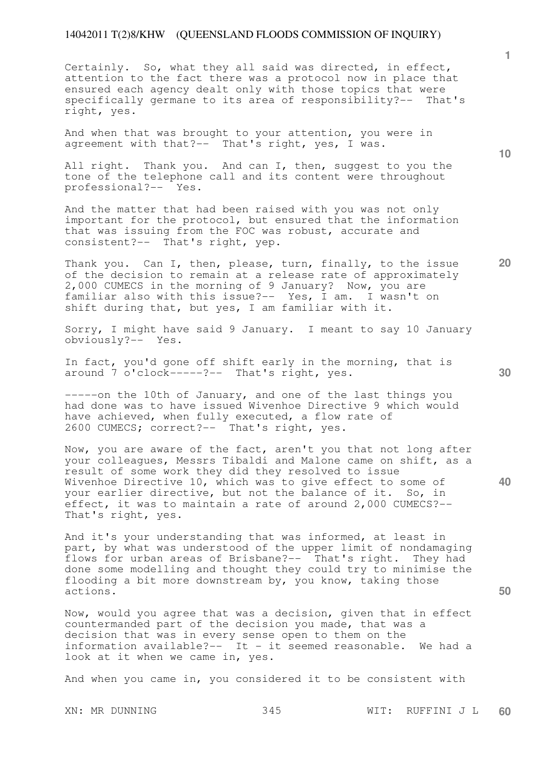Certainly. So, what they all said was directed, in effect, attention to the fact there was a protocol now in place that ensured each agency dealt only with those topics that were specifically germane to its area of responsibility?-- That's right, yes.

And when that was brought to your attention, you were in agreement with that?-- That's right, yes, I was.

All right. Thank you. And can I, then, suggest to you the tone of the telephone call and its content were throughout professional?-- Yes.

And the matter that had been raised with you was not only important for the protocol, but ensured that the information that was issuing from the FOC was robust, accurate and consistent?-- That's right, yep.

Thank you. Can I, then, please, turn, finally, to the issue of the decision to remain at a release rate of approximately 2,000 CUMECS in the morning of 9 January? Now, you are familiar also with this issue?-- Yes, I am. I wasn't on shift during that, but yes, I am familiar with it.

Sorry, I might have said 9 January. I meant to say 10 January obviously?-- Yes.

In fact, you'd gone off shift early in the morning, that is around 7 o'clock-----?-- That's right, yes.

-----on the 10th of January, and one of the last things you had done was to have issued Wivenhoe Directive 9 which would have achieved, when fully executed, a flow rate of 2600 CUMECS; correct?-- That's right, yes.

Now, you are aware of the fact, aren't you that not long after your colleagues, Messrs Tibaldi and Malone came on shift, as a result of some work they did they resolved to issue Wivenhoe Directive 10, which was to give effect to some of your earlier directive, but not the balance of it. So, in effect, it was to maintain a rate of around 2,000 CUMECS?-- That's right, yes.

And it's your understanding that was informed, at least in part, by what was understood of the upper limit of nondamaging flows for urban areas of Brisbane?-- That's right. They had done some modelling and thought they could try to minimise the flooding a bit more downstream by, you know, taking those actions.

Now, would you agree that was a decision, given that in effect countermanded part of the decision you made, that was a decision that was in every sense open to them on the information available?-- It - it seemed reasonable. We had a look at it when we came in, yes.

And when you came in, you considered it to be consistent with

XN: MR DUNNING 345 WIT: RUFFINI J L **60** 

**30** 

**20** 

**40** 

**50** 

**10**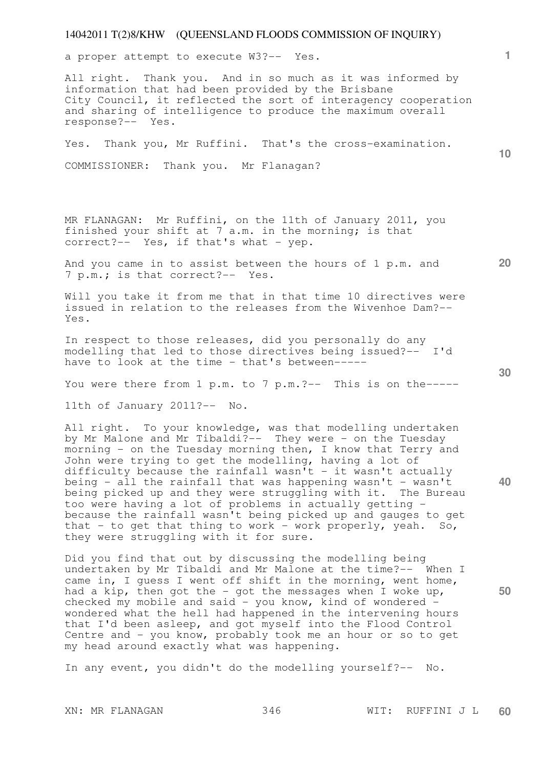a proper attempt to execute W3?-- Yes.

All right. Thank you. And in so much as it was informed by information that had been provided by the Brisbane City Council, it reflected the sort of interagency cooperation and sharing of intelligence to produce the maximum overall response?-- Yes.

Yes. Thank you, Mr Ruffini. That's the cross-examination.

COMMISSIONER: Thank you. Mr Flanagan?

MR FLANAGAN: Mr Ruffini, on the 11th of January 2011, you finished your shift at 7 a.m. in the morning; is that correct?-- Yes, if that's what - yep.

And you came in to assist between the hours of 1 p.m. and 7 p.m.; is that correct?-- Yes.

Will you take it from me that in that time 10 directives were issued in relation to the releases from the Wivenhoe Dam?-- Yes.

In respect to those releases, did you personally do any modelling that led to those directives being issued?-- I'd have to look at the time - that's between-----

You were there from 1 p.m. to 7 p.m.?-- This is on the-----

11th of January 2011?-- No.

All right. To your knowledge, was that modelling undertaken by Mr Malone and Mr Tibaldi?-- They were - on the Tuesday morning - on the Tuesday morning then, I know that Terry and John were trying to get the modelling, having a lot of difficulty because the rainfall wasn't - it wasn't actually being - all the rainfall that was happening wasn't - wasn't being picked up and they were struggling with it. The Bureau too were having a lot of problems in actually getting because the rainfall wasn't being picked up and gauges to get that - to get that thing to work - work properly, yeah. So, they were struggling with it for sure.

Did you find that out by discussing the modelling being undertaken by Mr Tibaldi and Mr Malone at the time?-- When I came in, I guess I went off shift in the morning, went home, had a kip, then got the - got the messages when I woke up, checked my mobile and said - you know, kind of wondered wondered what the hell had happened in the intervening hours that I'd been asleep, and got myself into the Flood Control Centre and - you know, probably took me an hour or so to get my head around exactly what was happening.

In any event, you didn't do the modelling yourself?-- No.

**30** 

**20** 

**50** 

**40** 

**10**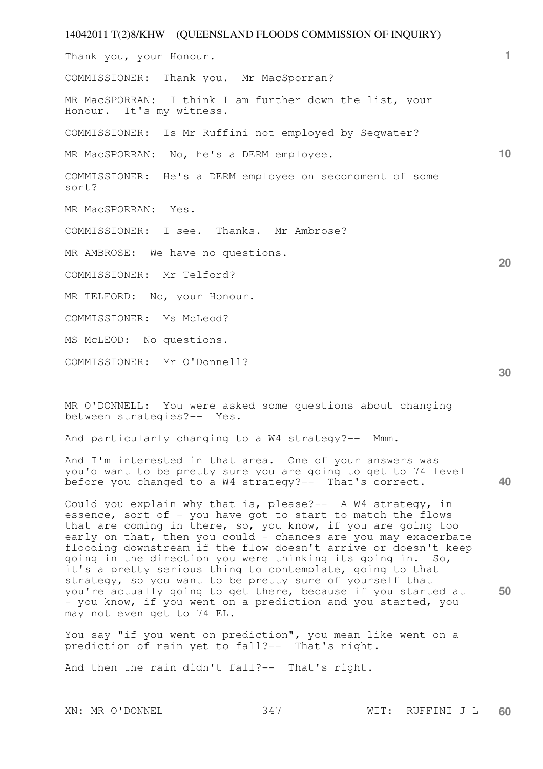# 14042011 T(2)8/KHW (QUEENSLAND FLOODS COMMISSION OF INQUIRY) **1 10 20 30**  Thank you, your Honour. COMMISSIONER: Thank you. Mr MacSporran? MR MacSPORRAN: I think I am further down the list, your Honour. It's my witness. COMMISSIONER: Is Mr Ruffini not employed by Seqwater? MR MacSPORRAN: No, he's a DERM employee. COMMISSIONER: He's a DERM employee on secondment of some sort? MR MacSPORRAN: Yes. COMMISSIONER: I see. Thanks. Mr Ambrose? MR AMBROSE: We have no questions. COMMISSIONER: Mr Telford? MR TELFORD: No, your Honour. COMMISSIONER: Ms McLeod? MS McLEOD: No questions. COMMISSIONER: Mr O'Donnell?

MR O'DONNELL: You were asked some questions about changing between strategies?-- Yes.

And particularly changing to a W4 strategy?-- Mmm.

**40**  And I'm interested in that area. One of your answers was you'd want to be pretty sure you are going to get to 74 level before you changed to a W4 strategy?-- That's correct.

**50**  Could you explain why that is, please?-- A W4 strategy, in essence, sort of - you have got to start to match the flows that are coming in there, so, you know, if you are going too early on that, then you could - chances are you may exacerbate flooding downstream if the flow doesn't arrive or doesn't keep going in the direction you were thinking its going in. So, it's a pretty serious thing to contemplate, going to that strategy, so you want to be pretty sure of yourself that you're actually going to get there, because if you started at - you know, if you went on a prediction and you started, you may not even get to 74 EL.

You say "if you went on prediction", you mean like went on a prediction of rain yet to fall?-- That's right.

And then the rain didn't fall?-- That's right.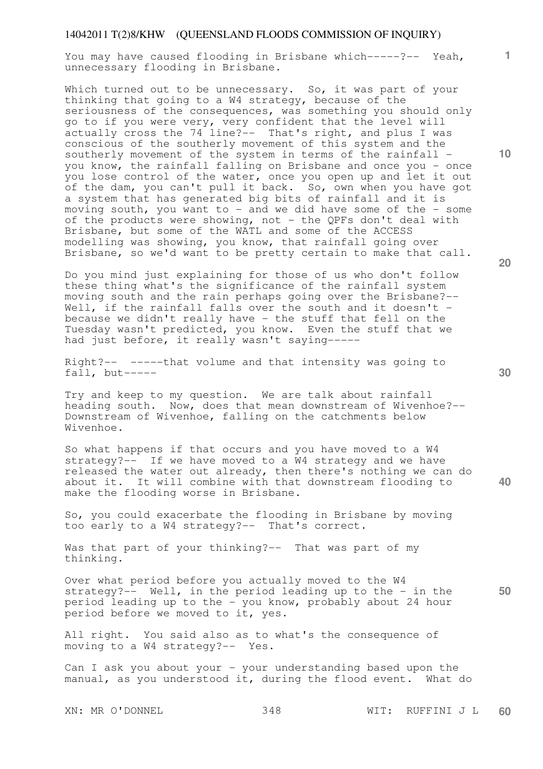You may have caused flooding in Brisbane which-----?-- Yeah, unnecessary flooding in Brisbane.

Which turned out to be unnecessary. So, it was part of your thinking that going to a W4 strategy, because of the seriousness of the consequences, was something you should only go to if you were very, very confident that the level will actually cross the 74 line?-- That's right, and plus I was conscious of the southerly movement of this system and the southerly movement of the system in terms of the rainfall you know, the rainfall falling on Brisbane and once you - once you lose control of the water, once you open up and let it out of the dam, you can't pull it back. So, own when you have got a system that has generated big bits of rainfall and it is moving south, you want to - and we did have some of the - some of the products were showing, not - the QPFs don't deal with Brisbane, but some of the WATL and some of the ACCESS modelling was showing, you know, that rainfall going over Brisbane, so we'd want to be pretty certain to make that call.

Do you mind just explaining for those of us who don't follow these thing what's the significance of the rainfall system moving south and the rain perhaps going over the Brisbane?-- Well, if the rainfall falls over the south and it doesn't because we didn't really have - the stuff that fell on the Tuesday wasn't predicted, you know. Even the stuff that we had just before, it really wasn't saying-----

Right?-- -----that volume and that intensity was going to  $fall, but ---$ 

Try and keep to my question. We are talk about rainfall heading south. Now, does that mean downstream of Wivenhoe?--Downstream of Wivenhoe, falling on the catchments below Wivenhoe.

So what happens if that occurs and you have moved to a W4 strategy? $-$  If we have moved to a  $\overline{W}$ 4 strategy and we have released the water out already, then there's nothing we can do about it. It will combine with that downstream flooding to make the flooding worse in Brisbane.

So, you could exacerbate the flooding in Brisbane by moving too early to a W4 strategy?-- That's correct.

Was that part of your thinking?-- That was part of my thinking.

**50**  Over what period before you actually moved to the W4 strategy?-- Well, in the period leading up to the - in the period leading up to the - you know, probably about 24 hour period before we moved to it, yes.

All right. You said also as to what's the consequence of moving to a W4 strategy?-- Yes.

Can I ask you about your - your understanding based upon the manual, as you understood it, during the flood event. What do

XN: MR O'DONNEL 348 WIT: RUFFINI J L **60** 

**30** 

**40** 

**1**

**10**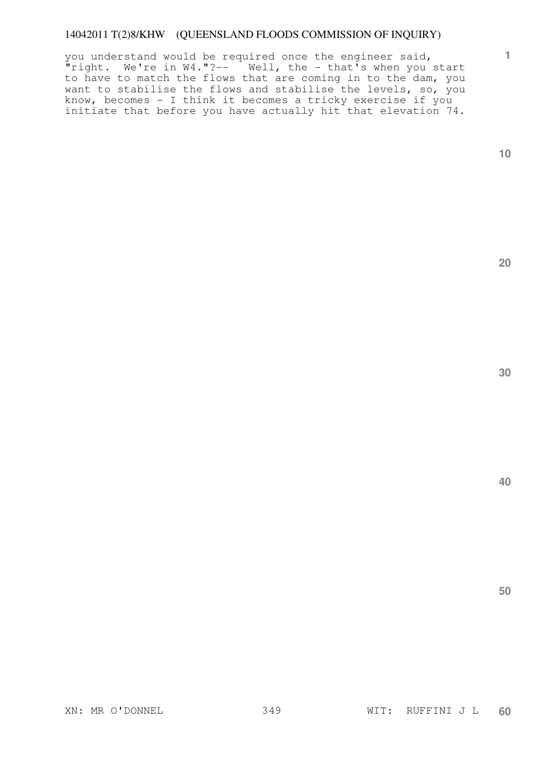you understand would be required once the engineer said,  $\overline{\mathbf{r}}$ right. We're in W4."?--  $\overline{\mathbf{r}}$  Well, the - that's when you start to have to match the flows that are coming in to the dam, you want to stabilise the flows and stabilise the levels, so, you know, becomes - I think it becomes a tricky exercise if you initiate that before you have actually hit that elevation 74.

**10** 

**1**

**20** 

**30** 

**40**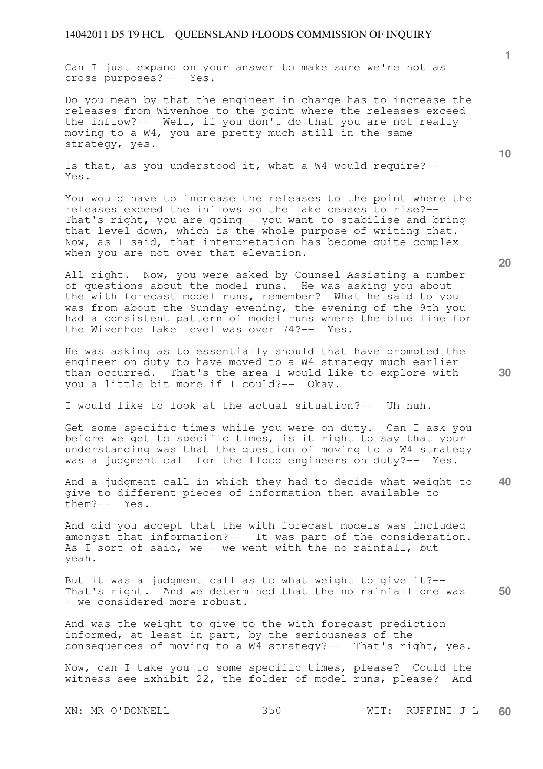Can I just expand on your answer to make sure we're not as cross-purposes?-- Yes.

Do you mean by that the engineer in charge has to increase the releases from Wivenhoe to the point where the releases exceed the inflow?-- Well, if you don't do that you are not really moving to a W4, you are pretty much still in the same strategy, yes.

Is that, as you understood it, what a W4 would require?-- Yes.

You would have to increase the releases to the point where the releases exceed the inflows so the lake ceases to rise?-- That's right, you are going - you want to stabilise and bring that level down, which is the whole purpose of writing that. Now, as I said, that interpretation has become quite complex when you are not over that elevation.

All right. Now, you were asked by Counsel Assisting a number of questions about the model runs. He was asking you about the with forecast model runs, remember? What he said to you was from about the Sunday evening, the evening of the 9th you had a consistent pattern of model runs where the blue line for the Wivenhoe lake level was over 74?-- Yes.

He was asking as to essentially should that have prompted the engineer on duty to have moved to a W4 strategy much earlier than occurred. That's the area I would like to explore with you a little bit more if I could?-- Okay.

I would like to look at the actual situation?-- Uh-huh.

Get some specific times while you were on duty. Can I ask you before we get to specific times, is it right to say that your understanding was that the question of moving to a W4 strategy was a judgment call for the flood engineers on duty?-- Yes.

**40**  And a judgment call in which they had to decide what weight to give to different pieces of information then available to them?-- Yes.

And did you accept that the with forecast models was included amongst that information?-- It was part of the consideration. As I sort of said, we - we went with the no rainfall, but yeah.

**50**  But it was a judgment call as to what weight to give it?-- That's right. And we determined that the no rainfall one was - we considered more robust.

And was the weight to give to the with forecast prediction informed, at least in part, by the seriousness of the consequences of moving to a W4 strategy?-- That's right, yes.

Now, can I take you to some specific times, please? Could the witness see Exhibit 22, the folder of model runs, please? And

XN: MR O'DONNELL 350 WIT: RUFFINI J L **60** 

**20** 

**10**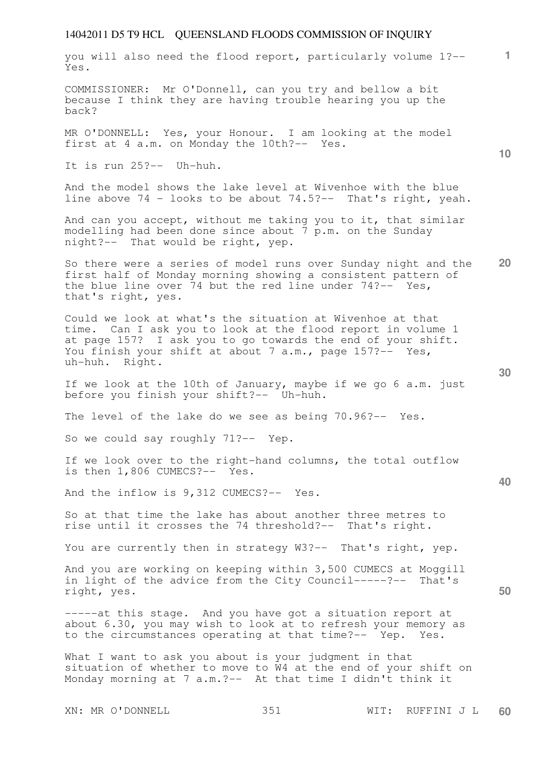| you will also need the flood report, particularly volume 1?--<br>Yes.                                                                                                                                                                                                | $\mathbf{1}$    |
|----------------------------------------------------------------------------------------------------------------------------------------------------------------------------------------------------------------------------------------------------------------------|-----------------|
| COMMISSIONER: Mr O'Donnell, can you try and bellow a bit<br>because I think they are having trouble hearing you up the<br>back?                                                                                                                                      |                 |
| MR O'DONNELL: Yes, your Honour. I am looking at the model<br>first at 4 a.m. on Monday the 10th?-- Yes.                                                                                                                                                              | 10 <sup>°</sup> |
| It is run 25?-- Uh-huh.                                                                                                                                                                                                                                              |                 |
| And the model shows the lake level at Wivenhoe with the blue<br>line above 74 - looks to be about 74.5?-- That's right, yeah.                                                                                                                                        |                 |
| And can you accept, without me taking you to it, that similar<br>modelling had been done since about 7 p.m. on the Sunday<br>night?-- That would be right, yep.                                                                                                      |                 |
| So there were a series of model runs over Sunday night and the<br>first half of Monday morning showing a consistent pattern of<br>the blue line over 74 but the red line under $74?--$ Yes,<br>that's right, yes.                                                    | 20              |
| Could we look at what's the situation at Wivenhoe at that<br>time. Can I ask you to look at the flood report in volume 1<br>at page 157? I ask you to go towards the end of your shift.<br>You finish your shift at about 7 a.m., page 157?-- Yes,<br>uh-huh. Right. | 30              |
| If we look at the 10th of January, maybe if we go 6 a.m. just<br>before you finish your shift?-- Uh-huh.                                                                                                                                                             |                 |
| The level of the lake do we see as being 70.96?-- Yes.                                                                                                                                                                                                               |                 |
| So we could say roughly 71?-- Yep.                                                                                                                                                                                                                                   |                 |
| If we look over to the right-hand columns, the total outflow<br>is then 1,806 CUMECS?-- Yes.                                                                                                                                                                         |                 |
| And the inflow is 9,312 CUMECS?-- Yes.                                                                                                                                                                                                                               | 40              |
| So at that time the lake has about another three metres to<br>rise until it crosses the 74 threshold?-- That's right.                                                                                                                                                |                 |
| You are currently then in strategy W3?-- That's right, yep.                                                                                                                                                                                                          |                 |
| And you are working on keeping within 3,500 CUMECS at Moggill<br>in light of the advice from the City Council-----?-- That's<br>right, yes.                                                                                                                          | 50              |
| -----at this stage. And you have got a situation report at<br>about 6.30, you may wish to look at to refresh your memory as<br>to the circumstances operating at that time?-- Yep. Yes.                                                                              |                 |
| What I want to ask you about is your judgment in that<br>situation of whether to move to W4 at the end of your shift on<br>Monday morning at 7 a.m.?-- At that time I didn't think it                                                                                |                 |
| 351<br>XN: MR O'DONNELL<br>WIT:<br>RUFFINI J L                                                                                                                                                                                                                       | 60              |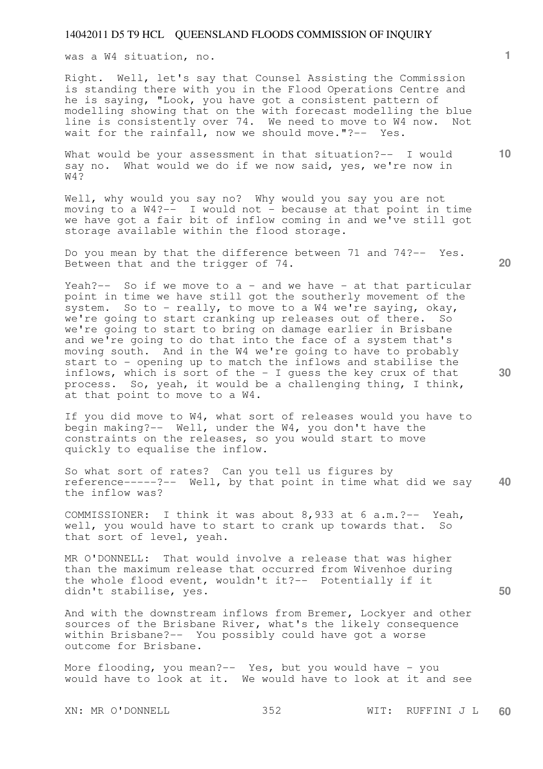was a W4 situation, no.

Right. Well, let's say that Counsel Assisting the Commission is standing there with you in the Flood Operations Centre and he is saying, "Look, you have got a consistent pattern of modelling showing that on the with forecast modelling the blue line is consistently over 74. We need to move to W4 now. Not wait for the rainfall, now we should move."?-- Yes.

What would be your assessment in that situation?-- I would say no. What would we do if we now said, yes, we're now in  $W4$ ?

Well, why would you say no? Why would you say you are not moving to a W4?-- I would not - because at that point in time we have got a fair bit of inflow coming in and we've still got storage available within the flood storage.

Do you mean by that the difference between 71 and 74?-- Yes. Between that and the trigger of 74.

Yeah?-- So if we move to a - and we have - at that particular point in time we have still got the southerly movement of the system. So to - really, to move to a W4 we're saying, okay, we're going to start cranking up releases out of there. So we're going to start to bring on damage earlier in Brisbane and we're going to do that into the face of a system that's moving south. And in the W4 we're going to have to probably start to - opening up to match the inflows and stabilise the inflows, which is sort of the - I guess the key crux of that process. So, yeah, it would be a challenging thing, I think, at that point to move to a W4.

If you did move to W4, what sort of releases would you have to begin making?-- Well, under the W4, you don't have the constraints on the releases, so you would start to move quickly to equalise the inflow.

**40**  So what sort of rates? Can you tell us figures by reference-----?-- Well, by that point in time what did we say the inflow was?

COMMISSIONER: I think it was about 8,933 at 6 a.m.?-- Yeah, well, you would have to start to crank up towards that. So that sort of level, yeah.

MR O'DONNELL: That would involve a release that was higher than the maximum release that occurred from Wivenhoe during the whole flood event, wouldn't it?-- Potentially if it didn't stabilise, yes.

And with the downstream inflows from Bremer, Lockyer and other sources of the Brisbane River, what's the likely consequence within Brisbane?-- You possibly could have got a worse outcome for Brisbane.

More flooding, you mean?-- Yes, but you would have - you would have to look at it. We would have to look at it and see

**20** 

**30** 

**50** 

**1**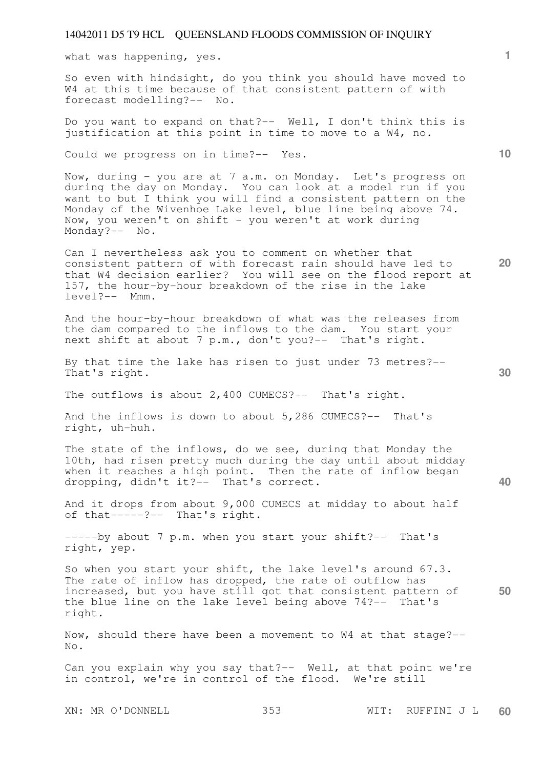what was happening, yes.

So even with hindsight, do you think you should have moved to W4 at this time because of that consistent pattern of with forecast modelling?-- No.

Do you want to expand on that?-- Well, I don't think this is justification at this point in time to move to a W4, no.

Could we progress on in time?-- Yes.

Now, during - you are at 7 a.m. on Monday. Let's progress on during the day on Monday. You can look at a model run if you want to but I think you will find a consistent pattern on the Monday of the Wivenhoe Lake level, blue line being above 74. Now, you weren't on shift - you weren't at work during Monday?-- No.

Can I nevertheless ask you to comment on whether that consistent pattern of with forecast rain should have led to that W4 decision earlier? You will see on the flood report at 157, the hour-by-hour breakdown of the rise in the lake level?-- Mmm.

And the hour-by-hour breakdown of what was the releases from the dam compared to the inflows to the dam. You start your next shift at about 7 p.m., don't you?-- That's right.

By that time the lake has risen to just under 73 metres?-- That's right.

The outflows is about 2,400 CUMECS?-- That's right.

And the inflows is down to about 5,286 CUMECS?-- That's right, uh-huh.

The state of the inflows, do we see, during that Monday the 10th, had risen pretty much during the day until about midday when it reaches a high point. Then the rate of inflow began dropping, didn't it?-- That's correct.

And it drops from about 9,000 CUMECS at midday to about half of that-----?-- That's right.

-----by about 7 p.m. when you start your shift?-- That's right, yep.

**50**  So when you start your shift, the lake level's around 67.3. The rate of inflow has dropped, the rate of outflow has increased, but you have still got that consistent pattern of the blue line on the lake level being above 74?-- That's right.

Now, should there have been a movement to W4 at that stage?-- No.

Can you explain why you say that?-- Well, at that point we're in control, we're in control of the flood. We're still

XN: MR O'DONNELL 353 WIT: RUFFINI J L **60** 

**10** 

**1**

**20**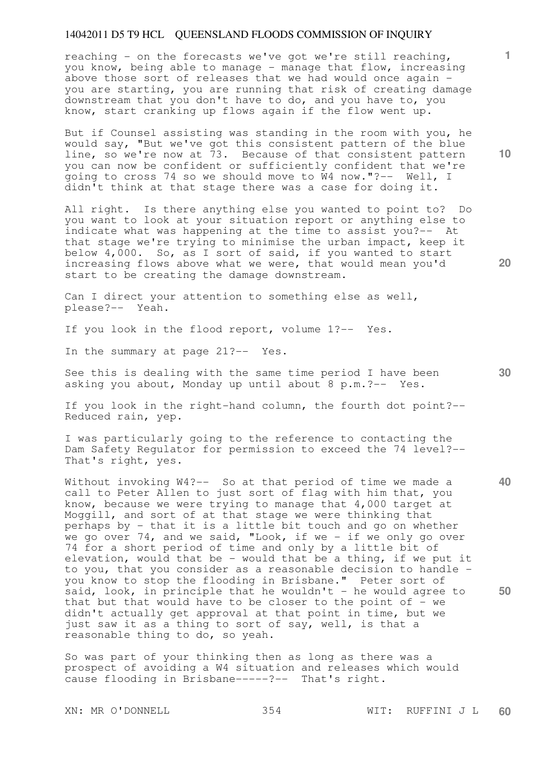reaching - on the forecasts we've got we're still reaching, you know, being able to manage - manage that flow, increasing above those sort of releases that we had would once again you are starting, you are running that risk of creating damage downstream that you don't have to do, and you have to, you know, start cranking up flows again if the flow went up.

But if Counsel assisting was standing in the room with you, he would say, "But we've got this consistent pattern of the blue line, so we're now at 73. Because of that consistent pattern you can now be confident or sufficiently confident that we're going to cross 74 so we should move to W4 now."?-- Well, I didn't think at that stage there was a case for doing it.

All right. Is there anything else you wanted to point to? Do you want to look at your situation report or anything else to indicate what was happening at the time to assist you?-- At that stage we're trying to minimise the urban impact, keep it below 4,000. So, as I sort of said, if you wanted to start increasing flows above what we were, that would mean you'd start to be creating the damage downstream.

Can I direct your attention to something else as well, please?-- Yeah.

If you look in the flood report, volume 1?-- Yes.

In the summary at page 21?-- Yes.

See this is dealing with the same time period I have been asking you about, Monday up until about 8 p.m.?-- Yes.

If you look in the right-hand column, the fourth dot point?-- Reduced rain, yep.

I was particularly going to the reference to contacting the Dam Safety Regulator for permission to exceed the 74 level?-- That's right, yes.

Without invoking W4?-- So at that period of time we made a call to Peter Allen to just sort of flag with him that, you know, because we were trying to manage that 4,000 target at Moggill, and sort of at that stage we were thinking that perhaps by - that it is a little bit touch and go on whether we go over 74, and we said, "Look, if we - if we only go over 74 for a short period of time and only by a little bit of elevation, would that be - would that be a thing, if we put it to you, that you consider as a reasonable decision to handle you know to stop the flooding in Brisbane." Peter sort of said, look, in principle that he wouldn't - he would agree to that but that would have to be closer to the point of  $-$  we didn't actually get approval at that point in time, but we just saw it as a thing to sort of say, well, is that a reasonable thing to do, so yeah.

So was part of your thinking then as long as there was a prospect of avoiding a W4 situation and releases which would cause flooding in Brisbane-----?-- That's right.

**10** 

**1**

**20** 

**30** 

**40**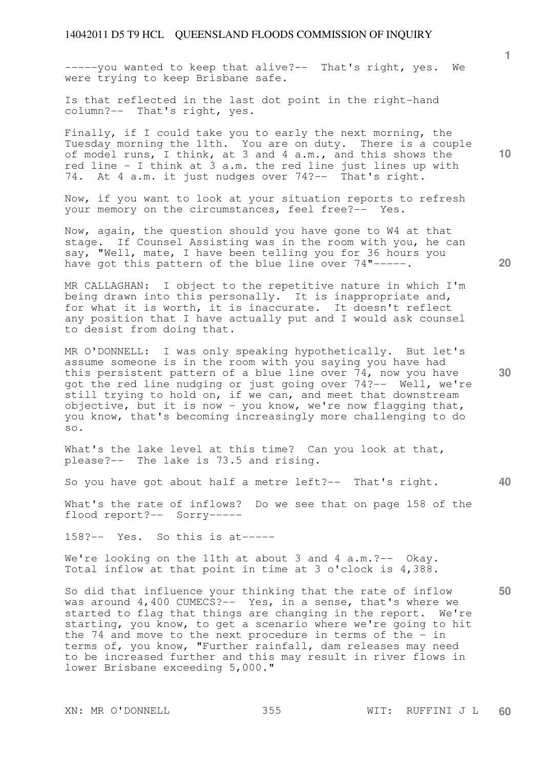-----you wanted to keep that alive?-- That's right, yes. We were trying to keep Brisbane safe.

Is that reflected in the last dot point in the right-hand column?-- That's right, yes.

Finally, if I could take you to early the next morning, the Tuesday morning the 11th. You are on duty. There is a couple of model runs, I think, at 3 and 4 a.m., and this shows the red line - I think at 3 a.m. the red line just lines up with 74. At 4 a.m. it just nudges over 74?-- That's right.

Now, if you want to look at your situation reports to refresh your memory on the circumstances, feel free?-- Yes.

Now, again, the question should you have gone to W4 at that stage. If Counsel Assisting was in the room with you, he can say, "Well, mate, I have been telling you for 36 hours you have got this pattern of the blue line over 74"-----.

MR CALLAGHAN: I object to the repetitive nature in which I'm being drawn into this personally. It is inappropriate and, for what it is worth, it is inaccurate. It doesn't reflect any position that I have actually put and I would ask counsel to desist from doing that.

MR O'DONNELL: I was only speaking hypothetically. But let's assume someone is in the room with you saying you have had this persistent pattern of a blue line over 74, now you have got the red line nudging or just going over 74?-- Well, we're still trying to hold on, if we can, and meet that downstream objective, but it is now - you know, we're now flagging that, you know, that's becoming increasingly more challenging to do so.

What's the lake level at this time? Can you look at that, please?-- The lake is 73.5 and rising.

So you have got about half a metre left?-- That's right.

What's the rate of inflows? Do we see that on page 158 of the flood report?-- Sorry-----

158?-- Yes. So this is at-----

We're looking on the 11th at about 3 and 4 a.m.?-- Okay. Total inflow at that point in time at 3 o'clock is 4,388.

So did that influence your thinking that the rate of inflow was around 4,400 CUMECS?-- Yes, in a sense, that's where we started to flag that things are changing in the report. We're starting, you know, to get a scenario where we're going to hit the 74 and move to the next procedure in terms of the  $-$  in terms of, you know, "Further rainfall, dam releases may need to be increased further and this may result in river flows in lower Brisbane exceeding 5,000."

**10** 

**1**

**20** 

**30** 

**40**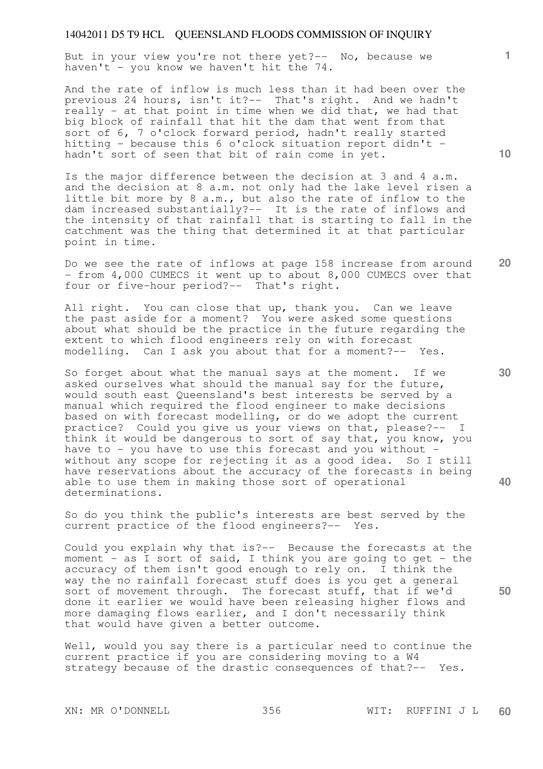But in your view you're not there yet?-- No, because we haven't - you know we haven't hit the 74.

And the rate of inflow is much less than it had been over the previous 24 hours, isn't it?-- That's right. And we hadn't really - at that point in time when we did that, we had that big block of rainfall that hit the dam that went from that sort of 6, 7 o'clock forward period, hadn't really started hitting - because this 6 o'clock situation report didn't hadn't sort of seen that bit of rain come in yet.

Is the major difference between the decision at 3 and 4 a.m. and the decision at 8 a.m. not only had the lake level risen a little bit more by 8 a.m., but also the rate of inflow to the dam increased substantially?-- It is the rate of inflows and the intensity of that rainfall that is starting to fall in the catchment was the thing that determined it at that particular point in time.

**20**  Do we see the rate of inflows at page 158 increase from around - from 4,000 CUMECS it went up to about 8,000 CUMECS over that four or five-hour period?-- That's right.

All right. You can close that up, thank you. Can we leave the past aside for a moment? You were asked some questions about what should be the practice in the future regarding the extent to which flood engineers rely on with forecast modelling. Can I ask you about that for a moment?-- Yes.

So forget about what the manual says at the moment. If we asked ourselves what should the manual say for the future, would south east Queensland's best interests be served by a manual which required the flood engineer to make decisions based on with forecast modelling, or do we adopt the current practice? Could you give us your views on that, please?-- I think it would be dangerous to sort of say that, you know, you have to - you have to use this forecast and you without without any scope for rejecting it as a good idea. So I still have reservations about the accuracy of the forecasts in being able to use them in making those sort of operational determinations.

So do you think the public's interests are best served by the current practice of the flood engineers?-- Yes.

Could you explain why that is?-- Because the forecasts at the moment - as I sort of said, I think you are going to get - the accuracy of them isn't good enough to rely on. I think the way the no rainfall forecast stuff does is you get a general sort of movement through. The forecast stuff, that if we'd done it earlier we would have been releasing higher flows and more damaging flows earlier, and I don't necessarily think that would have given a better outcome.

Well, would you say there is a particular need to continue the current practice if you are considering moving to a W4 strategy because of the drastic consequences of that?-- Yes.

XN: MR O'DONNELL 356 WIT: RUFFINI J L **60** 

**30** 

**40** 

**50** 

**1**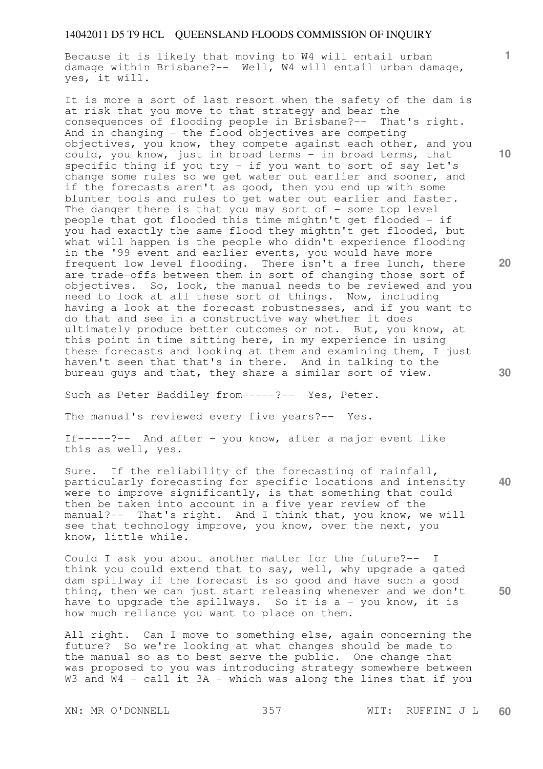Because it is likely that moving to W4 will entail urban damage within Brisbane?-- Well, W4 will entail urban damage, yes, it will.

It is more a sort of last resort when the safety of the dam is at risk that you move to that strategy and bear the consequences of flooding people in Brisbane?-- That's right. And in changing - the flood objectives are competing objectives, you know, they compete against each other, and you could, you know, just in broad terms - in broad terms, that specific thing if you try - if you want to sort of say let's change some rules so we get water out earlier and sooner, and if the forecasts aren't as good, then you end up with some blunter tools and rules to get water out earlier and faster. The danger there is that you may sort of  $-$  some top level people that got flooded this time mightn't get flooded - if you had exactly the same flood they mightn't get flooded, but what will happen is the people who didn't experience flooding in the '99 event and earlier events, you would have more frequent low level flooding. There isn't a free lunch, there are trade-offs between them in sort of changing those sort of objectives. So, look, the manual needs to be reviewed and you need to look at all these sort of things. Now, including having a look at the forecast robustnesses, and if you want to do that and see in a constructive way whether it does ultimately produce better outcomes or not. But, you know, at this point in time sitting here, in my experience in using these forecasts and looking at them and examining them, I just haven't seen that that's in there. And in talking to the bureau guys and that, they share a similar sort of view.

Such as Peter Baddiley from-----?-- Yes, Peter.

The manual's reviewed every five years?-- Yes.

If-----?-- And after - you know, after a major event like this as well, yes.

**40**  Sure. If the reliability of the forecasting of rainfall, particularly forecasting for specific locations and intensity were to improve significantly, is that something that could then be taken into account in a five year review of the manual?-- That's right. And I think that, you know, we will see that technology improve, you know, over the next, you know, little while.

Could I ask you about another matter for the future?-- I think you could extend that to say, well, why upgrade a gated dam spillway if the forecast is so good and have such a good thing, then we can just start releasing whenever and we don't have to upgrade the spillways. So it is a - you know, it is how much reliance you want to place on them.

All right. Can I move to something else, again concerning the future? So we're looking at what changes should be made to the manual so as to best serve the public. One change that was proposed to you was introducing strategy somewhere between W3 and W4 - call it 3A - which was along the lines that if you

**10** 

**1**

**20** 

**30**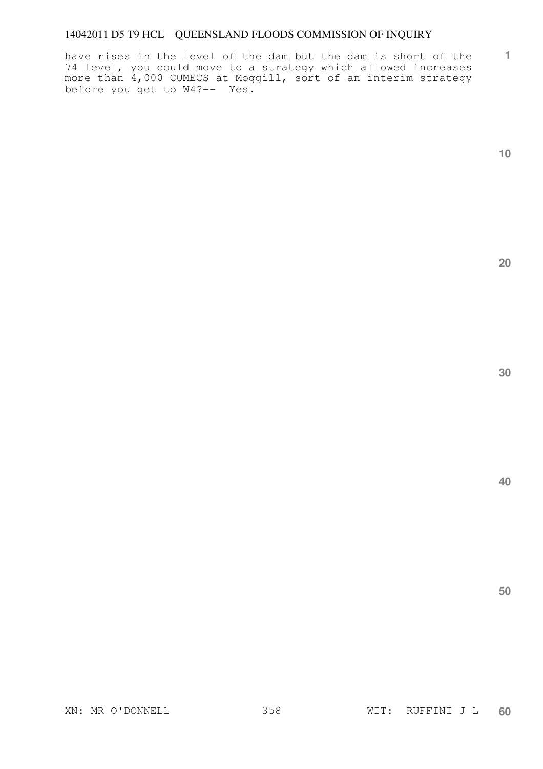have rises in the level of the dam but the dam is short of the 74 level, you could move to a strategy which allowed increases more than 4,000 CUMECS at Moggill, sort of an interim strategy before you get to W4?-- Yes.

**1**

**20** 

**30** 

**40**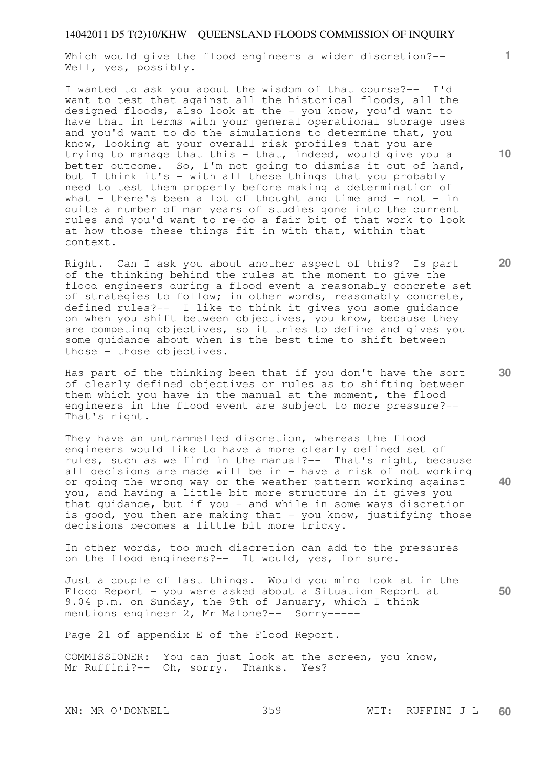Which would give the flood engineers a wider discretion?-- Well, yes, possibly.

I wanted to ask you about the wisdom of that course?-- I'd want to test that against all the historical floods, all the designed floods, also look at the - you know, you'd want to have that in terms with your general operational storage uses and you'd want to do the simulations to determine that, you know, looking at your overall risk profiles that you are trying to manage that this - that, indeed, would give you a better outcome. So, I'm not going to dismiss it out of hand, but I think it's - with all these things that you probably need to test them properly before making a determination of what - there's been a lot of thought and time and - not - in quite a number of man years of studies gone into the current rules and you'd want to re-do a fair bit of that work to look at how those these things fit in with that, within that context.

Right. Can I ask you about another aspect of this? Is part of the thinking behind the rules at the moment to give the flood engineers during a flood event a reasonably concrete set of strategies to follow; in other words, reasonably concrete, defined rules?-- I like to think it gives you some guidance on when you shift between objectives, you know, because they are competing objectives, so it tries to define and gives you some guidance about when is the best time to shift between those - those objectives.

Has part of the thinking been that if you don't have the sort of clearly defined objectives or rules as to shifting between them which you have in the manual at the moment, the flood engineers in the flood event are subject to more pressure?-- That's right.

They have an untrammelled discretion, whereas the flood engineers would like to have a more clearly defined set of rules, such as we find in the manual?-- That's right, because all decisions are made will be in - have a risk of not working or going the wrong way or the weather pattern working against you, and having a little bit more structure in it gives you that guidance, but if you - and while in some ways discretion is good, you then are making that - you know, justifying those decisions becomes a little bit more tricky.

In other words, too much discretion can add to the pressures on the flood engineers?-- It would, yes, for sure.

**50**  Just a couple of last things. Would you mind look at in the Flood Report - you were asked about a Situation Report at 9.04 p.m. on Sunday, the 9th of January, which I think mentions engineer 2, Mr Malone?-- Sorry-----

Page 21 of appendix E of the Flood Report.

COMMISSIONER: You can just look at the screen, you know, Mr Ruffini?-- Oh, sorry. Thanks. Yes?

**10** 

**1**

**30** 

**40**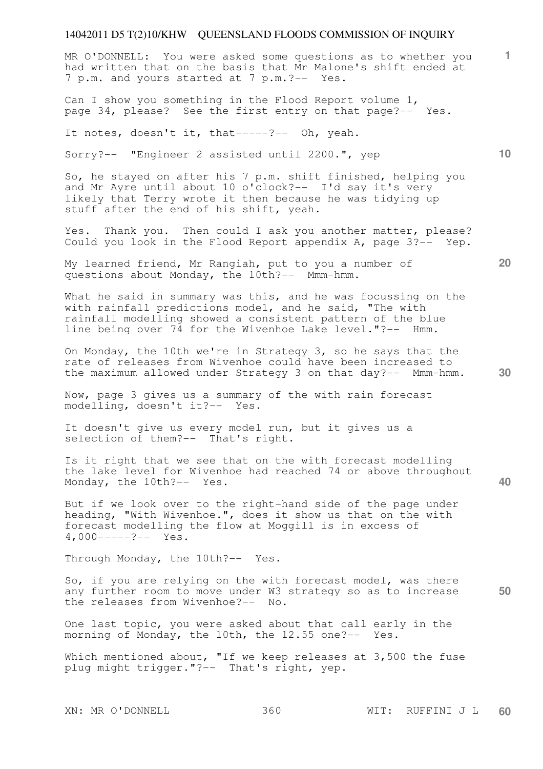MR O'DONNELL: You were asked some questions as to whether you had written that on the basis that Mr Malone's shift ended at 7 p.m. and yours started at 7 p.m.?-- Yes.

Can I show you something in the Flood Report volume 1, page 34, please? See the first entry on that page?-- Yes.

It notes, doesn't it, that-----?-- Oh, yeah.

Sorry?-- "Engineer 2 assisted until 2200.", yep

So, he stayed on after his 7 p.m. shift finished, helping you and Mr Ayre until about 10 o'clock?-- I'd say it's very likely that Terry wrote it then because he was tidying up stuff after the end of his shift, yeah.

Yes. Thank you. Then could I ask you another matter, please? Could you look in the Flood Report appendix A, page 3?-- Yep.

My learned friend, Mr Rangiah, put to you a number of questions about Monday, the 10th?-- Mmm-hmm.

What he said in summary was this, and he was focussing on the with rainfall predictions model, and he said, "The with rainfall modelling showed a consistent pattern of the blue line being over 74 for the Wivenhoe Lake level."?-- Hmm.

On Monday, the 10th we're in Strategy 3, so he says that the rate of releases from Wivenhoe could have been increased to the maximum allowed under Strategy 3 on that day?-- Mmm-hmm.

Now, page 3 gives us a summary of the with rain forecast modelling, doesn't it?-- Yes.

It doesn't give us every model run, but it gives us a selection of them?-- That's right.

Is it right that we see that on the with forecast modelling the lake level for Wivenhoe had reached 74 or above throughout Monday, the 10th?-- Yes.

But if we look over to the right-hand side of the page under heading, "With Wivenhoe.", does it show us that on the with forecast modelling the flow at Moggill is in excess of 4,000-----?-- Yes.

Through Monday, the 10th?-- Yes.

**50**  So, if you are relying on the with forecast model, was there any further room to move under W3 strategy so as to increase the releases from Wivenhoe?-- No.

One last topic, you were asked about that call early in the morning of Monday, the 10th, the 12.55 one?-- Yes.

Which mentioned about, "If we keep releases at 3,500 the fuse plug might trigger."?-- That's right, yep.

XN: MR O'DONNELL 360 WIT: RUFFINI J L **60** 

**30** 

**40** 

**20**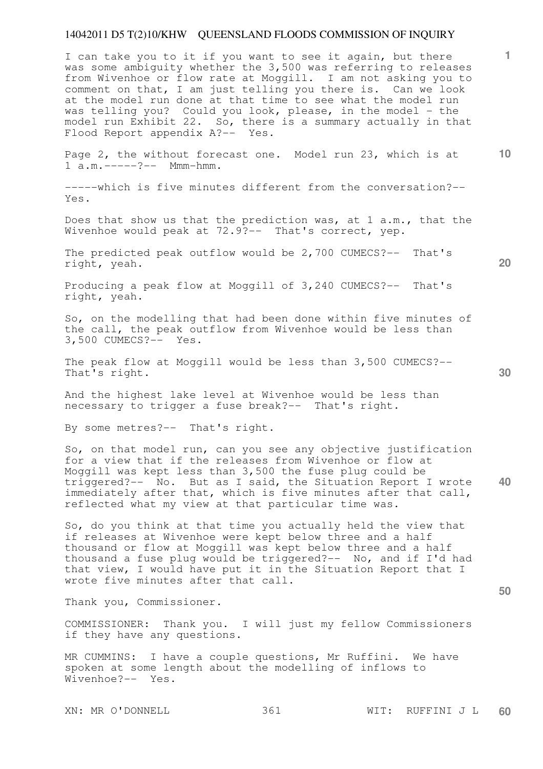I can take you to it if you want to see it again, but there was some ambiguity whether the 3,500 was referring to releases from Wivenhoe or flow rate at Moggill. I am not asking you to comment on that, I am just telling you there is. Can we look at the model run done at that time to see what the model run was telling you? Could you look, please, in the model - the model run Exhibit 22. So, there is a summary actually in that Flood Report appendix A?-- Yes.

Page 2, the without forecast one. Model run 23, which is at 1 a.m. -----?-- Mmm-hmm.

-----which is five minutes different from the conversation?-- Yes.

Does that show us that the prediction was, at 1 a.m., that the Wivenhoe would peak at 72.9?-- That's correct, yep.

The predicted peak outflow would be 2,700 CUMECS?-- That's right, yeah.

Producing a peak flow at Moggill of 3,240 CUMECS?-- That's right, yeah.

So, on the modelling that had been done within five minutes of the call, the peak outflow from Wivenhoe would be less than 3,500 CUMECS?-- Yes.

The peak flow at Moggill would be less than 3,500 CUMECS?-- That's right.

And the highest lake level at Wivenhoe would be less than necessary to trigger a fuse break?-- That's right.

By some metres?-- That's right.

**40**  So, on that model run, can you see any objective justification for a view that if the releases from Wivenhoe or flow at Moggill was kept less than 3,500 the fuse plug could be triggered?-- No. But as I said, the Situation Report I wrote immediately after that, which is five minutes after that call, reflected what my view at that particular time was.

So, do you think at that time you actually held the view that if releases at Wivenhoe were kept below three and a half thousand or flow at Moggill was kept below three and a half thousand a fuse plug would be triggered?-- No, and if I'd had that view, I would have put it in the Situation Report that I wrote five minutes after that call.

Thank you, Commissioner.

COMMISSIONER: Thank you. I will just my fellow Commissioners if they have any questions.

MR CUMMINS: I have a couple questions, Mr Ruffini. We have spoken at some length about the modelling of inflows to Wivenhoe?-- Yes.

**30** 

**50** 

**20** 

**10**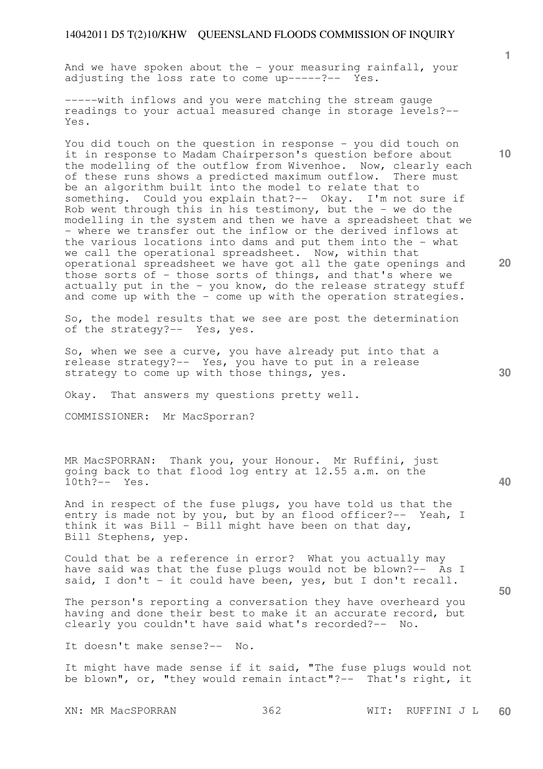And we have spoken about the  $-$  your measuring rainfall, your adjusting the loss rate to come up-----?-- Yes.

-----with inflows and you were matching the stream gauge readings to your actual measured change in storage levels?-- Yes.

You did touch on the question in response - you did touch on it in response to Madam Chairperson's question before about the modelling of the outflow from Wivenhoe. Now, clearly each of these runs shows a predicted maximum outflow. There must be an algorithm built into the model to relate that to something. Could you explain that?-- Okay. I'm not sure if Rob went through this in his testimony, but the - we do the modelling in the system and then we have a spreadsheet that we - where we transfer out the inflow or the derived inflows at the various locations into dams and put them into the - what we call the operational spreadsheet. Now, within that operational spreadsheet we have got all the gate openings and those sorts of - those sorts of things, and that's where we actually put in the - you know, do the release strategy stuff and come up with the  $-$  come up with the operation strategies.

So, the model results that we see are post the determination of the strategy?-- Yes, yes.

So, when we see a curve, you have already put into that a release strategy?-- Yes, you have to put in a release strategy to come up with those things, yes.

Okay. That answers my questions pretty well.

COMMISSIONER: Mr MacSporran?

MR MacSPORRAN: Thank you, your Honour. Mr Ruffini, just going back to that flood log entry at 12.55 a.m. on the 10th?-- Yes.

And in respect of the fuse plugs, you have told us that the entry is made not by you, but by an flood officer?-- Yeah, I think it was Bill - Bill might have been on that day, Bill Stephens, yep.

Could that be a reference in error? What you actually may have said was that the fuse plugs would not be blown?-- As I said, I don't - it could have been, yes, but I don't recall.

The person's reporting a conversation they have overheard you having and done their best to make it an accurate record, but clearly you couldn't have said what's recorded?-- No.

It doesn't make sense?-- No.

It might have made sense if it said, "The fuse plugs would not be blown", or, "they would remain intact"?-- That's right, it

**1**

**20** 

**10** 

**30** 

**40**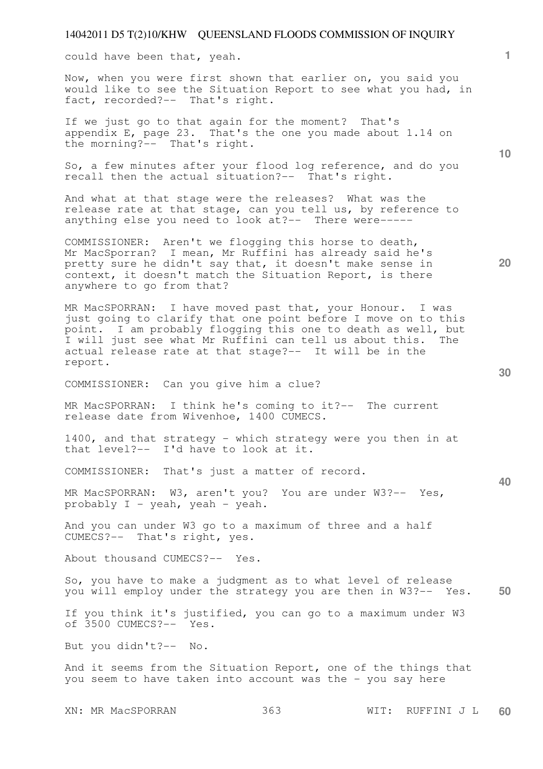could have been that, yeah.

Now, when you were first shown that earlier on, you said you would like to see the Situation Report to see what you had, in fact, recorded?-- That's right.

If we just go to that again for the moment? That's appendix E, page 23. That's the one you made about 1.14 on the morning?-- That's right.

So, a few minutes after your flood log reference, and do you recall then the actual situation?-- That's right.

And what at that stage were the releases? What was the release rate at that stage, can you tell us, by reference to anything else you need to look at?-- There were-----

COMMISSIONER: Aren't we flogging this horse to death, Mr MacSporran? I mean, Mr Ruffini has already said he's pretty sure he didn't say that, it doesn't make sense in context, it doesn't match the Situation Report, is there anywhere to go from that?

MR MacSPORRAN: I have moved past that, your Honour. I was just going to clarify that one point before I move on to this point. I am probably flogging this one to death as well, but I will just see what Mr Ruffini can tell us about this. The actual release rate at that stage?-- It will be in the report.

COMMISSIONER: Can you give him a clue?

MR MacSPORRAN: I think he's coming to it?-- The current release date from Wivenhoe, 1400 CUMECS.

1400, and that strategy - which strategy were you then in at that level?-- I'd have to look at it.

COMMISSIONER: That's just a matter of record.

MR MacSPORRAN: W3, aren't you? You are under W3?-- Yes, probably I - yeah, yeah - yeah.

And you can under W3 go to a maximum of three and a half CUMECS?-- That's right, yes.

About thousand CUMECS?-- Yes.

**50**  So, you have to make a judgment as to what level of release you will employ under the strategy you are then in W3?-- Yes.

If you think it's justified, you can go to a maximum under W3 of 3500 CUMECS?-- Yes.

But you didn't?-- No.

And it seems from the Situation Report, one of the things that you seem to have taken into account was the - you say here

XN: MR MacSPORRAN 363 WIT: RUFFINI J L **60** 

**30** 

**20** 

**10**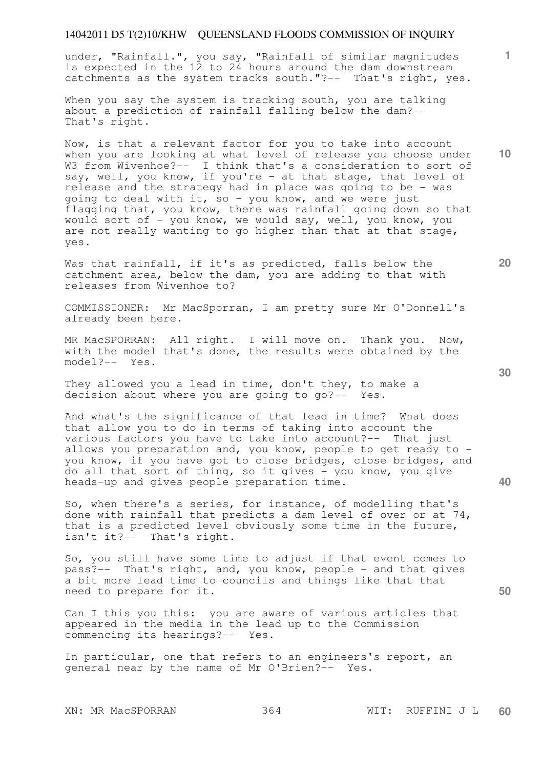under, "Rainfall.", you say, "Rainfall of similar magnitudes is expected in the 12 to 24 hours around the dam downstream catchments as the system tracks south."?-- That's right, yes.

When you say the system is tracking south, you are talking about a prediction of rainfall falling below the dam?-- That's right.

Now, is that a relevant factor for you to take into account when you are looking at what level of release you choose under W3 from Wivenhoe?-- I think that's a consideration to sort of say, well, you know, if you're - at that stage, that level of release and the strategy had in place was going to be - was going to deal with it, so - you know, and we were just flagging that, you know, there was rainfall going down so that would sort of - you know, we would say, well, you know, you are not really wanting to go higher than that at that stage, yes.

Was that rainfall, if it's as predicted, falls below the catchment area, below the dam, you are adding to that with releases from Wivenhoe to?

COMMISSIONER: Mr MacSporran, I am pretty sure Mr O'Donnell's already been here.

MR MacSPORRAN: All right. I will move on. Thank you. Now, with the model that's done, the results were obtained by the model?-- Yes.

They allowed you a lead in time, don't they, to make a decision about where you are going to go?-- Yes.

And what's the significance of that lead in time? What does that allow you to do in terms of taking into account the various factors you have to take into account?-- That just allows you preparation and, you know, people to get ready to you know, if you have got to close bridges, close bridges, and do all that sort of thing, so it gives - you know, you give heads-up and gives people preparation time.

So, when there's a series, for instance, of modelling that's done with rainfall that predicts a dam level of over or at 74, that is a predicted level obviously some time in the future, isn't it?-- That's right.

So, you still have some time to adjust if that event comes to pass?-- That's right, and, you know, people - and that gives a bit more lead time to councils and things like that that need to prepare for it.

Can I this you this: you are aware of various articles that appeared in the media in the lead up to the Commission commencing its hearings?-- Yes.

In particular, one that refers to an engineers's report, an general near by the name of Mr O'Brien?-- Yes.

**30** 

**20** 

**40** 

**50** 

**10**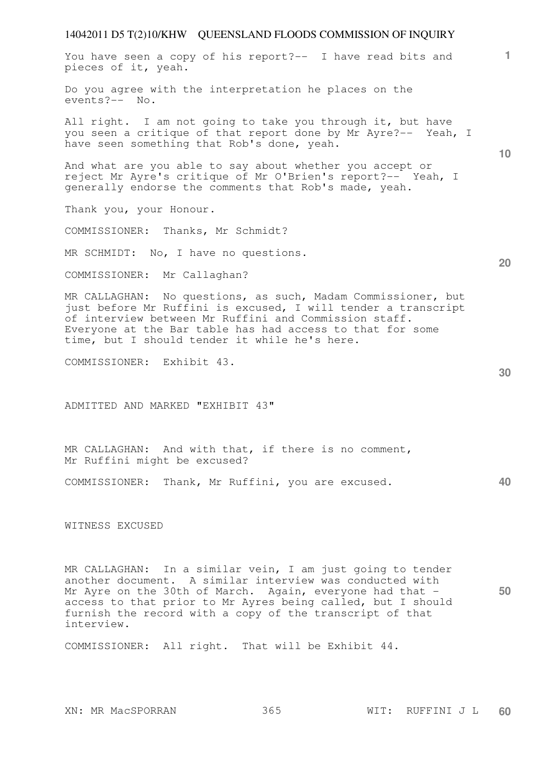# 14042011 D5 T(2)10/KHW QUEENSLAND FLOODS COMMISSION OF INQUIRY **1 10 20 30 40 50**  You have seen a copy of his report?-- I have read bits and pieces of it, yeah. Do you agree with the interpretation he places on the events?-- No. All right. I am not going to take you through it, but have you seen a critique of that report done by Mr Ayre?-- Yeah, I have seen something that Rob's done, yeah. And what are you able to say about whether you accept or reject Mr Ayre's critique of Mr O'Brien's report?-- Yeah, I generally endorse the comments that Rob's made, yeah. Thank you, your Honour. COMMISSIONER: Thanks, Mr Schmidt? MR SCHMIDT: No, I have no questions. COMMISSIONER: Mr Callaghan? MR CALLAGHAN: No questions, as such, Madam Commissioner, but just before Mr Ruffini is excused, I will tender a transcript of interview between Mr Ruffini and Commission staff. Everyone at the Bar table has had access to that for some time, but I should tender it while he's here. COMMISSIONER: Exhibit 43. ADMITTED AND MARKED "EXHIBIT 43" MR CALLAGHAN: And with that, if there is no comment, Mr Ruffini might be excused? COMMISSIONER: Thank, Mr Ruffini, you are excused. WITNESS EXCUSED MR CALLAGHAN: In a similar vein, I am just going to tender another document. A similar interview was conducted with Mr Ayre on the 30th of March. Again, everyone had that -

COMMISSIONER: All right. That will be Exhibit 44.

interview.

access to that prior to Mr Ayres being called, but I should furnish the record with a copy of the transcript of that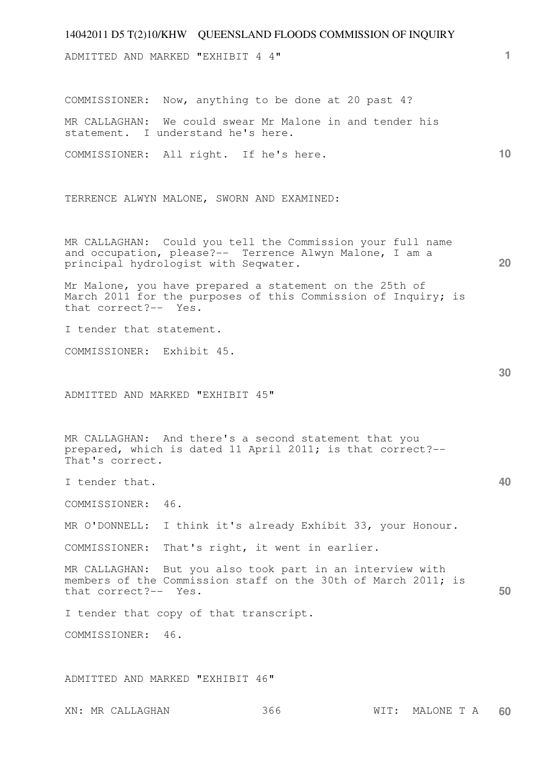|                                                     | 14042011 D5 T(2)10/KHW QUEENSLAND FLOODS COMMISSION OF INQUIRY                                                           |      |            |    |
|-----------------------------------------------------|--------------------------------------------------------------------------------------------------------------------------|------|------------|----|
| ADMITTED AND MARKED "EXHIBIT 4 4"                   |                                                                                                                          |      |            | 1. |
| COMMISSIONER:                                       | Now, anything to be done at 20 past 4?                                                                                   |      |            |    |
| MR CALLAGHAN:<br>statement. I understand he's here. | We could swear Mr Malone in and tender his                                                                               |      |            |    |
| COMMISSIONER: All right. If he's here.              |                                                                                                                          |      |            | 10 |
|                                                     | TERRENCE ALWYN MALONE, SWORN AND EXAMINED:                                                                               |      |            |    |
| principal hydrologist with Seqwater.                | MR CALLAGHAN: Could you tell the Commission your full name<br>and occupation, please?-- Terrence Alwyn Malone, I am a    |      |            | 20 |
| that correct?-- Yes.                                | Mr Malone, you have prepared a statement on the 25th of<br>March 2011 for the purposes of this Commission of Inquiry; is |      |            |    |
| I tender that statement.                            |                                                                                                                          |      |            |    |
| COMMISSIONER: Exhibit 45.                           |                                                                                                                          |      |            |    |
| ADMITTED AND MARKED "EXHIBIT 45"                    |                                                                                                                          |      |            | 30 |
| That's correct.                                     | MR CALLAGHAN: And there's a second statement that you<br>prepared, which is dated 11 April 2011; is that correct?--      |      |            |    |
| I tender that.                                      |                                                                                                                          |      |            | 40 |
| COMMISSIONER:<br>46.                                |                                                                                                                          |      |            |    |
| MR O'DONNELL:                                       | I think it's already Exhibit 33, your Honour.                                                                            |      |            |    |
| COMMISSIONER:                                       | That's right, it went in earlier.                                                                                        |      |            |    |
| MR CALLAGHAN:<br>that correct?-- Yes.               | But you also took part in an interview with<br>members of the Commission staff on the 30th of March 2011; is             |      |            | 50 |
| I tender that copy of that transcript.              |                                                                                                                          |      |            |    |
| COMMISSIONER:<br>46.                                |                                                                                                                          |      |            |    |
|                                                     |                                                                                                                          |      |            |    |
| ADMITTED AND MARKED "EXHIBIT 46"                    |                                                                                                                          |      |            |    |
| XN: MR CALLAGHAN                                    | 366                                                                                                                      | WIT: | MALONE T A | 60 |